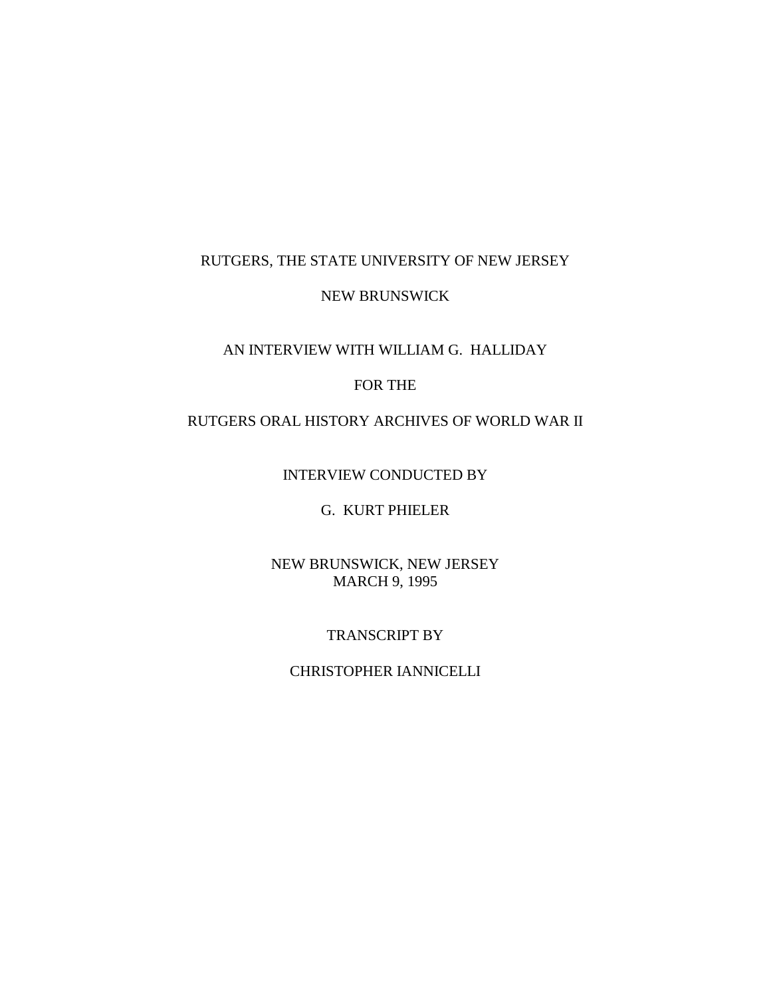## RUTGERS, THE STATE UNIVERSITY OF NEW JERSEY

#### NEW BRUNSWICK

## AN INTERVIEW WITH WILLIAM G. HALLIDAY

# FOR THE

### RUTGERS ORAL HISTORY ARCHIVES OF WORLD WAR II

INTERVIEW CONDUCTED BY

### G. KURT PHIELER

## NEW BRUNSWICK, NEW JERSEY MARCH 9, 1995

### TRANSCRIPT BY

#### CHRISTOPHER IANNICELLI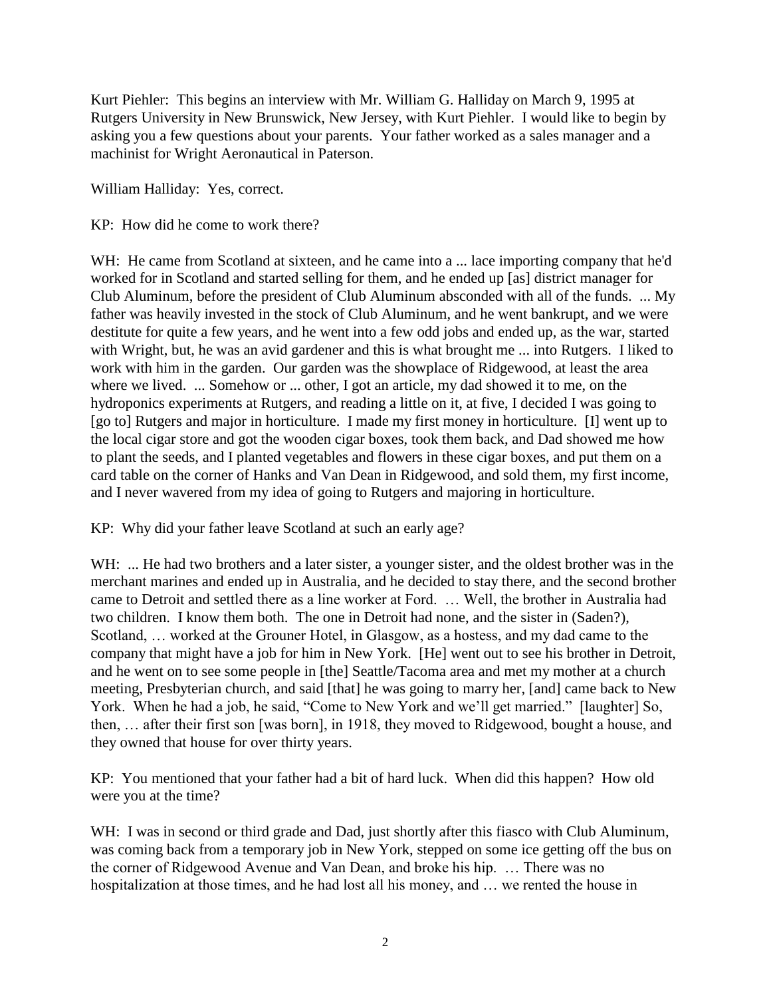Kurt Piehler: This begins an interview with Mr. William G. Halliday on March 9, 1995 at Rutgers University in New Brunswick, New Jersey, with Kurt Piehler. I would like to begin by asking you a few questions about your parents. Your father worked as a sales manager and a machinist for Wright Aeronautical in Paterson.

William Halliday: Yes, correct.

KP: How did he come to work there?

WH: He came from Scotland at sixteen, and he came into a ... lace importing company that he'd worked for in Scotland and started selling for them, and he ended up [as] district manager for Club Aluminum, before the president of Club Aluminum absconded with all of the funds. ... My father was heavily invested in the stock of Club Aluminum, and he went bankrupt, and we were destitute for quite a few years, and he went into a few odd jobs and ended up, as the war, started with Wright, but, he was an avid gardener and this is what brought me ... into Rutgers. I liked to work with him in the garden. Our garden was the showplace of Ridgewood, at least the area where we lived. ... Somehow or ... other, I got an article, my dad showed it to me, on the hydroponics experiments at Rutgers, and reading a little on it, at five, I decided I was going to [go to] Rutgers and major in horticulture. I made my first money in horticulture. [I] went up to the local cigar store and got the wooden cigar boxes, took them back, and Dad showed me how to plant the seeds, and I planted vegetables and flowers in these cigar boxes, and put them on a card table on the corner of Hanks and Van Dean in Ridgewood, and sold them, my first income, and I never wavered from my idea of going to Rutgers and majoring in horticulture.

KP: Why did your father leave Scotland at such an early age?

WH: ... He had two brothers and a later sister, a younger sister, and the oldest brother was in the merchant marines and ended up in Australia, and he decided to stay there, and the second brother came to Detroit and settled there as a line worker at Ford. … Well, the brother in Australia had two children. I know them both. The one in Detroit had none, and the sister in (Saden?), Scotland, … worked at the Grouner Hotel, in Glasgow, as a hostess, and my dad came to the company that might have a job for him in New York. [He] went out to see his brother in Detroit, and he went on to see some people in [the] Seattle/Tacoma area and met my mother at a church meeting, Presbyterian church, and said [that] he was going to marry her, [and] came back to New York. When he had a job, he said, "Come to New York and we'll get married." [laughter] So, then, … after their first son [was born], in 1918, they moved to Ridgewood, bought a house, and they owned that house for over thirty years.

KP: You mentioned that your father had a bit of hard luck. When did this happen? How old were you at the time?

WH: I was in second or third grade and Dad, just shortly after this fiasco with Club Aluminum, was coming back from a temporary job in New York, stepped on some ice getting off the bus on the corner of Ridgewood Avenue and Van Dean, and broke his hip. … There was no hospitalization at those times, and he had lost all his money, and … we rented the house in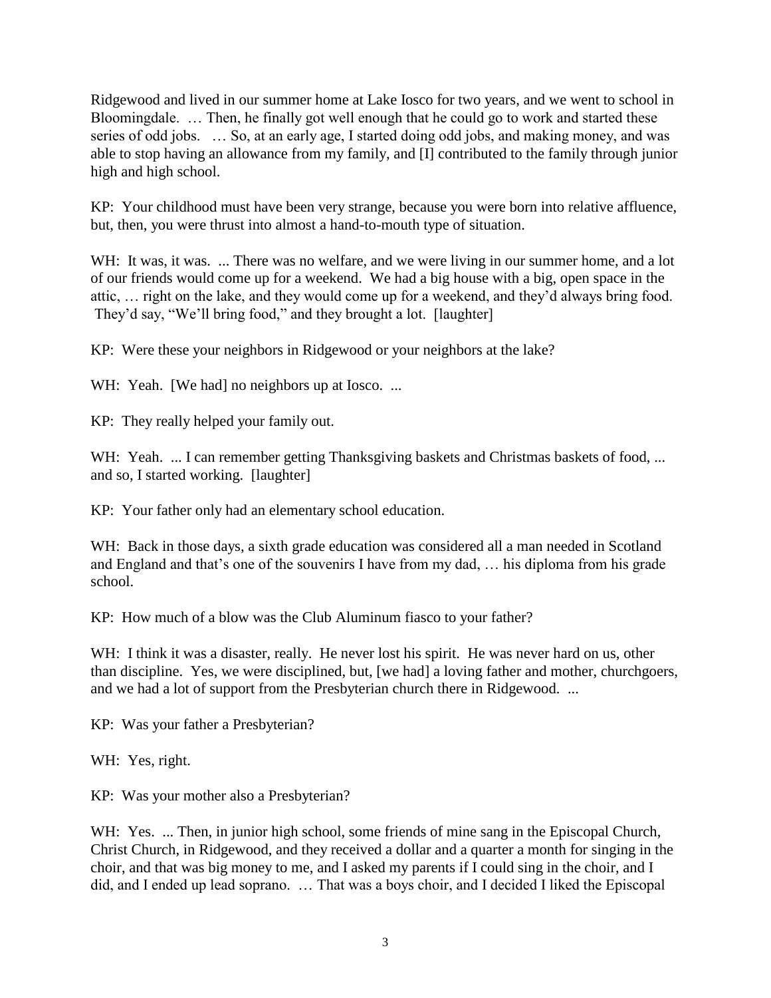Ridgewood and lived in our summer home at Lake Iosco for two years, and we went to school in Bloomingdale. … Then, he finally got well enough that he could go to work and started these series of odd jobs. … So, at an early age, I started doing odd jobs, and making money, and was able to stop having an allowance from my family, and [I] contributed to the family through junior high and high school.

KP: Your childhood must have been very strange, because you were born into relative affluence, but, then, you were thrust into almost a hand-to-mouth type of situation.

WH: It was, it was. ... There was no welfare, and we were living in our summer home, and a lot of our friends would come up for a weekend. We had a big house with a big, open space in the attic, … right on the lake, and they would come up for a weekend, and they'd always bring food. They'd say, "We'll bring food," and they brought a lot. [laughter]

KP: Were these your neighbors in Ridgewood or your neighbors at the lake?

WH: Yeah. [We had] no neighbors up at Iosco. ...

KP: They really helped your family out.

WH: Yeah. ... I can remember getting Thanksgiving baskets and Christmas baskets of food, ... and so, I started working. [laughter]

KP: Your father only had an elementary school education.

WH: Back in those days, a sixth grade education was considered all a man needed in Scotland and England and that's one of the souvenirs I have from my dad, … his diploma from his grade school.

KP: How much of a blow was the Club Aluminum fiasco to your father?

WH: I think it was a disaster, really. He never lost his spirit. He was never hard on us, other than discipline. Yes, we were disciplined, but, [we had] a loving father and mother, churchgoers, and we had a lot of support from the Presbyterian church there in Ridgewood. ...

KP: Was your father a Presbyterian?

WH: Yes, right.

KP: Was your mother also a Presbyterian?

WH: Yes. ... Then, in junior high school, some friends of mine sang in the Episcopal Church, Christ Church, in Ridgewood, and they received a dollar and a quarter a month for singing in the choir, and that was big money to me, and I asked my parents if I could sing in the choir, and I did, and I ended up lead soprano. … That was a boys choir, and I decided I liked the Episcopal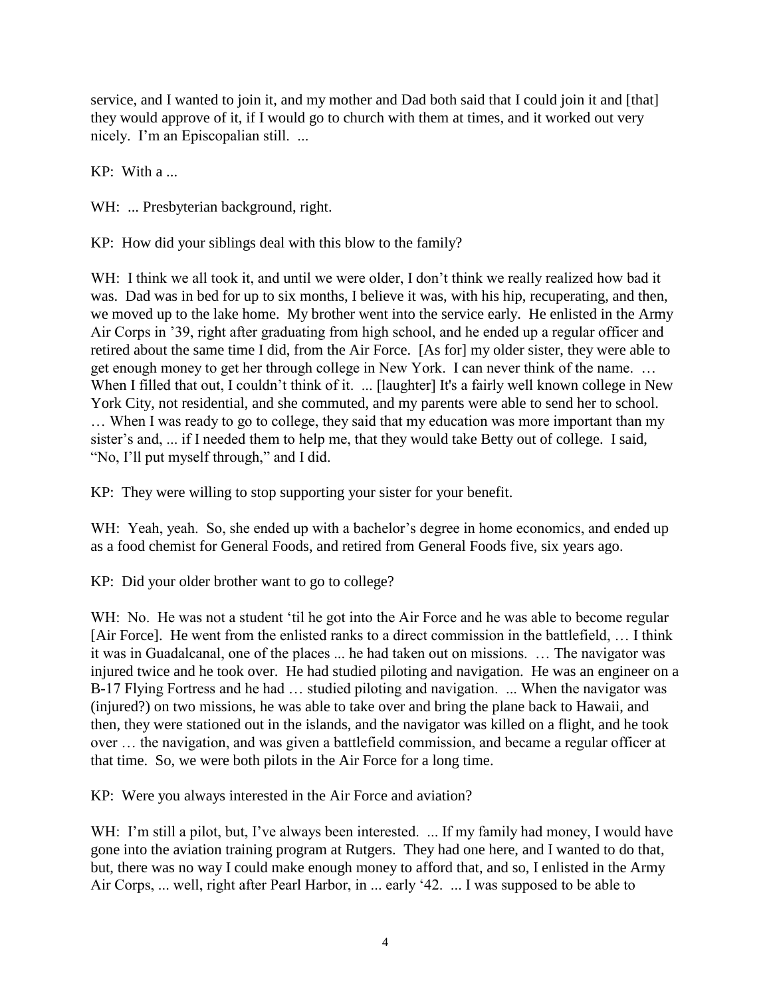service, and I wanted to join it, and my mother and Dad both said that I could join it and [that] they would approve of it, if I would go to church with them at times, and it worked out very nicely. I'm an Episcopalian still. ...

KP: With a ...

WH: ... Presbyterian background, right.

KP: How did your siblings deal with this blow to the family?

WH: I think we all took it, and until we were older, I don't think we really realized how bad it was. Dad was in bed for up to six months, I believe it was, with his hip, recuperating, and then, we moved up to the lake home. My brother went into the service early. He enlisted in the Army Air Corps in '39, right after graduating from high school, and he ended up a regular officer and retired about the same time I did, from the Air Force. [As for] my older sister, they were able to get enough money to get her through college in New York. I can never think of the name. … When I filled that out, I couldn't think of it. ... [laughter] It's a fairly well known college in New York City, not residential, and she commuted, and my parents were able to send her to school. … When I was ready to go to college, they said that my education was more important than my sister's and, ... if I needed them to help me, that they would take Betty out of college. I said, "No, I'll put myself through," and I did.

KP: They were willing to stop supporting your sister for your benefit.

WH: Yeah, yeah. So, she ended up with a bachelor's degree in home economics, and ended up as a food chemist for General Foods, and retired from General Foods five, six years ago.

KP: Did your older brother want to go to college?

WH: No. He was not a student 'til he got into the Air Force and he was able to become regular [Air Force]. He went from the enlisted ranks to a direct commission in the battlefield, … I think it was in Guadalcanal, one of the places ... he had taken out on missions. … The navigator was injured twice and he took over. He had studied piloting and navigation. He was an engineer on a B-17 Flying Fortress and he had … studied piloting and navigation. ... When the navigator was (injured?) on two missions, he was able to take over and bring the plane back to Hawaii, and then, they were stationed out in the islands, and the navigator was killed on a flight, and he took over … the navigation, and was given a battlefield commission, and became a regular officer at that time. So, we were both pilots in the Air Force for a long time.

KP: Were you always interested in the Air Force and aviation?

WH: I'm still a pilot, but, I've always been interested. ... If my family had money, I would have gone into the aviation training program at Rutgers. They had one here, and I wanted to do that, but, there was no way I could make enough money to afford that, and so, I enlisted in the Army Air Corps, ... well, right after Pearl Harbor, in ... early '42. ... I was supposed to be able to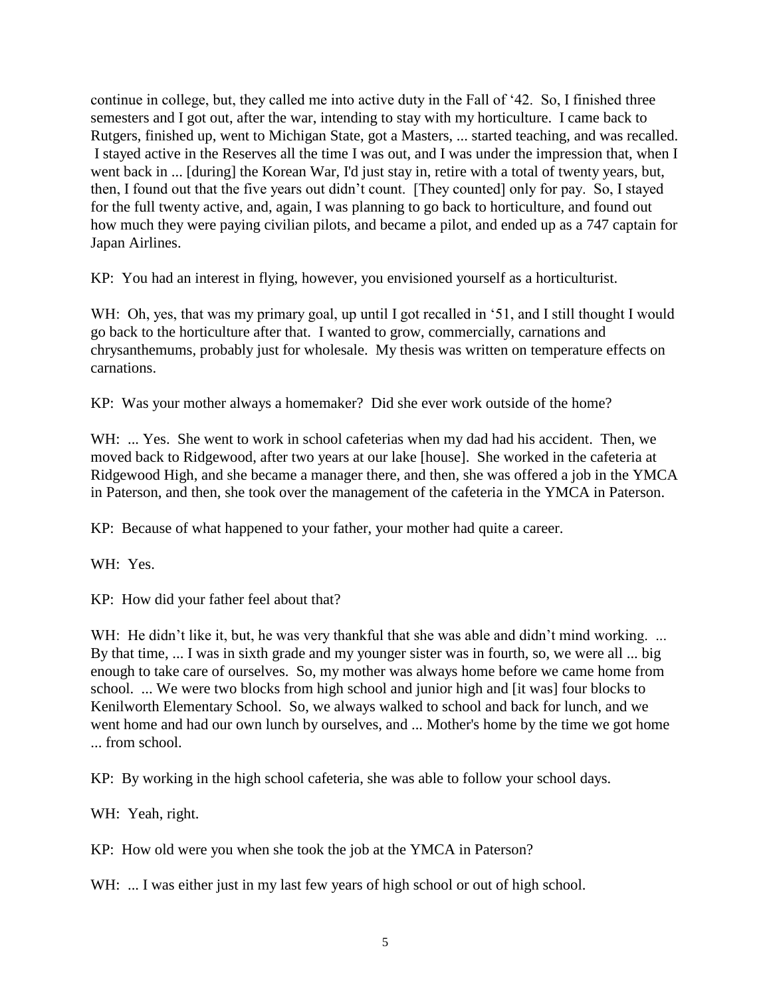continue in college, but, they called me into active duty in the Fall of '42. So, I finished three semesters and I got out, after the war, intending to stay with my horticulture. I came back to Rutgers, finished up, went to Michigan State, got a Masters, ... started teaching, and was recalled. I stayed active in the Reserves all the time I was out, and I was under the impression that, when I went back in ... [during] the Korean War, I'd just stay in, retire with a total of twenty years, but, then, I found out that the five years out didn't count. [They counted] only for pay. So, I stayed for the full twenty active, and, again, I was planning to go back to horticulture, and found out how much they were paying civilian pilots, and became a pilot, and ended up as a 747 captain for Japan Airlines.

KP: You had an interest in flying, however, you envisioned yourself as a horticulturist.

WH: Oh, yes, that was my primary goal, up until I got recalled in '51, and I still thought I would go back to the horticulture after that. I wanted to grow, commercially, carnations and chrysanthemums, probably just for wholesale. My thesis was written on temperature effects on carnations.

KP: Was your mother always a homemaker? Did she ever work outside of the home?

WH: ... Yes. She went to work in school cafeterias when my dad had his accident. Then, we moved back to Ridgewood, after two years at our lake [house]. She worked in the cafeteria at Ridgewood High, and she became a manager there, and then, she was offered a job in the YMCA in Paterson, and then, she took over the management of the cafeteria in the YMCA in Paterson.

KP: Because of what happened to your father, your mother had quite a career.

WH: Yes.

KP: How did your father feel about that?

WH: He didn't like it, but, he was very thankful that she was able and didn't mind working. ... By that time, ... I was in sixth grade and my younger sister was in fourth, so, we were all ... big enough to take care of ourselves. So, my mother was always home before we came home from school. ... We were two blocks from high school and junior high and [it was] four blocks to Kenilworth Elementary School. So, we always walked to school and back for lunch, and we went home and had our own lunch by ourselves, and ... Mother's home by the time we got home ... from school.

KP: By working in the high school cafeteria, she was able to follow your school days.

WH: Yeah, right.

KP: How old were you when she took the job at the YMCA in Paterson?

WH: ... I was either just in my last few years of high school or out of high school.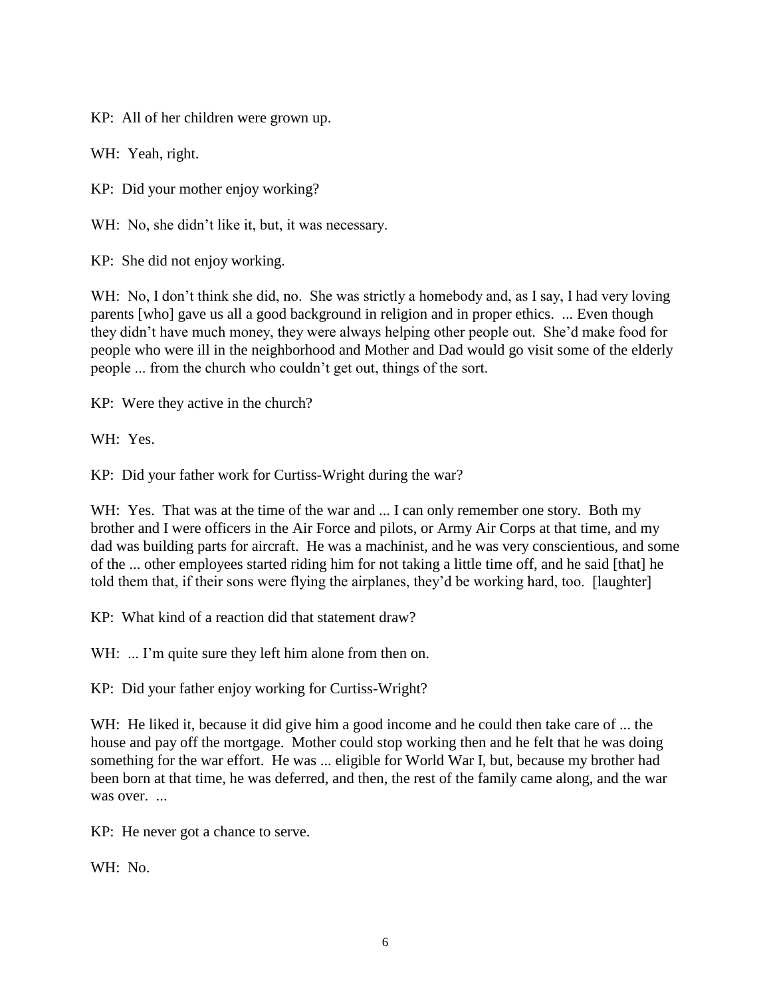KP: All of her children were grown up.

WH: Yeah, right.

KP: Did your mother enjoy working?

WH: No, she didn't like it, but, it was necessary.

KP: She did not enjoy working.

WH: No, I don't think she did, no. She was strictly a homebody and, as I say, I had very loving parents [who] gave us all a good background in religion and in proper ethics. ... Even though they didn't have much money, they were always helping other people out. She'd make food for people who were ill in the neighborhood and Mother and Dad would go visit some of the elderly people ... from the church who couldn't get out, things of the sort.

KP: Were they active in the church?

WH: Yes.

KP: Did your father work for Curtiss-Wright during the war?

WH: Yes. That was at the time of the war and ... I can only remember one story. Both my brother and I were officers in the Air Force and pilots, or Army Air Corps at that time, and my dad was building parts for aircraft. He was a machinist, and he was very conscientious, and some of the ... other employees started riding him for not taking a little time off, and he said [that] he told them that, if their sons were flying the airplanes, they'd be working hard, too. [laughter]

KP: What kind of a reaction did that statement draw?

WH: ... I'm quite sure they left him alone from then on.

KP: Did your father enjoy working for Curtiss-Wright?

WH: He liked it, because it did give him a good income and he could then take care of ... the house and pay off the mortgage. Mother could stop working then and he felt that he was doing something for the war effort. He was ... eligible for World War I, but, because my brother had been born at that time, he was deferred, and then, the rest of the family came along, and the war was over.

KP: He never got a chance to serve.

WH: No.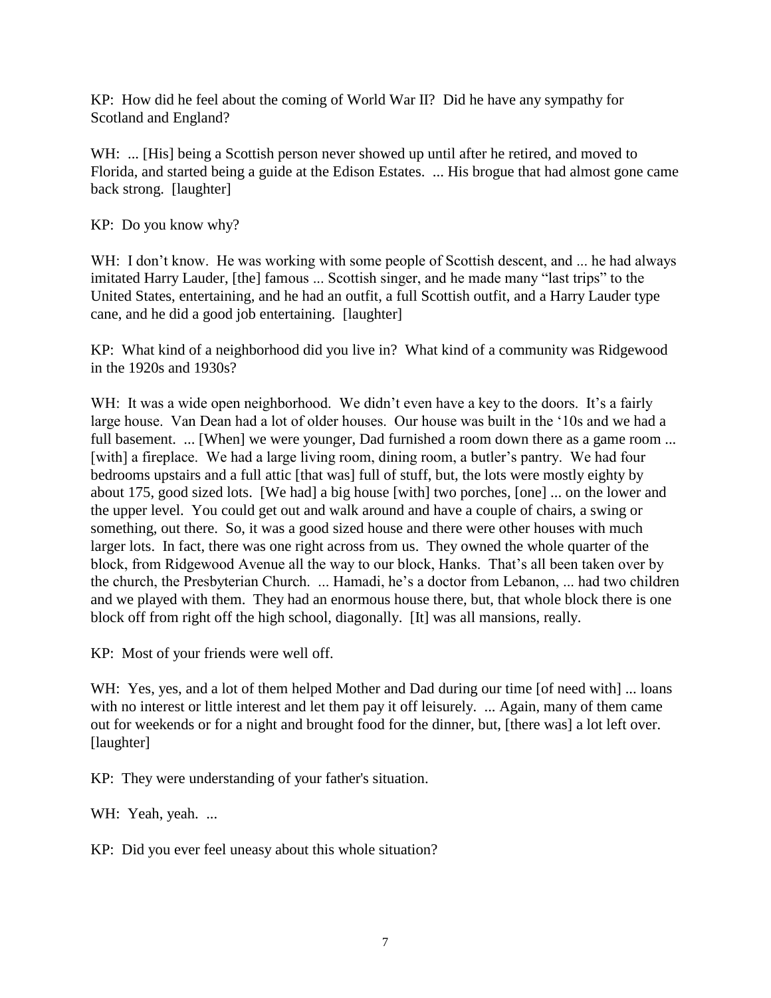KP: How did he feel about the coming of World War II? Did he have any sympathy for Scotland and England?

WH: ... [His] being a Scottish person never showed up until after he retired, and moved to Florida, and started being a guide at the Edison Estates. ... His brogue that had almost gone came back strong. [laughter]

KP: Do you know why?

WH: I don't know. He was working with some people of Scottish descent, and ... he had always imitated Harry Lauder, [the] famous ... Scottish singer, and he made many "last trips" to the United States, entertaining, and he had an outfit, a full Scottish outfit, and a Harry Lauder type cane, and he did a good job entertaining. [laughter]

KP: What kind of a neighborhood did you live in? What kind of a community was Ridgewood in the 1920s and 1930s?

WH: It was a wide open neighborhood. We didn't even have a key to the doors. It's a fairly large house. Van Dean had a lot of older houses. Our house was built in the '10s and we had a full basement. ... [When] we were younger, Dad furnished a room down there as a game room ... [with] a fireplace. We had a large living room, dining room, a butler's pantry. We had four bedrooms upstairs and a full attic [that was] full of stuff, but, the lots were mostly eighty by about 175, good sized lots. [We had] a big house [with] two porches, [one] ... on the lower and the upper level. You could get out and walk around and have a couple of chairs, a swing or something, out there. So, it was a good sized house and there were other houses with much larger lots. In fact, there was one right across from us. They owned the whole quarter of the block, from Ridgewood Avenue all the way to our block, Hanks. That's all been taken over by the church, the Presbyterian Church. ... Hamadi, he's a doctor from Lebanon, ... had two children and we played with them. They had an enormous house there, but, that whole block there is one block off from right off the high school, diagonally. [It] was all mansions, really.

KP: Most of your friends were well off.

WH: Yes, yes, and a lot of them helped Mother and Dad during our time [of need with] ... loans with no interest or little interest and let them pay it off leisurely. ... Again, many of them came out for weekends or for a night and brought food for the dinner, but, [there was] a lot left over. [laughter]

KP: They were understanding of your father's situation.

WH: Yeah, yeah. ...

KP: Did you ever feel uneasy about this whole situation?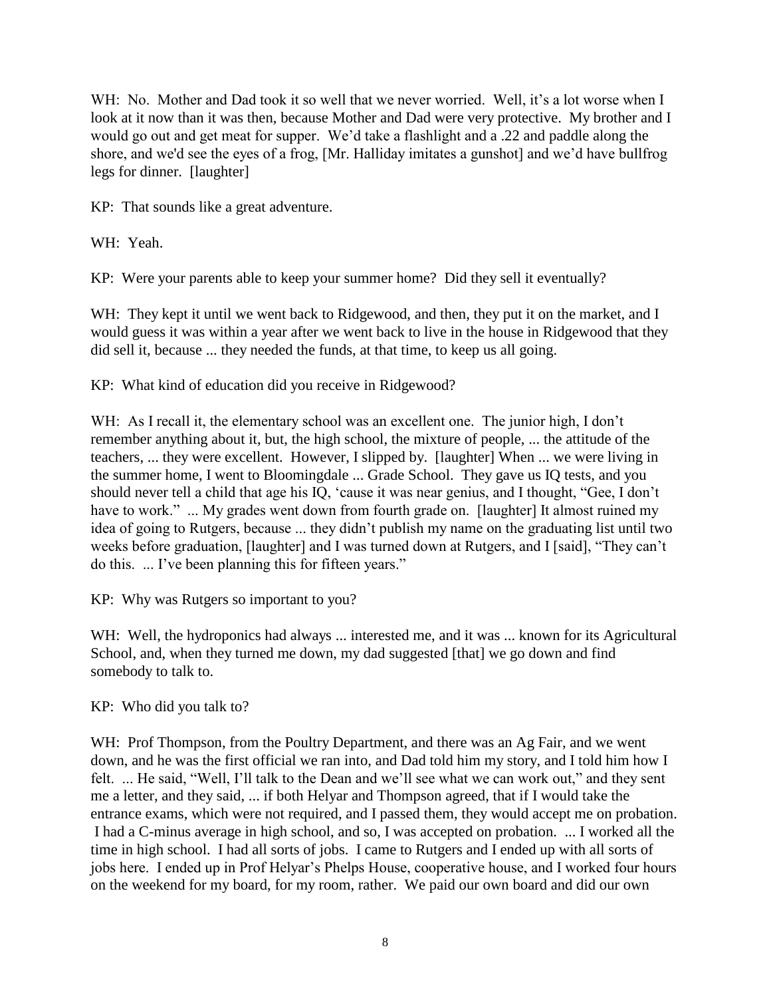WH: No. Mother and Dad took it so well that we never worried. Well, it's a lot worse when I look at it now than it was then, because Mother and Dad were very protective. My brother and I would go out and get meat for supper. We'd take a flashlight and a .22 and paddle along the shore, and we'd see the eyes of a frog, [Mr. Halliday imitates a gunshot] and we'd have bullfrog legs for dinner. [laughter]

KP: That sounds like a great adventure.

WH: Yeah.

KP: Were your parents able to keep your summer home? Did they sell it eventually?

WH: They kept it until we went back to Ridgewood, and then, they put it on the market, and I would guess it was within a year after we went back to live in the house in Ridgewood that they did sell it, because ... they needed the funds, at that time, to keep us all going.

KP: What kind of education did you receive in Ridgewood?

WH: As I recall it, the elementary school was an excellent one. The junior high, I don't remember anything about it, but, the high school, the mixture of people, ... the attitude of the teachers, ... they were excellent. However, I slipped by. [laughter] When ... we were living in the summer home, I went to Bloomingdale ... Grade School. They gave us IQ tests, and you should never tell a child that age his IQ, 'cause it was near genius, and I thought, "Gee, I don't have to work." ... My grades went down from fourth grade on. [laughter] It almost ruined my idea of going to Rutgers, because ... they didn't publish my name on the graduating list until two weeks before graduation, [laughter] and I was turned down at Rutgers, and I [said], "They can't do this. ... I've been planning this for fifteen years."

KP: Why was Rutgers so important to you?

WH: Well, the hydroponics had always ... interested me, and it was ... known for its Agricultural School, and, when they turned me down, my dad suggested [that] we go down and find somebody to talk to.

KP: Who did you talk to?

WH: Prof Thompson, from the Poultry Department, and there was an Ag Fair, and we went down, and he was the first official we ran into, and Dad told him my story, and I told him how I felt. ... He said, "Well, I'll talk to the Dean and we'll see what we can work out," and they sent me a letter, and they said, ... if both Helyar and Thompson agreed, that if I would take the entrance exams, which were not required, and I passed them, they would accept me on probation. I had a C-minus average in high school, and so, I was accepted on probation. ... I worked all the time in high school. I had all sorts of jobs. I came to Rutgers and I ended up with all sorts of jobs here. I ended up in Prof Helyar's Phelps House, cooperative house, and I worked four hours on the weekend for my board, for my room, rather. We paid our own board and did our own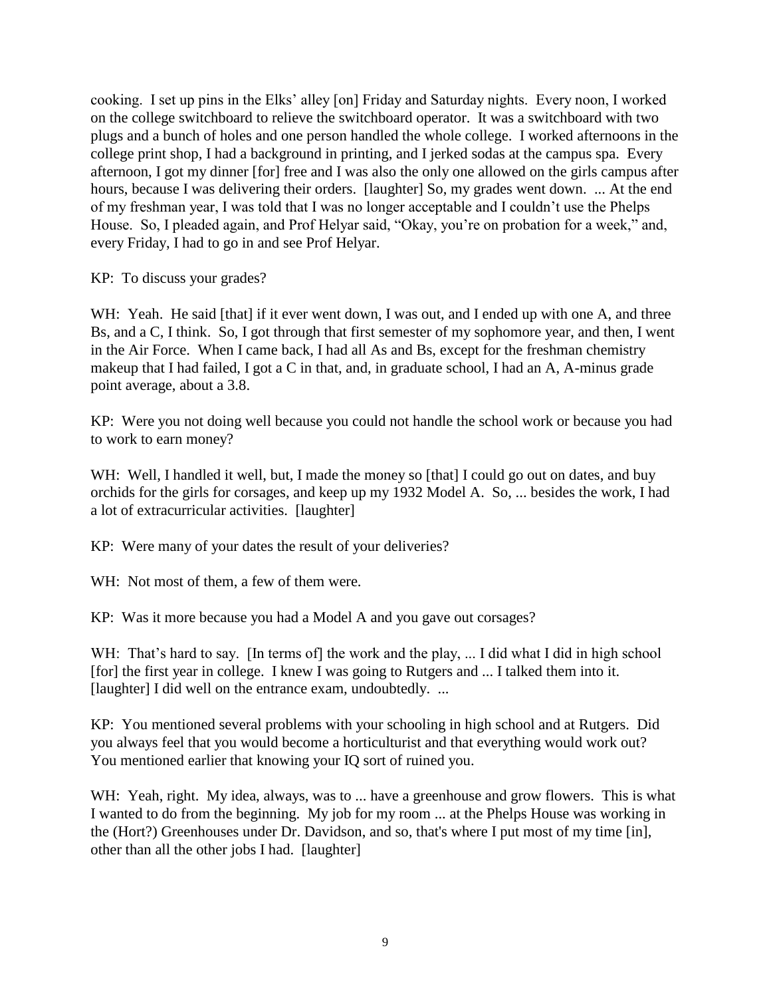cooking. I set up pins in the Elks' alley [on] Friday and Saturday nights. Every noon, I worked on the college switchboard to relieve the switchboard operator. It was a switchboard with two plugs and a bunch of holes and one person handled the whole college. I worked afternoons in the college print shop, I had a background in printing, and I jerked sodas at the campus spa. Every afternoon, I got my dinner [for] free and I was also the only one allowed on the girls campus after hours, because I was delivering their orders. [laughter] So, my grades went down. ... At the end of my freshman year, I was told that I was no longer acceptable and I couldn't use the Phelps House. So, I pleaded again, and Prof Helyar said, "Okay, you're on probation for a week," and, every Friday, I had to go in and see Prof Helyar.

KP: To discuss your grades?

WH: Yeah. He said [that] if it ever went down, I was out, and I ended up with one A, and three Bs, and a C, I think. So, I got through that first semester of my sophomore year, and then, I went in the Air Force. When I came back, I had all As and Bs, except for the freshman chemistry makeup that I had failed, I got a C in that, and, in graduate school, I had an A, A-minus grade point average, about a 3.8.

KP: Were you not doing well because you could not handle the school work or because you had to work to earn money?

WH: Well, I handled it well, but, I made the money so [that] I could go out on dates, and buy orchids for the girls for corsages, and keep up my 1932 Model A. So, ... besides the work, I had a lot of extracurricular activities. [laughter]

KP: Were many of your dates the result of your deliveries?

WH: Not most of them, a few of them were.

KP: Was it more because you had a Model A and you gave out corsages?

WH: That's hard to say. [In terms of] the work and the play, ... I did what I did in high school [for] the first year in college. I knew I was going to Rutgers and ... I talked them into it. [laughter] I did well on the entrance exam, undoubtedly. ...

KP: You mentioned several problems with your schooling in high school and at Rutgers. Did you always feel that you would become a horticulturist and that everything would work out? You mentioned earlier that knowing your IQ sort of ruined you.

WH: Yeah, right. My idea, always, was to ... have a greenhouse and grow flowers. This is what I wanted to do from the beginning. My job for my room ... at the Phelps House was working in the (Hort?) Greenhouses under Dr. Davidson, and so, that's where I put most of my time [in], other than all the other jobs I had. [laughter]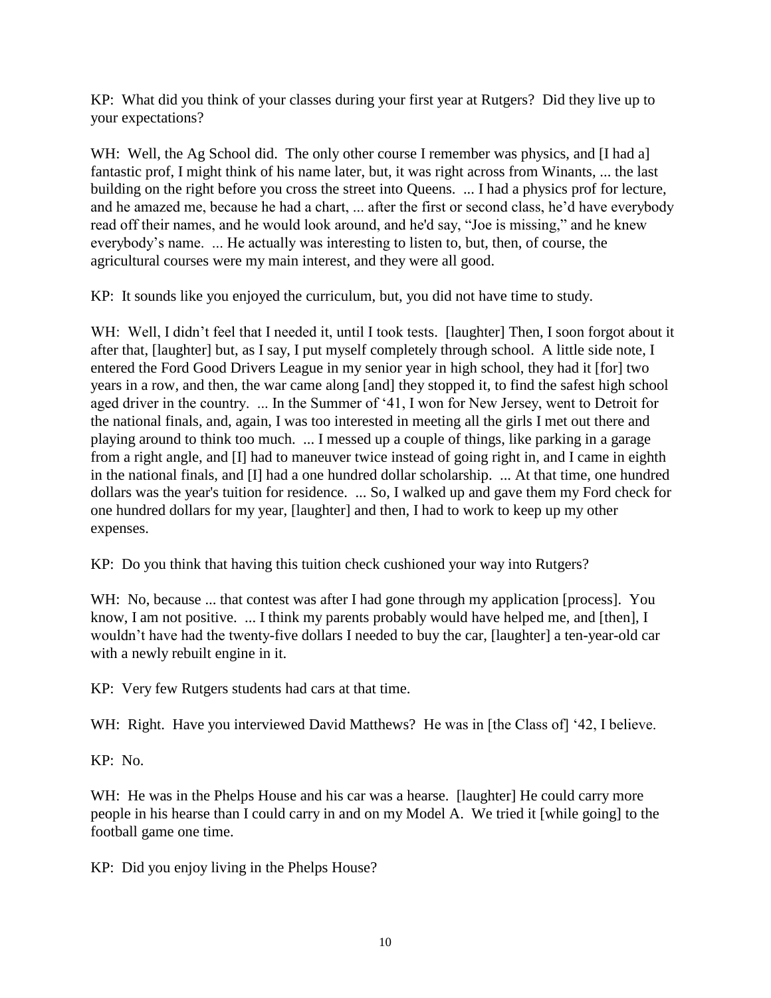KP: What did you think of your classes during your first year at Rutgers? Did they live up to your expectations?

WH: Well, the Ag School did. The only other course I remember was physics, and [I had a] fantastic prof, I might think of his name later, but, it was right across from Winants, ... the last building on the right before you cross the street into Queens. ... I had a physics prof for lecture, and he amazed me, because he had a chart, ... after the first or second class, he'd have everybody read off their names, and he would look around, and he'd say, "Joe is missing," and he knew everybody's name. ... He actually was interesting to listen to, but, then, of course, the agricultural courses were my main interest, and they were all good.

KP: It sounds like you enjoyed the curriculum, but, you did not have time to study.

WH: Well, I didn't feel that I needed it, until I took tests. [laughter] Then, I soon forgot about it after that, [laughter] but, as I say, I put myself completely through school. A little side note, I entered the Ford Good Drivers League in my senior year in high school, they had it [for] two years in a row, and then, the war came along [and] they stopped it, to find the safest high school aged driver in the country. ... In the Summer of '41, I won for New Jersey, went to Detroit for the national finals, and, again, I was too interested in meeting all the girls I met out there and playing around to think too much. ... I messed up a couple of things, like parking in a garage from a right angle, and [I] had to maneuver twice instead of going right in, and I came in eighth in the national finals, and [I] had a one hundred dollar scholarship. ... At that time, one hundred dollars was the year's tuition for residence. ... So, I walked up and gave them my Ford check for one hundred dollars for my year, [laughter] and then, I had to work to keep up my other expenses.

KP: Do you think that having this tuition check cushioned your way into Rutgers?

WH: No, because ... that contest was after I had gone through my application [process]. You know, I am not positive. ... I think my parents probably would have helped me, and [then], I wouldn't have had the twenty-five dollars I needed to buy the car, [laughter] a ten-year-old car with a newly rebuilt engine in it.

KP: Very few Rutgers students had cars at that time.

WH: Right. Have you interviewed David Matthews? He was in [the Class of] '42, I believe.

KP: No.

WH: He was in the Phelps House and his car was a hearse. [laughter] He could carry more people in his hearse than I could carry in and on my Model A. We tried it [while going] to the football game one time.

KP: Did you enjoy living in the Phelps House?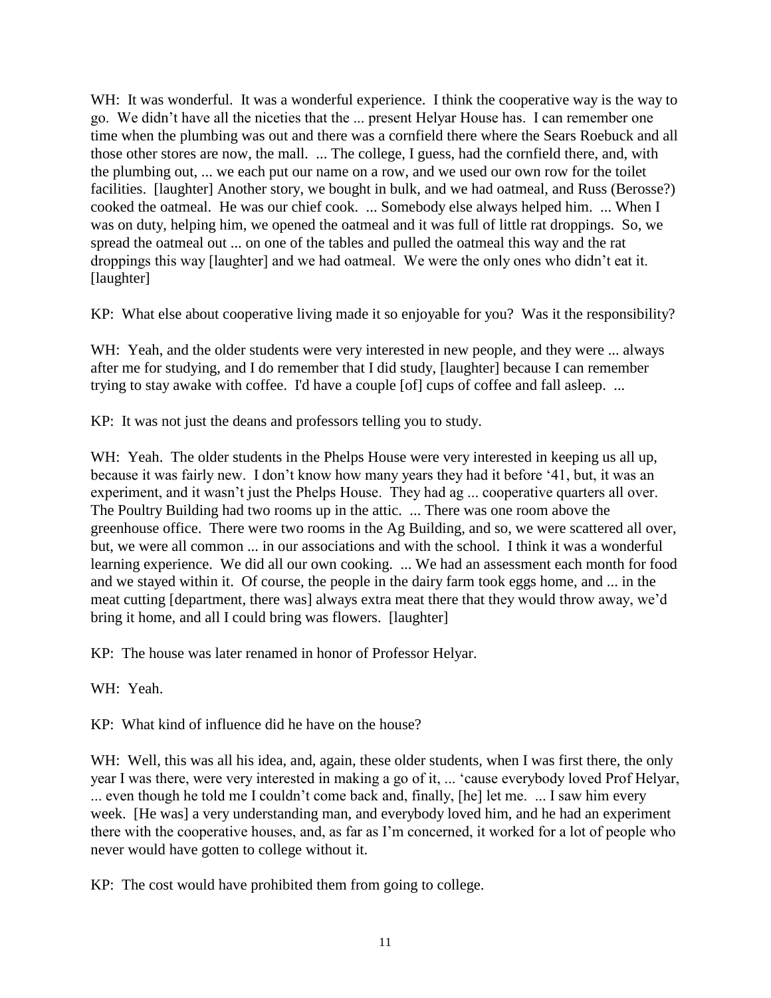WH: It was wonderful. It was a wonderful experience. I think the cooperative way is the way to go. We didn't have all the niceties that the ... present Helyar House has. I can remember one time when the plumbing was out and there was a cornfield there where the Sears Roebuck and all those other stores are now, the mall. ... The college, I guess, had the cornfield there, and, with the plumbing out, ... we each put our name on a row, and we used our own row for the toilet facilities. [laughter] Another story, we bought in bulk, and we had oatmeal, and Russ (Berosse?) cooked the oatmeal. He was our chief cook. ... Somebody else always helped him. ... When I was on duty, helping him, we opened the oatmeal and it was full of little rat droppings. So, we spread the oatmeal out ... on one of the tables and pulled the oatmeal this way and the rat droppings this way [laughter] and we had oatmeal. We were the only ones who didn't eat it. [laughter]

KP: What else about cooperative living made it so enjoyable for you? Was it the responsibility?

WH: Yeah, and the older students were very interested in new people, and they were ... always after me for studying, and I do remember that I did study, [laughter] because I can remember trying to stay awake with coffee. I'd have a couple [of] cups of coffee and fall asleep. ...

KP: It was not just the deans and professors telling you to study.

WH: Yeah. The older students in the Phelps House were very interested in keeping us all up, because it was fairly new. I don't know how many years they had it before '41, but, it was an experiment, and it wasn't just the Phelps House. They had ag ... cooperative quarters all over. The Poultry Building had two rooms up in the attic. ... There was one room above the greenhouse office. There were two rooms in the Ag Building, and so, we were scattered all over, but, we were all common ... in our associations and with the school. I think it was a wonderful learning experience. We did all our own cooking. ... We had an assessment each month for food and we stayed within it. Of course, the people in the dairy farm took eggs home, and ... in the meat cutting [department, there was] always extra meat there that they would throw away, we'd bring it home, and all I could bring was flowers. [laughter]

KP: The house was later renamed in honor of Professor Helyar.

WH: Yeah.

KP: What kind of influence did he have on the house?

WH: Well, this was all his idea, and, again, these older students, when I was first there, the only year I was there, were very interested in making a go of it, ... 'cause everybody loved Prof Helyar, ... even though he told me I couldn't come back and, finally, [he] let me. ... I saw him every week. [He was] a very understanding man, and everybody loved him, and he had an experiment there with the cooperative houses, and, as far as I'm concerned, it worked for a lot of people who never would have gotten to college without it.

KP: The cost would have prohibited them from going to college.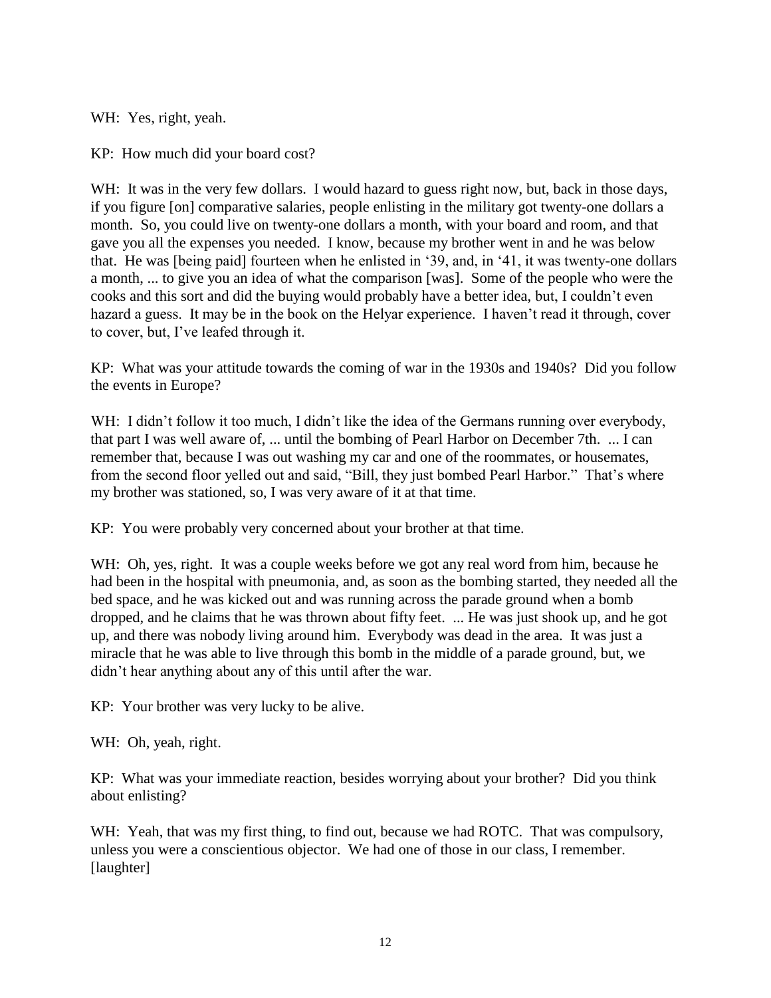WH: Yes, right, yeah.

KP: How much did your board cost?

WH: It was in the very few dollars. I would hazard to guess right now, but, back in those days, if you figure [on] comparative salaries, people enlisting in the military got twenty-one dollars a month. So, you could live on twenty-one dollars a month, with your board and room, and that gave you all the expenses you needed. I know, because my brother went in and he was below that. He was [being paid] fourteen when he enlisted in '39, and, in '41, it was twenty-one dollars a month, ... to give you an idea of what the comparison [was]. Some of the people who were the cooks and this sort and did the buying would probably have a better idea, but, I couldn't even hazard a guess. It may be in the book on the Helyar experience. I haven't read it through, cover to cover, but, I've leafed through it.

KP: What was your attitude towards the coming of war in the 1930s and 1940s? Did you follow the events in Europe?

WH: I didn't follow it too much, I didn't like the idea of the Germans running over everybody, that part I was well aware of, ... until the bombing of Pearl Harbor on December 7th. ... I can remember that, because I was out washing my car and one of the roommates, or housemates, from the second floor yelled out and said, "Bill, they just bombed Pearl Harbor." That's where my brother was stationed, so, I was very aware of it at that time.

KP: You were probably very concerned about your brother at that time.

WH: Oh, yes, right. It was a couple weeks before we got any real word from him, because he had been in the hospital with pneumonia, and, as soon as the bombing started, they needed all the bed space, and he was kicked out and was running across the parade ground when a bomb dropped, and he claims that he was thrown about fifty feet. ... He was just shook up, and he got up, and there was nobody living around him. Everybody was dead in the area. It was just a miracle that he was able to live through this bomb in the middle of a parade ground, but, we didn't hear anything about any of this until after the war.

KP: Your brother was very lucky to be alive.

WH: Oh, yeah, right.

KP: What was your immediate reaction, besides worrying about your brother? Did you think about enlisting?

WH: Yeah, that was my first thing, to find out, because we had ROTC. That was compulsory, unless you were a conscientious objector. We had one of those in our class, I remember. [laughter]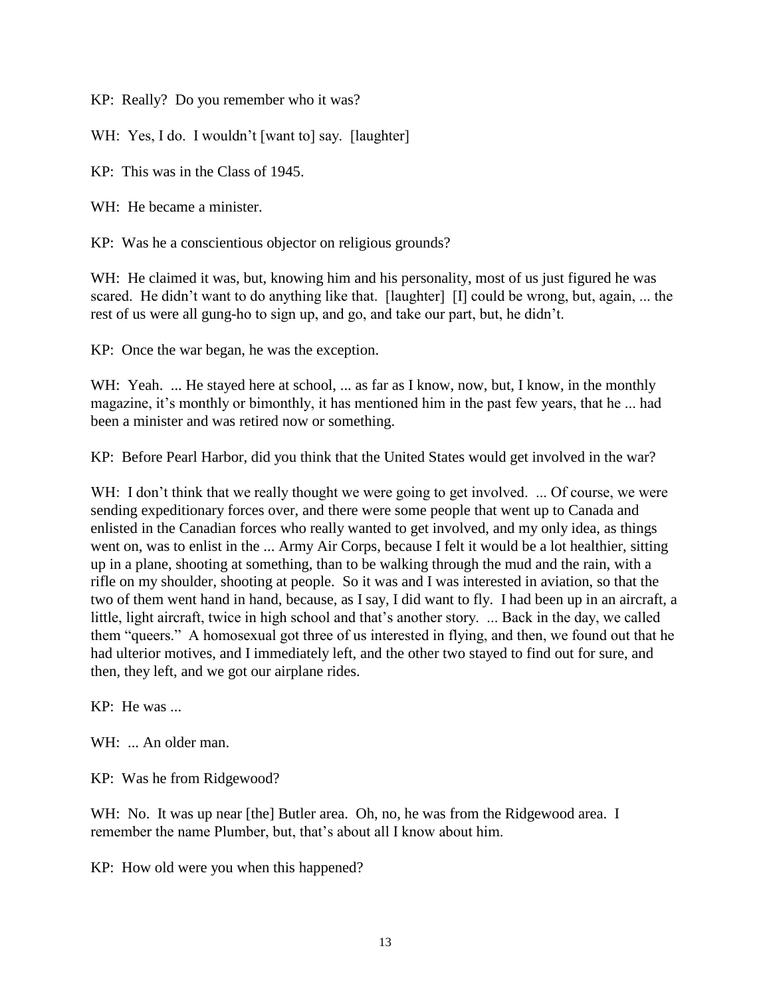KP: Really? Do you remember who it was?

WH: Yes, I do. I wouldn't [want to] say. [laughter]

KP: This was in the Class of 1945.

WH: He became a minister.

KP: Was he a conscientious objector on religious grounds?

WH: He claimed it was, but, knowing him and his personality, most of us just figured he was scared. He didn't want to do anything like that. [laughter] [I] could be wrong, but, again, ... the rest of us were all gung-ho to sign up, and go, and take our part, but, he didn't.

KP: Once the war began, he was the exception.

WH: Yeah. ... He stayed here at school, ... as far as I know, now, but, I know, in the monthly magazine, it's monthly or bimonthly, it has mentioned him in the past few years, that he ... had been a minister and was retired now or something.

KP: Before Pearl Harbor, did you think that the United States would get involved in the war?

WH: I don't think that we really thought we were going to get involved. ... Of course, we were sending expeditionary forces over, and there were some people that went up to Canada and enlisted in the Canadian forces who really wanted to get involved, and my only idea, as things went on, was to enlist in the ... Army Air Corps, because I felt it would be a lot healthier, sitting up in a plane, shooting at something, than to be walking through the mud and the rain, with a rifle on my shoulder, shooting at people. So it was and I was interested in aviation, so that the two of them went hand in hand, because, as I say, I did want to fly. I had been up in an aircraft, a little, light aircraft, twice in high school and that's another story. ... Back in the day, we called them "queers." A homosexual got three of us interested in flying, and then, we found out that he had ulterior motives, and I immediately left, and the other two stayed to find out for sure, and then, they left, and we got our airplane rides.

KP: He was ...

WH: ... An older man.

KP: Was he from Ridgewood?

WH: No. It was up near [the] Butler area. Oh, no, he was from the Ridgewood area. I remember the name Plumber, but, that's about all I know about him.

KP: How old were you when this happened?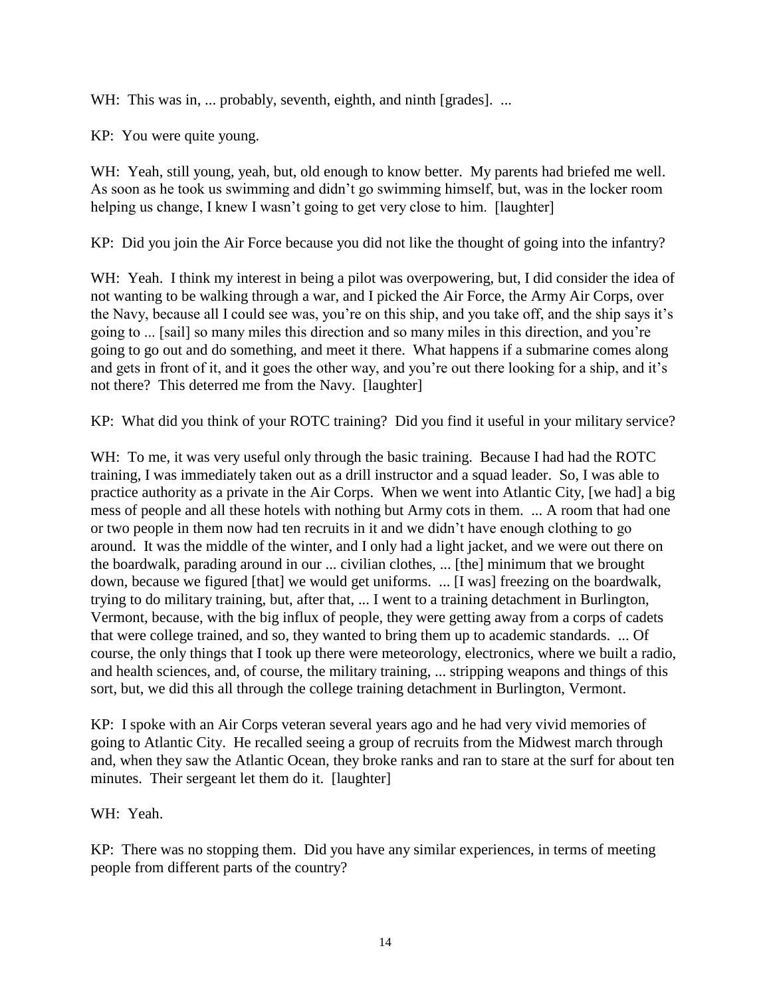WH: This was in, ... probably, seventh, eighth, and ninth [grades]. ...

KP: You were quite young.

WH: Yeah, still young, yeah, but, old enough to know better. My parents had briefed me well. As soon as he took us swimming and didn't go swimming himself, but, was in the locker room helping us change, I knew I wasn't going to get very close to him. [laughter]

KP: Did you join the Air Force because you did not like the thought of going into the infantry?

WH: Yeah. I think my interest in being a pilot was overpowering, but, I did consider the idea of not wanting to be walking through a war, and I picked the Air Force, the Army Air Corps, over the Navy, because all I could see was, you're on this ship, and you take off, and the ship says it's going to ... [sail] so many miles this direction and so many miles in this direction, and you're going to go out and do something, and meet it there. What happens if a submarine comes along and gets in front of it, and it goes the other way, and you're out there looking for a ship, and it's not there? This deterred me from the Navy. [laughter]

KP: What did you think of your ROTC training? Did you find it useful in your military service?

WH: To me, it was very useful only through the basic training. Because I had had the ROTC training, I was immediately taken out as a drill instructor and a squad leader. So, I was able to practice authority as a private in the Air Corps. When we went into Atlantic City, [we had] a big mess of people and all these hotels with nothing but Army cots in them. ... A room that had one or two people in them now had ten recruits in it and we didn't have enough clothing to go around. It was the middle of the winter, and I only had a light jacket, and we were out there on the boardwalk, parading around in our ... civilian clothes, ... [the] minimum that we brought down, because we figured [that] we would get uniforms. ... [I was] freezing on the boardwalk, trying to do military training, but, after that, ... I went to a training detachment in Burlington, Vermont, because, with the big influx of people, they were getting away from a corps of cadets that were college trained, and so, they wanted to bring them up to academic standards. ... Of course, the only things that I took up there were meteorology, electronics, where we built a radio, and health sciences, and, of course, the military training, ... stripping weapons and things of this sort, but, we did this all through the college training detachment in Burlington, Vermont.

KP: I spoke with an Air Corps veteran several years ago and he had very vivid memories of going to Atlantic City. He recalled seeing a group of recruits from the Midwest march through and, when they saw the Atlantic Ocean, they broke ranks and ran to stare at the surf for about ten minutes. Their sergeant let them do it. [laughter]

WH: Yeah.

KP: There was no stopping them. Did you have any similar experiences, in terms of meeting people from different parts of the country?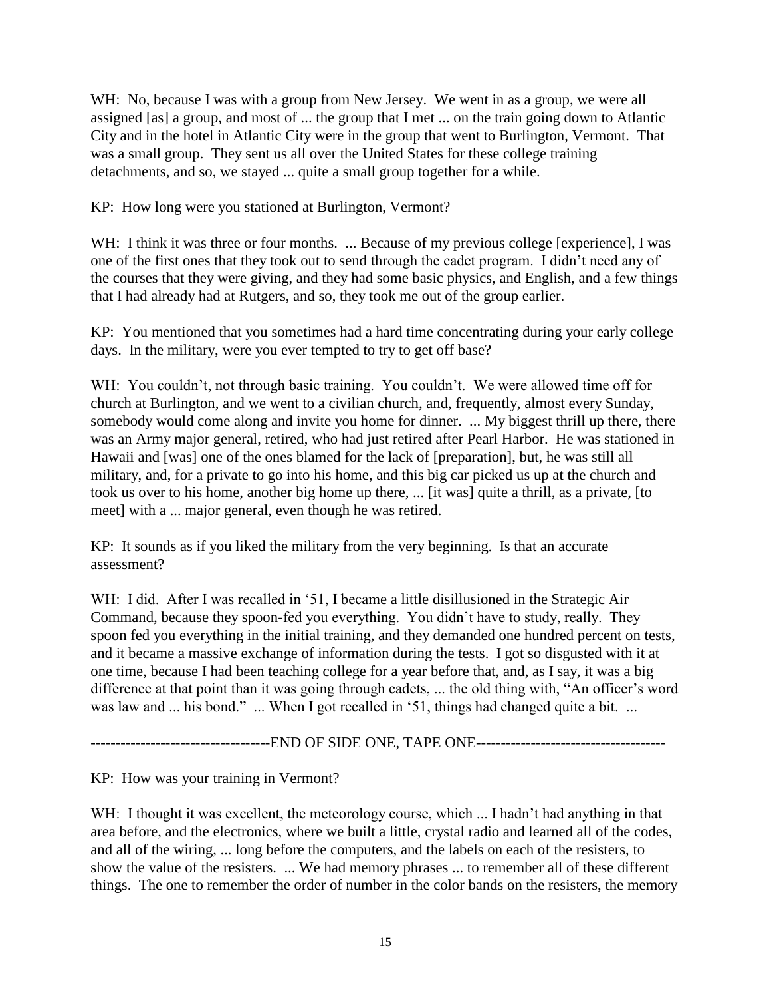WH: No, because I was with a group from New Jersey. We went in as a group, we were all assigned [as] a group, and most of ... the group that I met ... on the train going down to Atlantic City and in the hotel in Atlantic City were in the group that went to Burlington, Vermont. That was a small group. They sent us all over the United States for these college training detachments, and so, we stayed ... quite a small group together for a while.

KP: How long were you stationed at Burlington, Vermont?

WH: I think it was three or four months. ... Because of my previous college [experience], I was one of the first ones that they took out to send through the cadet program. I didn't need any of the courses that they were giving, and they had some basic physics, and English, and a few things that I had already had at Rutgers, and so, they took me out of the group earlier.

KP: You mentioned that you sometimes had a hard time concentrating during your early college days. In the military, were you ever tempted to try to get off base?

WH: You couldn't, not through basic training. You couldn't. We were allowed time off for church at Burlington, and we went to a civilian church, and, frequently, almost every Sunday, somebody would come along and invite you home for dinner. ... My biggest thrill up there, there was an Army major general, retired, who had just retired after Pearl Harbor. He was stationed in Hawaii and [was] one of the ones blamed for the lack of [preparation], but, he was still all military, and, for a private to go into his home, and this big car picked us up at the church and took us over to his home, another big home up there, ... [it was] quite a thrill, as a private, [to meet] with a ... major general, even though he was retired.

KP: It sounds as if you liked the military from the very beginning. Is that an accurate assessment?

WH: I did. After I was recalled in '51, I became a little disillusioned in the Strategic Air Command, because they spoon-fed you everything. You didn't have to study, really. They spoon fed you everything in the initial training, and they demanded one hundred percent on tests, and it became a massive exchange of information during the tests. I got so disgusted with it at one time, because I had been teaching college for a year before that, and, as I say, it was a big difference at that point than it was going through cadets, ... the old thing with, "An officer's word was law and ... his bond." ... When I got recalled in '51, things had changed quite a bit. ...

------------------------------------END OF SIDE ONE, TAPE ONE--------------------------------------

KP: How was your training in Vermont?

WH: I thought it was excellent, the meteorology course, which ... I hadn't had anything in that area before, and the electronics, where we built a little, crystal radio and learned all of the codes, and all of the wiring, ... long before the computers, and the labels on each of the resisters, to show the value of the resisters. ... We had memory phrases ... to remember all of these different things. The one to remember the order of number in the color bands on the resisters, the memory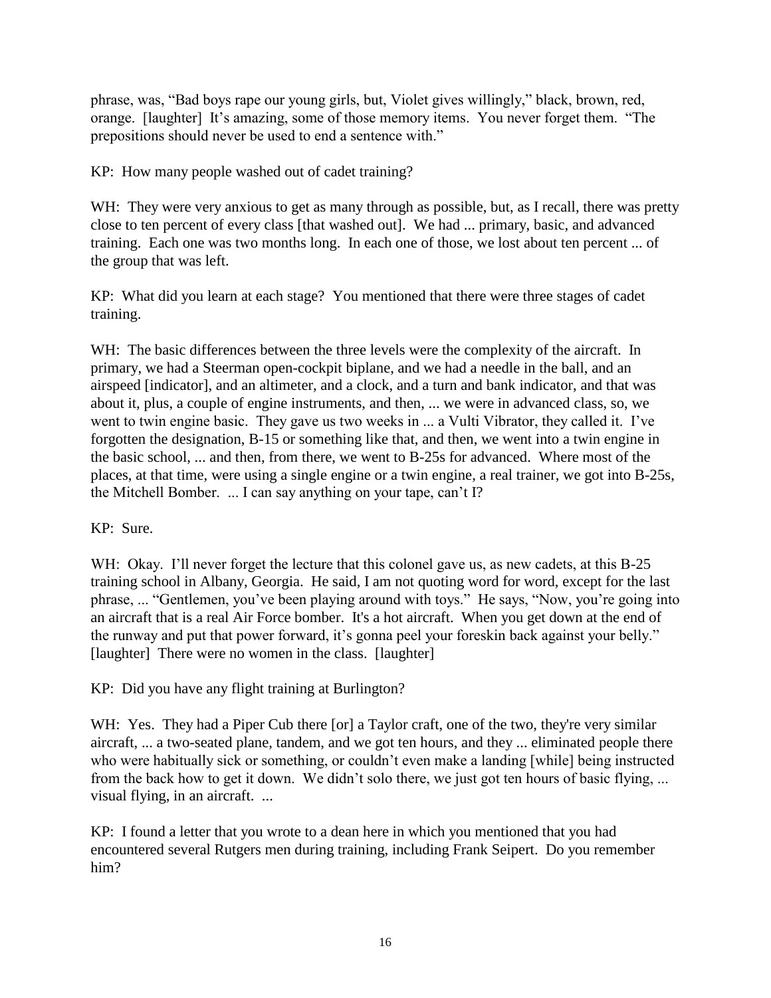phrase, was, "Bad boys rape our young girls, but, Violet gives willingly," black, brown, red, orange. [laughter] It's amazing, some of those memory items. You never forget them. "The prepositions should never be used to end a sentence with."

KP: How many people washed out of cadet training?

WH: They were very anxious to get as many through as possible, but, as I recall, there was pretty close to ten percent of every class [that washed out]. We had ... primary, basic, and advanced training. Each one was two months long. In each one of those, we lost about ten percent ... of the group that was left.

KP: What did you learn at each stage? You mentioned that there were three stages of cadet training.

WH: The basic differences between the three levels were the complexity of the aircraft. In primary, we had a Steerman open-cockpit biplane, and we had a needle in the ball, and an airspeed [indicator], and an altimeter, and a clock, and a turn and bank indicator, and that was about it, plus, a couple of engine instruments, and then, ... we were in advanced class, so, we went to twin engine basic. They gave us two weeks in ... a Vulti Vibrator, they called it. I've forgotten the designation, B-15 or something like that, and then, we went into a twin engine in the basic school, ... and then, from there, we went to B-25s for advanced. Where most of the places, at that time, were using a single engine or a twin engine, a real trainer, we got into B-25s, the Mitchell Bomber. ... I can say anything on your tape, can't I?

KP: Sure.

WH: Okay. I'll never forget the lecture that this colonel gave us, as new cadets, at this B-25 training school in Albany, Georgia. He said, I am not quoting word for word, except for the last phrase, ... "Gentlemen, you've been playing around with toys." He says, "Now, you're going into an aircraft that is a real Air Force bomber. It's a hot aircraft. When you get down at the end of the runway and put that power forward, it's gonna peel your foreskin back against your belly." [laughter] There were no women in the class. [laughter]

KP: Did you have any flight training at Burlington?

WH: Yes. They had a Piper Cub there [or] a Taylor craft, one of the two, they're very similar aircraft, ... a two-seated plane, tandem, and we got ten hours, and they ... eliminated people there who were habitually sick or something, or couldn't even make a landing [while] being instructed from the back how to get it down. We didn't solo there, we just got ten hours of basic flying, ... visual flying, in an aircraft. ...

KP: I found a letter that you wrote to a dean here in which you mentioned that you had encountered several Rutgers men during training, including Frank Seipert. Do you remember him?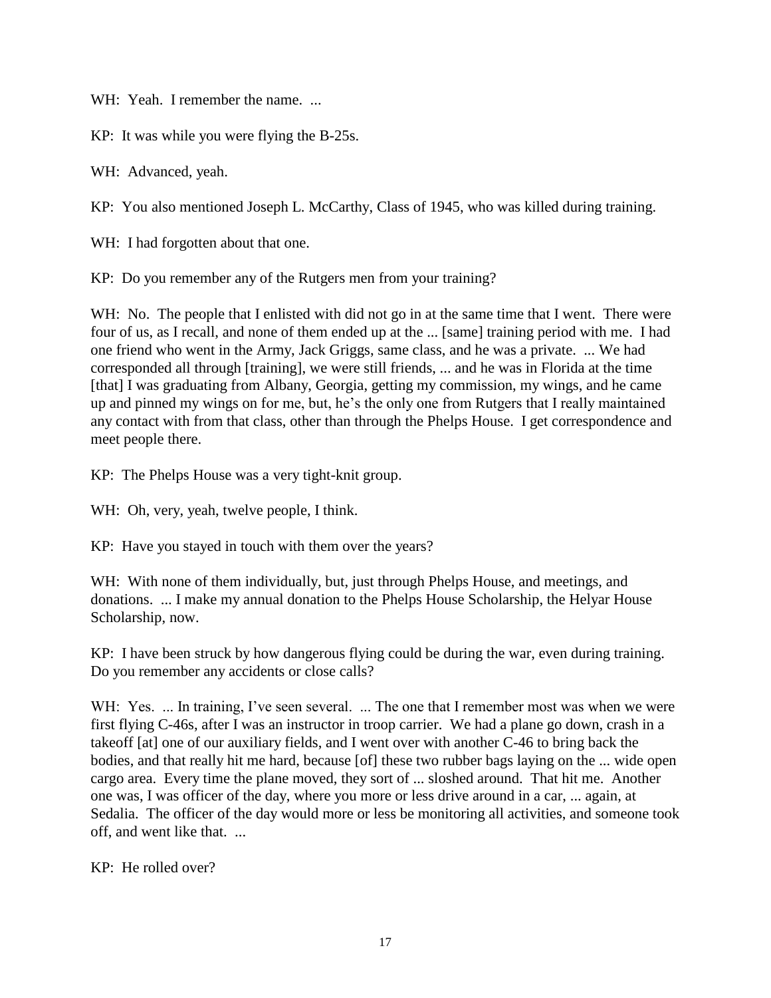WH: Yeah. I remember the name. ...

KP: It was while you were flying the B-25s.

WH: Advanced, yeah.

KP: You also mentioned Joseph L. McCarthy, Class of 1945, who was killed during training.

WH: I had forgotten about that one.

KP: Do you remember any of the Rutgers men from your training?

WH: No. The people that I enlisted with did not go in at the same time that I went. There were four of us, as I recall, and none of them ended up at the ... [same] training period with me. I had one friend who went in the Army, Jack Griggs, same class, and he was a private. ... We had corresponded all through [training], we were still friends, ... and he was in Florida at the time [that] I was graduating from Albany, Georgia, getting my commission, my wings, and he came up and pinned my wings on for me, but, he's the only one from Rutgers that I really maintained any contact with from that class, other than through the Phelps House. I get correspondence and meet people there.

KP: The Phelps House was a very tight-knit group.

WH: Oh, very, yeah, twelve people, I think.

KP: Have you stayed in touch with them over the years?

WH: With none of them individually, but, just through Phelps House, and meetings, and donations. ... I make my annual donation to the Phelps House Scholarship, the Helyar House Scholarship, now.

KP: I have been struck by how dangerous flying could be during the war, even during training. Do you remember any accidents or close calls?

WH: Yes. ... In training, I've seen several. ... The one that I remember most was when we were first flying C-46s, after I was an instructor in troop carrier. We had a plane go down, crash in a takeoff [at] one of our auxiliary fields, and I went over with another C-46 to bring back the bodies, and that really hit me hard, because [of] these two rubber bags laying on the ... wide open cargo area. Every time the plane moved, they sort of ... sloshed around. That hit me. Another one was, I was officer of the day, where you more or less drive around in a car, ... again, at Sedalia. The officer of the day would more or less be monitoring all activities, and someone took off, and went like that. ...

KP: He rolled over?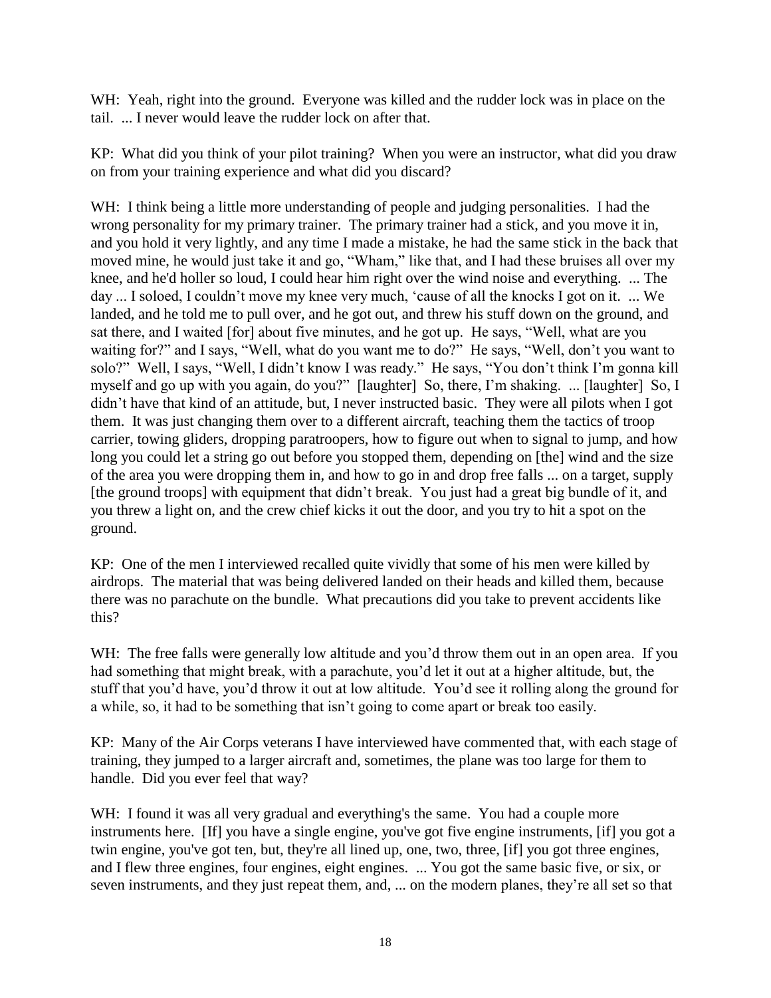WH: Yeah, right into the ground. Everyone was killed and the rudder lock was in place on the tail. ... I never would leave the rudder lock on after that.

KP: What did you think of your pilot training? When you were an instructor, what did you draw on from your training experience and what did you discard?

WH: I think being a little more understanding of people and judging personalities. I had the wrong personality for my primary trainer. The primary trainer had a stick, and you move it in, and you hold it very lightly, and any time I made a mistake, he had the same stick in the back that moved mine, he would just take it and go, "Wham," like that, and I had these bruises all over my knee, and he'd holler so loud, I could hear him right over the wind noise and everything. ... The day ... I soloed, I couldn't move my knee very much, 'cause of all the knocks I got on it. ... We landed, and he told me to pull over, and he got out, and threw his stuff down on the ground, and sat there, and I waited [for] about five minutes, and he got up. He says, "Well, what are you waiting for?" and I says, "Well, what do you want me to do?" He says, "Well, don't you want to solo?" Well, I says, "Well, I didn't know I was ready." He says, "You don't think I'm gonna kill myself and go up with you again, do you?" [laughter] So, there, I'm shaking. ... [laughter] So, I didn't have that kind of an attitude, but, I never instructed basic. They were all pilots when I got them. It was just changing them over to a different aircraft, teaching them the tactics of troop carrier, towing gliders, dropping paratroopers, how to figure out when to signal to jump, and how long you could let a string go out before you stopped them, depending on [the] wind and the size of the area you were dropping them in, and how to go in and drop free falls ... on a target, supply [the ground troops] with equipment that didn't break. You just had a great big bundle of it, and you threw a light on, and the crew chief kicks it out the door, and you try to hit a spot on the ground.

KP: One of the men I interviewed recalled quite vividly that some of his men were killed by airdrops. The material that was being delivered landed on their heads and killed them, because there was no parachute on the bundle. What precautions did you take to prevent accidents like this?

WH: The free falls were generally low altitude and you'd throw them out in an open area. If you had something that might break, with a parachute, you'd let it out at a higher altitude, but, the stuff that you'd have, you'd throw it out at low altitude. You'd see it rolling along the ground for a while, so, it had to be something that isn't going to come apart or break too easily.

KP: Many of the Air Corps veterans I have interviewed have commented that, with each stage of training, they jumped to a larger aircraft and, sometimes, the plane was too large for them to handle. Did you ever feel that way?

WH: I found it was all very gradual and everything's the same. You had a couple more instruments here. [If] you have a single engine, you've got five engine instruments, [if] you got a twin engine, you've got ten, but, they're all lined up, one, two, three, [if] you got three engines, and I flew three engines, four engines, eight engines. ... You got the same basic five, or six, or seven instruments, and they just repeat them, and, ... on the modern planes, they're all set so that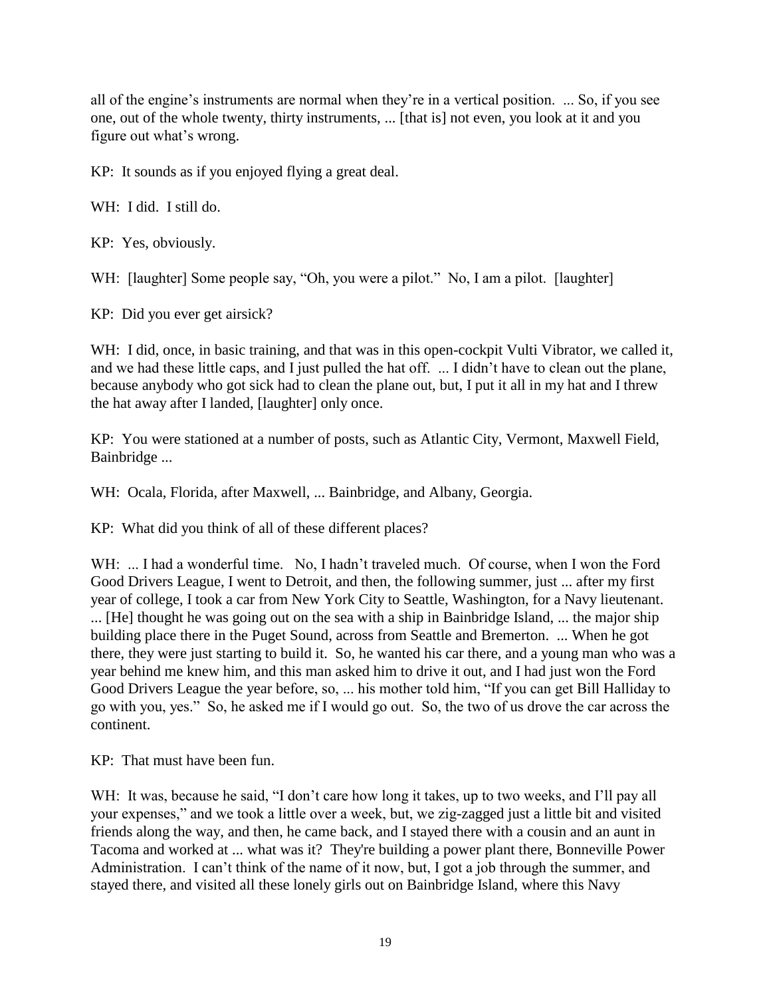all of the engine's instruments are normal when they're in a vertical position. ... So, if you see one, out of the whole twenty, thirty instruments, ... [that is] not even, you look at it and you figure out what's wrong.

KP: It sounds as if you enjoyed flying a great deal.

WH: I did. I still do.

KP: Yes, obviously.

WH: [laughter] Some people say, "Oh, you were a pilot." No, I am a pilot. [laughter]

KP: Did you ever get airsick?

WH: I did, once, in basic training, and that was in this open-cockpit Vulti Vibrator, we called it, and we had these little caps, and I just pulled the hat off. ... I didn't have to clean out the plane, because anybody who got sick had to clean the plane out, but, I put it all in my hat and I threw the hat away after I landed, [laughter] only once.

KP: You were stationed at a number of posts, such as Atlantic City, Vermont, Maxwell Field, Bainbridge ...

WH: Ocala, Florida, after Maxwell, ... Bainbridge, and Albany, Georgia.

KP: What did you think of all of these different places?

WH: ... I had a wonderful time. No, I hadn't traveled much. Of course, when I won the Ford Good Drivers League, I went to Detroit, and then, the following summer, just ... after my first year of college, I took a car from New York City to Seattle, Washington, for a Navy lieutenant. ... [He] thought he was going out on the sea with a ship in Bainbridge Island, ... the major ship building place there in the Puget Sound, across from Seattle and Bremerton. ... When he got there, they were just starting to build it. So, he wanted his car there, and a young man who was a year behind me knew him, and this man asked him to drive it out, and I had just won the Ford Good Drivers League the year before, so, ... his mother told him, "If you can get Bill Halliday to go with you, yes." So, he asked me if I would go out. So, the two of us drove the car across the continent.

KP: That must have been fun.

WH: It was, because he said, "I don't care how long it takes, up to two weeks, and I'll pay all your expenses," and we took a little over a week, but, we zig-zagged just a little bit and visited friends along the way, and then, he came back, and I stayed there with a cousin and an aunt in Tacoma and worked at ... what was it? They're building a power plant there, Bonneville Power Administration. I can't think of the name of it now, but, I got a job through the summer, and stayed there, and visited all these lonely girls out on Bainbridge Island, where this Navy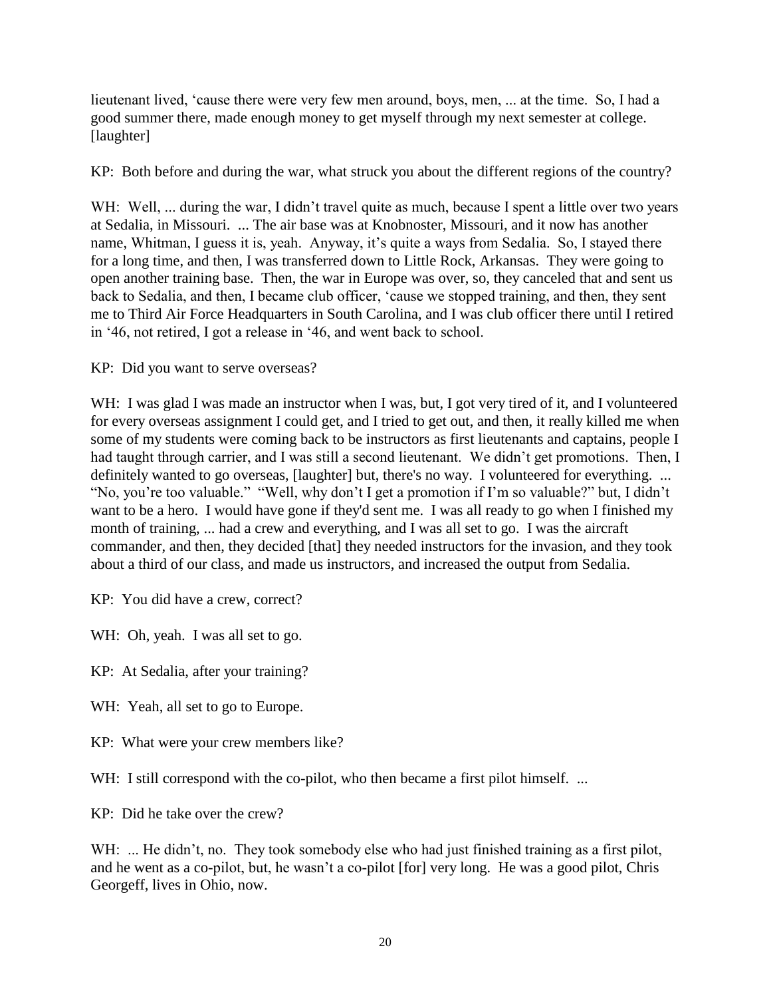lieutenant lived, 'cause there were very few men around, boys, men, ... at the time. So, I had a good summer there, made enough money to get myself through my next semester at college. [laughter]

KP: Both before and during the war, what struck you about the different regions of the country?

WH: Well, ... during the war, I didn't travel quite as much, because I spent a little over two years at Sedalia, in Missouri. ... The air base was at Knobnoster, Missouri, and it now has another name, Whitman, I guess it is, yeah. Anyway, it's quite a ways from Sedalia. So, I stayed there for a long time, and then, I was transferred down to Little Rock, Arkansas. They were going to open another training base. Then, the war in Europe was over, so, they canceled that and sent us back to Sedalia, and then, I became club officer, 'cause we stopped training, and then, they sent me to Third Air Force Headquarters in South Carolina, and I was club officer there until I retired in '46, not retired, I got a release in '46, and went back to school.

KP: Did you want to serve overseas?

WH: I was glad I was made an instructor when I was, but, I got very tired of it, and I volunteered for every overseas assignment I could get, and I tried to get out, and then, it really killed me when some of my students were coming back to be instructors as first lieutenants and captains, people I had taught through carrier, and I was still a second lieutenant. We didn't get promotions. Then, I definitely wanted to go overseas, [laughter] but, there's no way. I volunteered for everything. ... "No, you're too valuable." "Well, why don't I get a promotion if I'm so valuable?" but, I didn't want to be a hero. I would have gone if they'd sent me. I was all ready to go when I finished my month of training, ... had a crew and everything, and I was all set to go. I was the aircraft commander, and then, they decided [that] they needed instructors for the invasion, and they took about a third of our class, and made us instructors, and increased the output from Sedalia.

KP: You did have a crew, correct?

WH: Oh, yeah. I was all set to go.

KP: At Sedalia, after your training?

WH: Yeah, all set to go to Europe.

KP: What were your crew members like?

WH: I still correspond with the co-pilot, who then became a first pilot himself. ...

KP: Did he take over the crew?

WH: ... He didn't, no. They took somebody else who had just finished training as a first pilot, and he went as a co-pilot, but, he wasn't a co-pilot [for] very long. He was a good pilot, Chris Georgeff, lives in Ohio, now.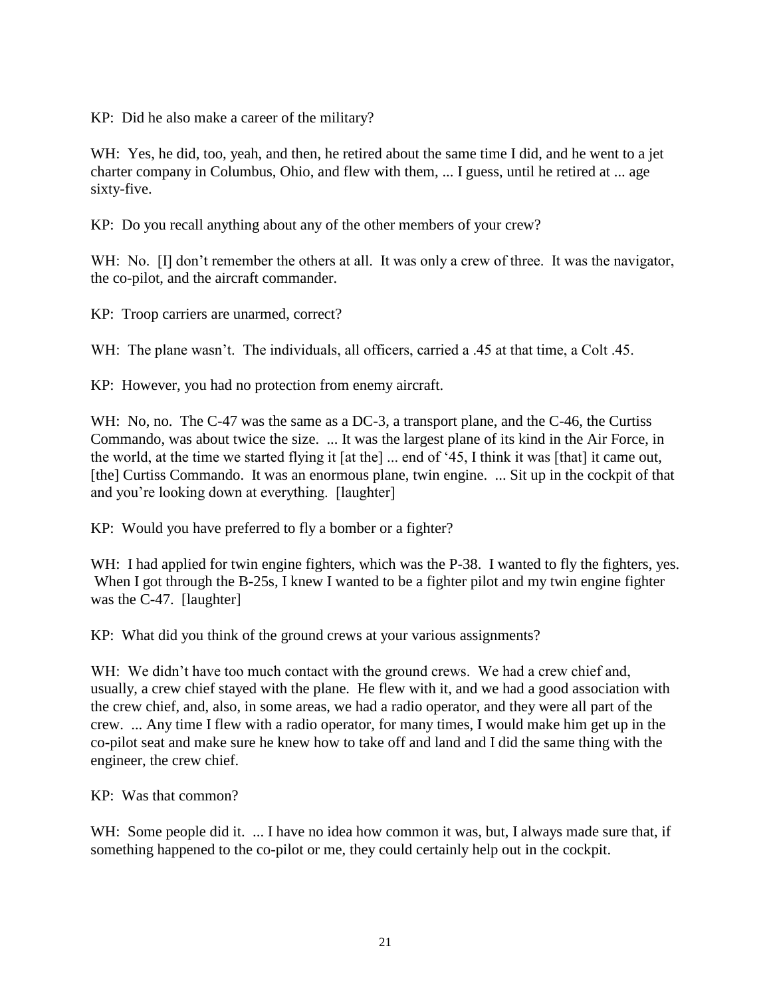KP: Did he also make a career of the military?

WH: Yes, he did, too, yeah, and then, he retired about the same time I did, and he went to a jet charter company in Columbus, Ohio, and flew with them, ... I guess, until he retired at ... age sixty-five.

KP: Do you recall anything about any of the other members of your crew?

WH: No. II don't remember the others at all. It was only a crew of three. It was the navigator, the co-pilot, and the aircraft commander.

KP: Troop carriers are unarmed, correct?

WH: The plane wasn't. The individuals, all officers, carried a .45 at that time, a Colt .45.

KP: However, you had no protection from enemy aircraft.

WH: No, no. The C-47 was the same as a DC-3, a transport plane, and the C-46, the Curtiss Commando, was about twice the size. ... It was the largest plane of its kind in the Air Force, in the world, at the time we started flying it [at the] ... end of '45, I think it was [that] it came out, [the] Curtiss Commando. It was an enormous plane, twin engine. ... Sit up in the cockpit of that and you're looking down at everything. [laughter]

KP: Would you have preferred to fly a bomber or a fighter?

WH: I had applied for twin engine fighters, which was the P-38. I wanted to fly the fighters, yes. When I got through the B-25s, I knew I wanted to be a fighter pilot and my twin engine fighter was the C-47. [laughter]

KP: What did you think of the ground crews at your various assignments?

WH: We didn't have too much contact with the ground crews. We had a crew chief and, usually, a crew chief stayed with the plane. He flew with it, and we had a good association with the crew chief, and, also, in some areas, we had a radio operator, and they were all part of the crew. ... Any time I flew with a radio operator, for many times, I would make him get up in the co-pilot seat and make sure he knew how to take off and land and I did the same thing with the engineer, the crew chief.

KP: Was that common?

WH: Some people did it. ... I have no idea how common it was, but, I always made sure that, if something happened to the co-pilot or me, they could certainly help out in the cockpit.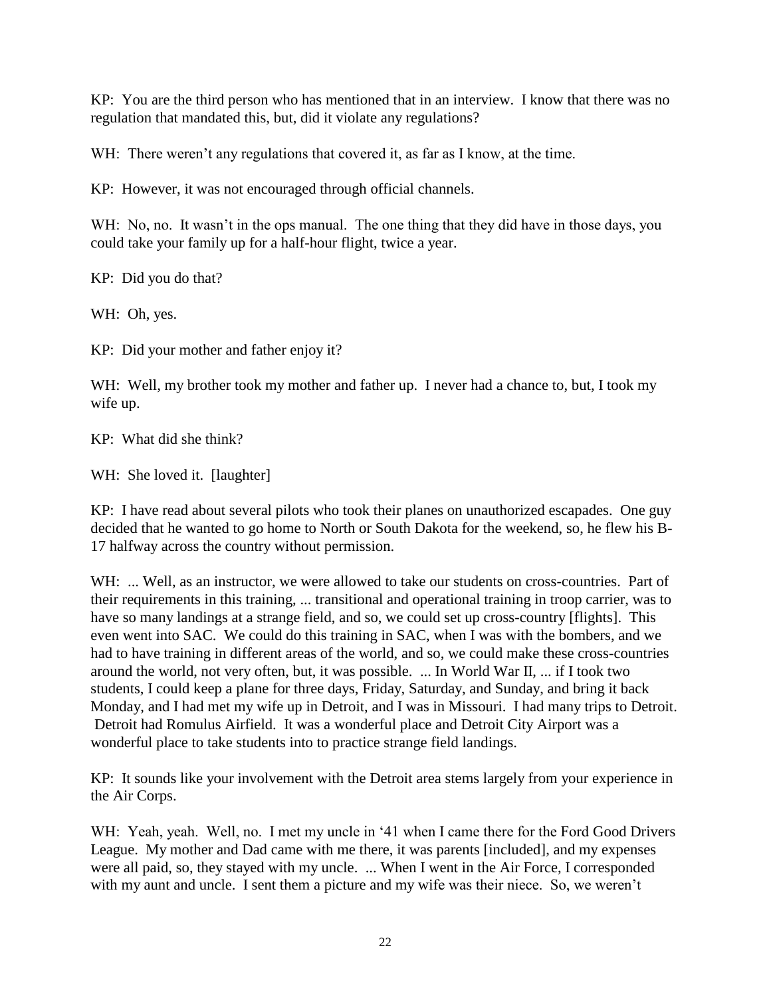KP: You are the third person who has mentioned that in an interview. I know that there was no regulation that mandated this, but, did it violate any regulations?

WH: There weren't any regulations that covered it, as far as I know, at the time.

KP: However, it was not encouraged through official channels.

WH: No, no. It wasn't in the ops manual. The one thing that they did have in those days, you could take your family up for a half-hour flight, twice a year.

KP: Did you do that?

WH: Oh, yes.

KP: Did your mother and father enjoy it?

WH: Well, my brother took my mother and father up. I never had a chance to, but, I took my wife up.

KP: What did she think?

WH: She loved it. [laughter]

KP: I have read about several pilots who took their planes on unauthorized escapades. One guy decided that he wanted to go home to North or South Dakota for the weekend, so, he flew his B-17 halfway across the country without permission.

WH: ... Well, as an instructor, we were allowed to take our students on cross-countries. Part of their requirements in this training, ... transitional and operational training in troop carrier, was to have so many landings at a strange field, and so, we could set up cross-country [flights]. This even went into SAC. We could do this training in SAC, when I was with the bombers, and we had to have training in different areas of the world, and so, we could make these cross-countries around the world, not very often, but, it was possible. ... In World War II, ... if I took two students, I could keep a plane for three days, Friday, Saturday, and Sunday, and bring it back Monday, and I had met my wife up in Detroit, and I was in Missouri. I had many trips to Detroit. Detroit had Romulus Airfield. It was a wonderful place and Detroit City Airport was a wonderful place to take students into to practice strange field landings.

KP: It sounds like your involvement with the Detroit area stems largely from your experience in the Air Corps.

WH: Yeah, yeah. Well, no. I met my uncle in '41 when I came there for the Ford Good Drivers League. My mother and Dad came with me there, it was parents [included], and my expenses were all paid, so, they stayed with my uncle. ... When I went in the Air Force, I corresponded with my aunt and uncle. I sent them a picture and my wife was their niece. So, we weren't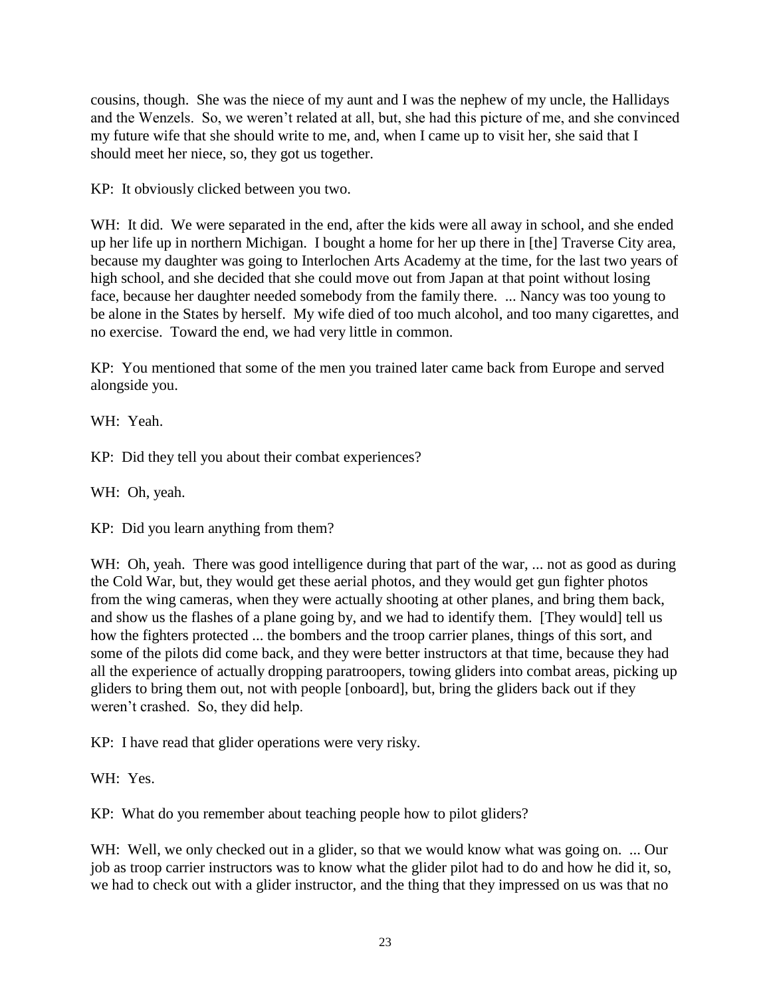cousins, though. She was the niece of my aunt and I was the nephew of my uncle, the Hallidays and the Wenzels. So, we weren't related at all, but, she had this picture of me, and she convinced my future wife that she should write to me, and, when I came up to visit her, she said that I should meet her niece, so, they got us together.

KP: It obviously clicked between you two.

WH: It did. We were separated in the end, after the kids were all away in school, and she ended up her life up in northern Michigan. I bought a home for her up there in [the] Traverse City area, because my daughter was going to Interlochen Arts Academy at the time, for the last two years of high school, and she decided that she could move out from Japan at that point without losing face, because her daughter needed somebody from the family there. ... Nancy was too young to be alone in the States by herself. My wife died of too much alcohol, and too many cigarettes, and no exercise. Toward the end, we had very little in common.

KP: You mentioned that some of the men you trained later came back from Europe and served alongside you.

WH: Yeah.

KP: Did they tell you about their combat experiences?

WH: Oh, yeah.

KP: Did you learn anything from them?

WH: Oh, yeah. There was good intelligence during that part of the war, ... not as good as during the Cold War, but, they would get these aerial photos, and they would get gun fighter photos from the wing cameras, when they were actually shooting at other planes, and bring them back, and show us the flashes of a plane going by, and we had to identify them. [They would] tell us how the fighters protected ... the bombers and the troop carrier planes, things of this sort, and some of the pilots did come back, and they were better instructors at that time, because they had all the experience of actually dropping paratroopers, towing gliders into combat areas, picking up gliders to bring them out, not with people [onboard], but, bring the gliders back out if they weren't crashed. So, they did help.

KP: I have read that glider operations were very risky.

WH: Yes.

KP: What do you remember about teaching people how to pilot gliders?

WH: Well, we only checked out in a glider, so that we would know what was going on. ... Our job as troop carrier instructors was to know what the glider pilot had to do and how he did it, so, we had to check out with a glider instructor, and the thing that they impressed on us was that no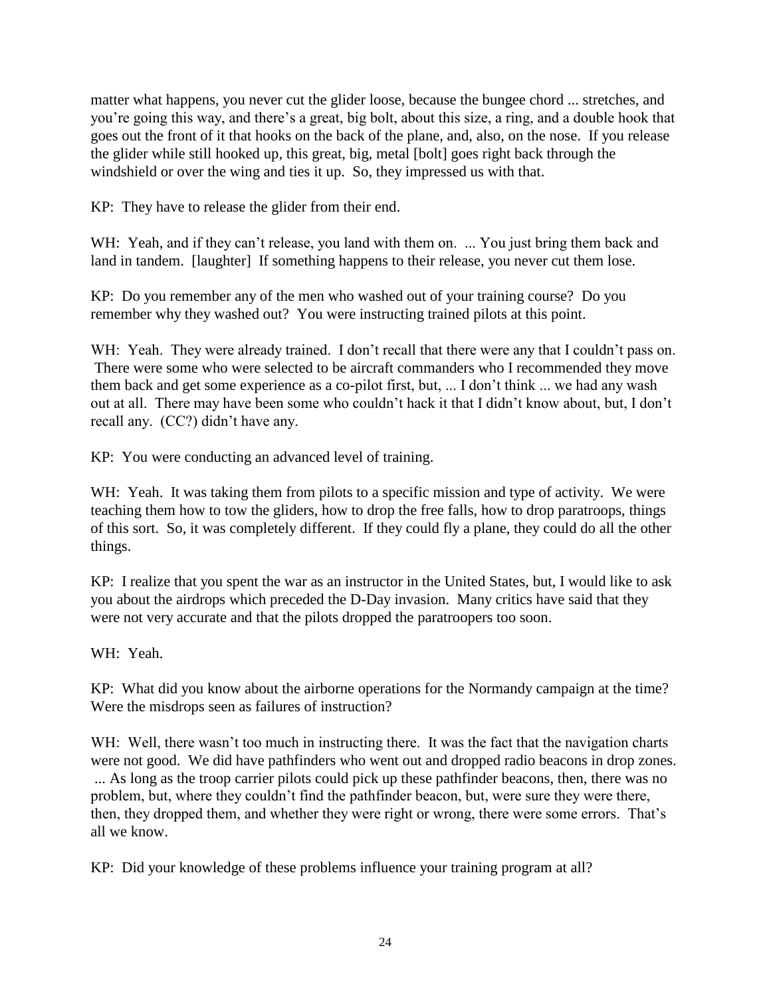matter what happens, you never cut the glider loose, because the bungee chord ... stretches, and you're going this way, and there's a great, big bolt, about this size, a ring, and a double hook that goes out the front of it that hooks on the back of the plane, and, also, on the nose. If you release the glider while still hooked up, this great, big, metal [bolt] goes right back through the windshield or over the wing and ties it up. So, they impressed us with that.

KP: They have to release the glider from their end.

WH: Yeah, and if they can't release, you land with them on. ... You just bring them back and land in tandem. [laughter] If something happens to their release, you never cut them lose.

KP: Do you remember any of the men who washed out of your training course? Do you remember why they washed out? You were instructing trained pilots at this point.

WH: Yeah. They were already trained. I don't recall that there were any that I couldn't pass on. There were some who were selected to be aircraft commanders who I recommended they move them back and get some experience as a co-pilot first, but, ... I don't think ... we had any wash out at all. There may have been some who couldn't hack it that I didn't know about, but, I don't recall any. (CC?) didn't have any.

KP: You were conducting an advanced level of training.

WH: Yeah. It was taking them from pilots to a specific mission and type of activity. We were teaching them how to tow the gliders, how to drop the free falls, how to drop paratroops, things of this sort. So, it was completely different. If they could fly a plane, they could do all the other things.

KP: I realize that you spent the war as an instructor in the United States, but, I would like to ask you about the airdrops which preceded the D-Day invasion. Many critics have said that they were not very accurate and that the pilots dropped the paratroopers too soon.

WH: Yeah.

KP: What did you know about the airborne operations for the Normandy campaign at the time? Were the misdrops seen as failures of instruction?

WH: Well, there wasn't too much in instructing there. It was the fact that the navigation charts were not good. We did have pathfinders who went out and dropped radio beacons in drop zones. ... As long as the troop carrier pilots could pick up these pathfinder beacons, then, there was no problem, but, where they couldn't find the pathfinder beacon, but, were sure they were there, then, they dropped them, and whether they were right or wrong, there were some errors. That's all we know.

KP: Did your knowledge of these problems influence your training program at all?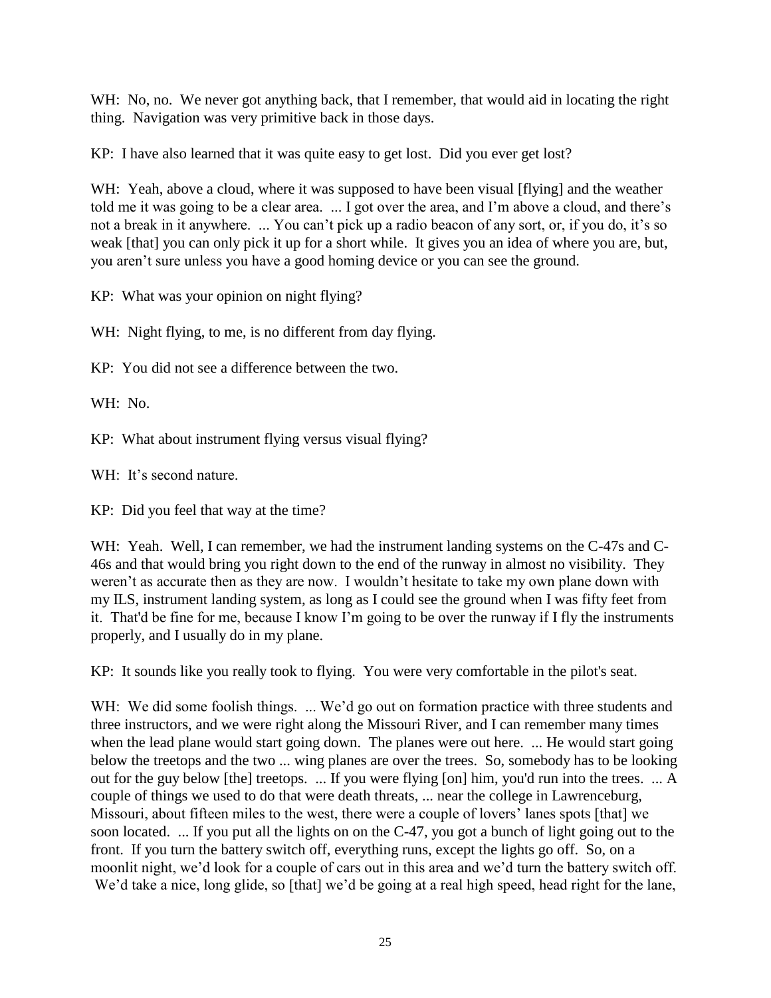WH: No, no. We never got anything back, that I remember, that would aid in locating the right thing. Navigation was very primitive back in those days.

KP: I have also learned that it was quite easy to get lost. Did you ever get lost?

WH: Yeah, above a cloud, where it was supposed to have been visual [flying] and the weather told me it was going to be a clear area. ... I got over the area, and I'm above a cloud, and there's not a break in it anywhere. ... You can't pick up a radio beacon of any sort, or, if you do, it's so weak [that] you can only pick it up for a short while. It gives you an idea of where you are, but, you aren't sure unless you have a good homing device or you can see the ground.

KP: What was your opinion on night flying?

WH: Night flying, to me, is no different from day flying.

KP: You did not see a difference between the two.

WH: No.

KP: What about instrument flying versus visual flying?

WH: It's second nature.

KP: Did you feel that way at the time?

WH: Yeah. Well, I can remember, we had the instrument landing systems on the C-47s and C-46s and that would bring you right down to the end of the runway in almost no visibility. They weren't as accurate then as they are now. I wouldn't hesitate to take my own plane down with my ILS, instrument landing system, as long as I could see the ground when I was fifty feet from it. That'd be fine for me, because I know I'm going to be over the runway if I fly the instruments properly, and I usually do in my plane.

KP: It sounds like you really took to flying. You were very comfortable in the pilot's seat.

WH: We did some foolish things. ... We'd go out on formation practice with three students and three instructors, and we were right along the Missouri River, and I can remember many times when the lead plane would start going down. The planes were out here. ... He would start going below the treetops and the two ... wing planes are over the trees. So, somebody has to be looking out for the guy below [the] treetops. ... If you were flying [on] him, you'd run into the trees. ... A couple of things we used to do that were death threats, ... near the college in Lawrenceburg, Missouri, about fifteen miles to the west, there were a couple of lovers' lanes spots [that] we soon located. ... If you put all the lights on on the C-47, you got a bunch of light going out to the front. If you turn the battery switch off, everything runs, except the lights go off. So, on a moonlit night, we'd look for a couple of cars out in this area and we'd turn the battery switch off. We'd take a nice, long glide, so [that] we'd be going at a real high speed, head right for the lane,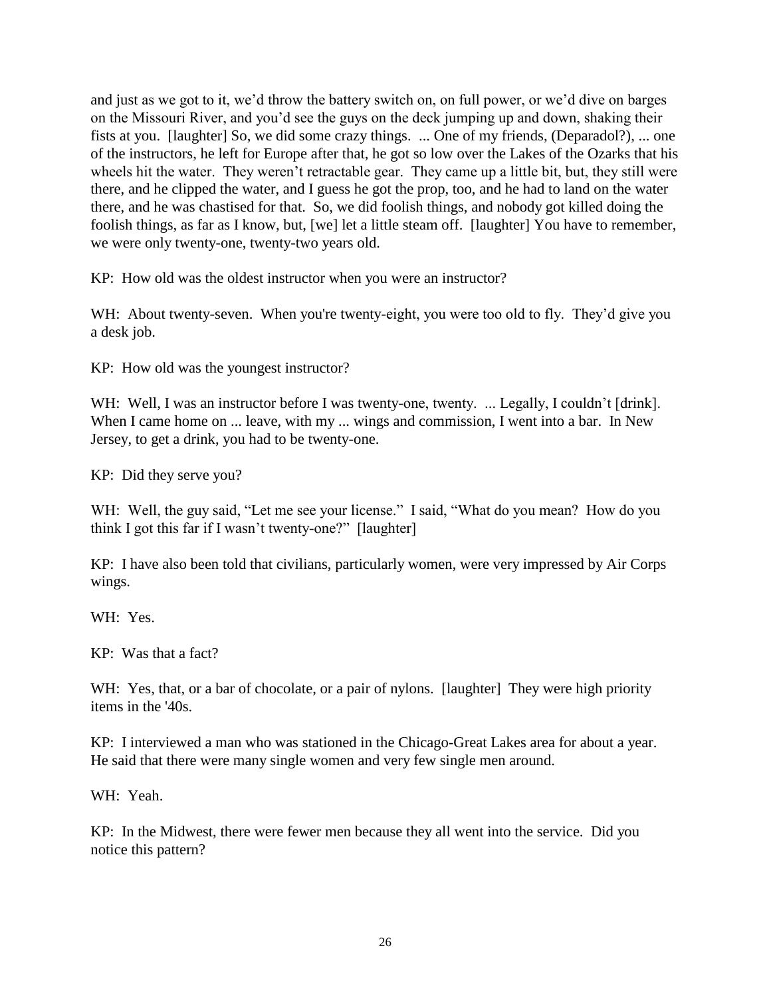and just as we got to it, we'd throw the battery switch on, on full power, or we'd dive on barges on the Missouri River, and you'd see the guys on the deck jumping up and down, shaking their fists at you. [laughter] So, we did some crazy things. ... One of my friends, (Deparadol?), ... one of the instructors, he left for Europe after that, he got so low over the Lakes of the Ozarks that his wheels hit the water. They weren't retractable gear. They came up a little bit, but, they still were there, and he clipped the water, and I guess he got the prop, too, and he had to land on the water there, and he was chastised for that. So, we did foolish things, and nobody got killed doing the foolish things, as far as I know, but, [we] let a little steam off. [laughter] You have to remember, we were only twenty-one, twenty-two years old.

KP: How old was the oldest instructor when you were an instructor?

WH: About twenty-seven. When you're twenty-eight, you were too old to fly. They'd give you a desk job.

KP: How old was the youngest instructor?

WH: Well, I was an instructor before I was twenty-one, twenty. ... Legally, I couldn't [drink]. When I came home on ... leave, with my ... wings and commission, I went into a bar. In New Jersey, to get a drink, you had to be twenty-one.

KP: Did they serve you?

WH: Well, the guy said, "Let me see your license." I said, "What do you mean? How do you think I got this far if I wasn't twenty-one?" [laughter]

KP: I have also been told that civilians, particularly women, were very impressed by Air Corps wings.

WH: Yes.

KP: Was that a fact?

WH: Yes, that, or a bar of chocolate, or a pair of nylons. [laughter] They were high priority items in the '40s.

KP: I interviewed a man who was stationed in the Chicago-Great Lakes area for about a year. He said that there were many single women and very few single men around.

WH: Yeah.

KP: In the Midwest, there were fewer men because they all went into the service. Did you notice this pattern?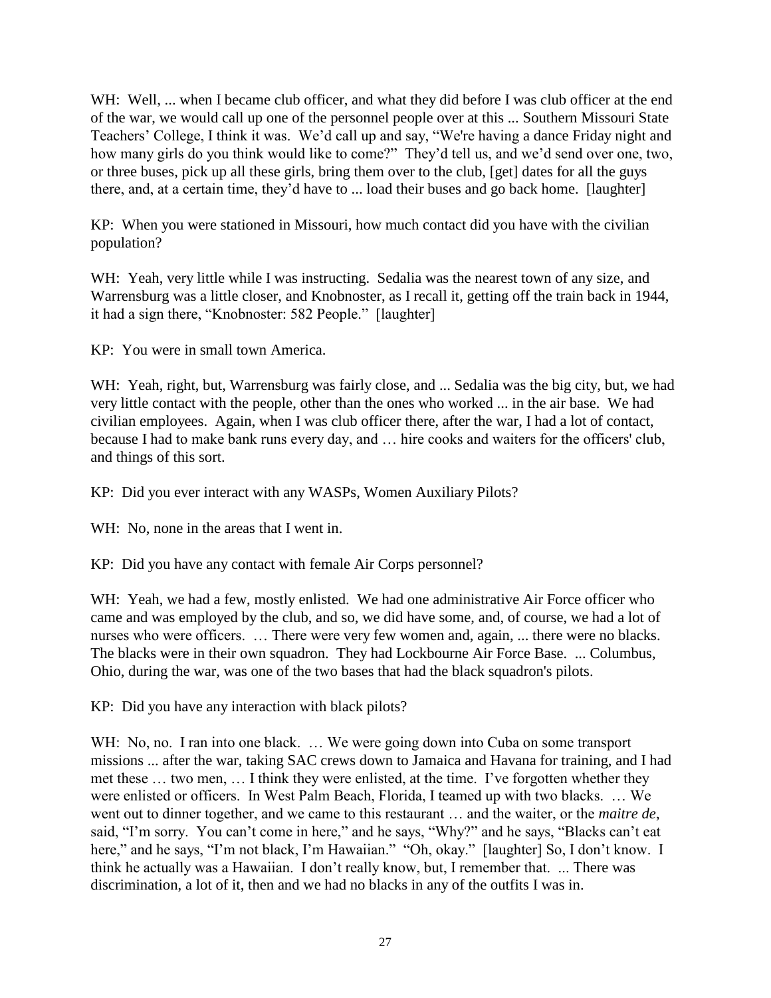WH: Well, ... when I became club officer, and what they did before I was club officer at the end of the war, we would call up one of the personnel people over at this ... Southern Missouri State Teachers' College, I think it was. We'd call up and say, "We're having a dance Friday night and how many girls do you think would like to come?" They'd tell us, and we'd send over one, two, or three buses, pick up all these girls, bring them over to the club, [get] dates for all the guys there, and, at a certain time, they'd have to ... load their buses and go back home. [laughter]

KP: When you were stationed in Missouri, how much contact did you have with the civilian population?

WH: Yeah, very little while I was instructing. Sedalia was the nearest town of any size, and Warrensburg was a little closer, and Knobnoster, as I recall it, getting off the train back in 1944, it had a sign there, "Knobnoster: 582 People." [laughter]

KP: You were in small town America.

WH: Yeah, right, but, Warrensburg was fairly close, and ... Sedalia was the big city, but, we had very little contact with the people, other than the ones who worked ... in the air base. We had civilian employees. Again, when I was club officer there, after the war, I had a lot of contact, because I had to make bank runs every day, and … hire cooks and waiters for the officers' club, and things of this sort.

KP: Did you ever interact with any WASPs, Women Auxiliary Pilots?

WH: No, none in the areas that I went in.

KP: Did you have any contact with female Air Corps personnel?

WH: Yeah, we had a few, mostly enlisted. We had one administrative Air Force officer who came and was employed by the club, and so, we did have some, and, of course, we had a lot of nurses who were officers. … There were very few women and, again, ... there were no blacks. The blacks were in their own squadron. They had Lockbourne Air Force Base. ... Columbus, Ohio, during the war, was one of the two bases that had the black squadron's pilots.

KP: Did you have any interaction with black pilots?

WH: No, no. I ran into one black. ... We were going down into Cuba on some transport missions ... after the war, taking SAC crews down to Jamaica and Havana for training, and I had met these … two men, … I think they were enlisted, at the time. I've forgotten whether they were enlisted or officers. In West Palm Beach, Florida, I teamed up with two blacks. … We went out to dinner together, and we came to this restaurant … and the waiter, or the *maitre de*, said, "I'm sorry. You can't come in here," and he says, "Why?" and he says, "Blacks can't eat here," and he says, "I'm not black, I'm Hawaiian." "Oh, okay." [laughter] So, I don't know. I think he actually was a Hawaiian. I don't really know, but, I remember that. ... There was discrimination, a lot of it, then and we had no blacks in any of the outfits I was in.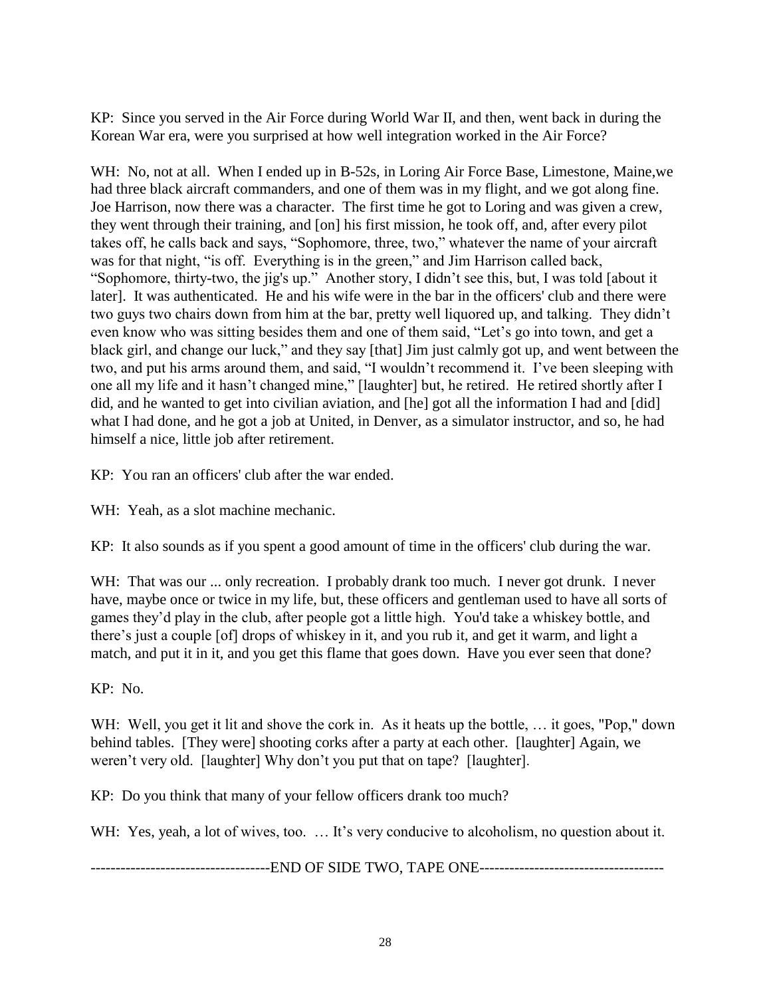KP: Since you served in the Air Force during World War II, and then, went back in during the Korean War era, were you surprised at how well integration worked in the Air Force?

WH: No, not at all. When I ended up in B-52s, in Loring Air Force Base, Limestone, Maine,we had three black aircraft commanders, and one of them was in my flight, and we got along fine. Joe Harrison, now there was a character. The first time he got to Loring and was given a crew, they went through their training, and [on] his first mission, he took off, and, after every pilot takes off, he calls back and says, "Sophomore, three, two," whatever the name of your aircraft was for that night, "is off. Everything is in the green," and Jim Harrison called back, "Sophomore, thirty-two, the jig's up." Another story, I didn't see this, but, I was told [about it later]. It was authenticated. He and his wife were in the bar in the officers' club and there were two guys two chairs down from him at the bar, pretty well liquored up, and talking. They didn't even know who was sitting besides them and one of them said, "Let's go into town, and get a black girl, and change our luck," and they say [that] Jim just calmly got up, and went between the two, and put his arms around them, and said, "I wouldn't recommend it. I've been sleeping with one all my life and it hasn't changed mine," [laughter] but, he retired. He retired shortly after I did, and he wanted to get into civilian aviation, and [he] got all the information I had and [did] what I had done, and he got a job at United, in Denver, as a simulator instructor, and so, he had himself a nice, little job after retirement.

KP: You ran an officers' club after the war ended.

WH: Yeah, as a slot machine mechanic.

KP: It also sounds as if you spent a good amount of time in the officers' club during the war.

WH: That was our ... only recreation. I probably drank too much. I never got drunk. I never have, maybe once or twice in my life, but, these officers and gentleman used to have all sorts of games they'd play in the club, after people got a little high. You'd take a whiskey bottle, and there's just a couple [of] drops of whiskey in it, and you rub it, and get it warm, and light a match, and put it in it, and you get this flame that goes down. Have you ever seen that done?

KP: No.

WH: Well, you get it lit and shove the cork in. As it heats up the bottle, ... it goes, "Pop," down behind tables. [They were] shooting corks after a party at each other. [laughter] Again, we weren't very old. [laughter] Why don't you put that on tape? [laughter].

KP: Do you think that many of your fellow officers drank too much?

WH: Yes, yeah, a lot of wives, too. ... It's very conducive to alcoholism, no question about it.

------------------------------------END OF SIDE TWO, TAPE ONE-------------------------------------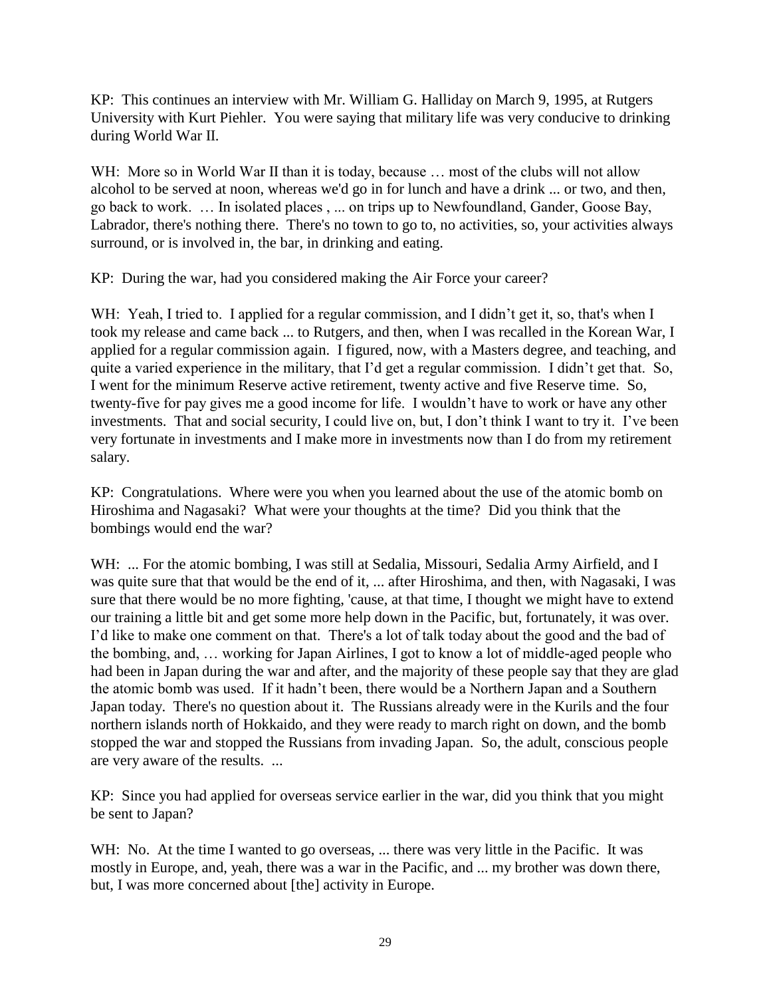KP: This continues an interview with Mr. William G. Halliday on March 9, 1995, at Rutgers University with Kurt Piehler. You were saying that military life was very conducive to drinking during World War II.

WH: More so in World War II than it is today, because ... most of the clubs will not allow alcohol to be served at noon, whereas we'd go in for lunch and have a drink ... or two, and then, go back to work. … In isolated places , ... on trips up to Newfoundland, Gander, Goose Bay, Labrador, there's nothing there. There's no town to go to, no activities, so, your activities always surround, or is involved in, the bar, in drinking and eating.

KP: During the war, had you considered making the Air Force your career?

WH: Yeah, I tried to. I applied for a regular commission, and I didn't get it, so, that's when I took my release and came back ... to Rutgers, and then, when I was recalled in the Korean War, I applied for a regular commission again. I figured, now, with a Masters degree, and teaching, and quite a varied experience in the military, that I'd get a regular commission. I didn't get that. So, I went for the minimum Reserve active retirement, twenty active and five Reserve time. So, twenty-five for pay gives me a good income for life. I wouldn't have to work or have any other investments. That and social security, I could live on, but, I don't think I want to try it. I've been very fortunate in investments and I make more in investments now than I do from my retirement salary.

KP: Congratulations. Where were you when you learned about the use of the atomic bomb on Hiroshima and Nagasaki? What were your thoughts at the time? Did you think that the bombings would end the war?

WH: ... For the atomic bombing, I was still at Sedalia, Missouri, Sedalia Army Airfield, and I was quite sure that that would be the end of it, ... after Hiroshima, and then, with Nagasaki, I was sure that there would be no more fighting, 'cause, at that time, I thought we might have to extend our training a little bit and get some more help down in the Pacific, but, fortunately, it was over. I'd like to make one comment on that. There's a lot of talk today about the good and the bad of the bombing, and, … working for Japan Airlines, I got to know a lot of middle-aged people who had been in Japan during the war and after, and the majority of these people say that they are glad the atomic bomb was used. If it hadn't been, there would be a Northern Japan and a Southern Japan today. There's no question about it. The Russians already were in the Kurils and the four northern islands north of Hokkaido, and they were ready to march right on down, and the bomb stopped the war and stopped the Russians from invading Japan. So, the adult, conscious people are very aware of the results. ...

KP: Since you had applied for overseas service earlier in the war, did you think that you might be sent to Japan?

WH: No. At the time I wanted to go overseas, ... there was very little in the Pacific. It was mostly in Europe, and, yeah, there was a war in the Pacific, and ... my brother was down there, but, I was more concerned about [the] activity in Europe.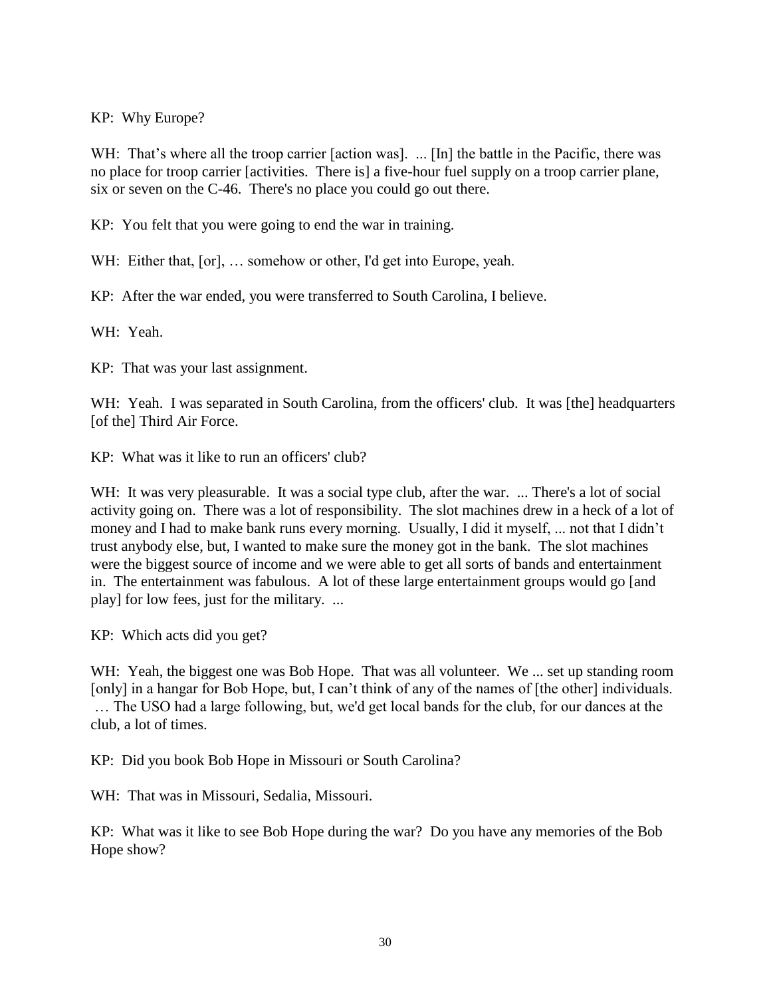KP: Why Europe?

WH: That's where all the troop carrier [action was]. ... [In] the battle in the Pacific, there was no place for troop carrier [activities. There is] a five-hour fuel supply on a troop carrier plane, six or seven on the C-46. There's no place you could go out there.

KP: You felt that you were going to end the war in training.

WH: Either that, [or], ... somehow or other, I'd get into Europe, yeah.

KP: After the war ended, you were transferred to South Carolina, I believe.

WH: Yeah.

KP: That was your last assignment.

WH: Yeah. I was separated in South Carolina, from the officers' club. It was [the] headquarters [of the] Third Air Force.

KP: What was it like to run an officers' club?

WH: It was very pleasurable. It was a social type club, after the war. ... There's a lot of social activity going on. There was a lot of responsibility. The slot machines drew in a heck of a lot of money and I had to make bank runs every morning. Usually, I did it myself, ... not that I didn't trust anybody else, but, I wanted to make sure the money got in the bank. The slot machines were the biggest source of income and we were able to get all sorts of bands and entertainment in. The entertainment was fabulous. A lot of these large entertainment groups would go [and play] for low fees, just for the military. ...

KP: Which acts did you get?

WH: Yeah, the biggest one was Bob Hope. That was all volunteer. We ... set up standing room [only] in a hangar for Bob Hope, but, I can't think of any of the names of [the other] individuals. … The USO had a large following, but, we'd get local bands for the club, for our dances at the club, a lot of times.

KP: Did you book Bob Hope in Missouri or South Carolina?

WH: That was in Missouri, Sedalia, Missouri.

KP: What was it like to see Bob Hope during the war? Do you have any memories of the Bob Hope show?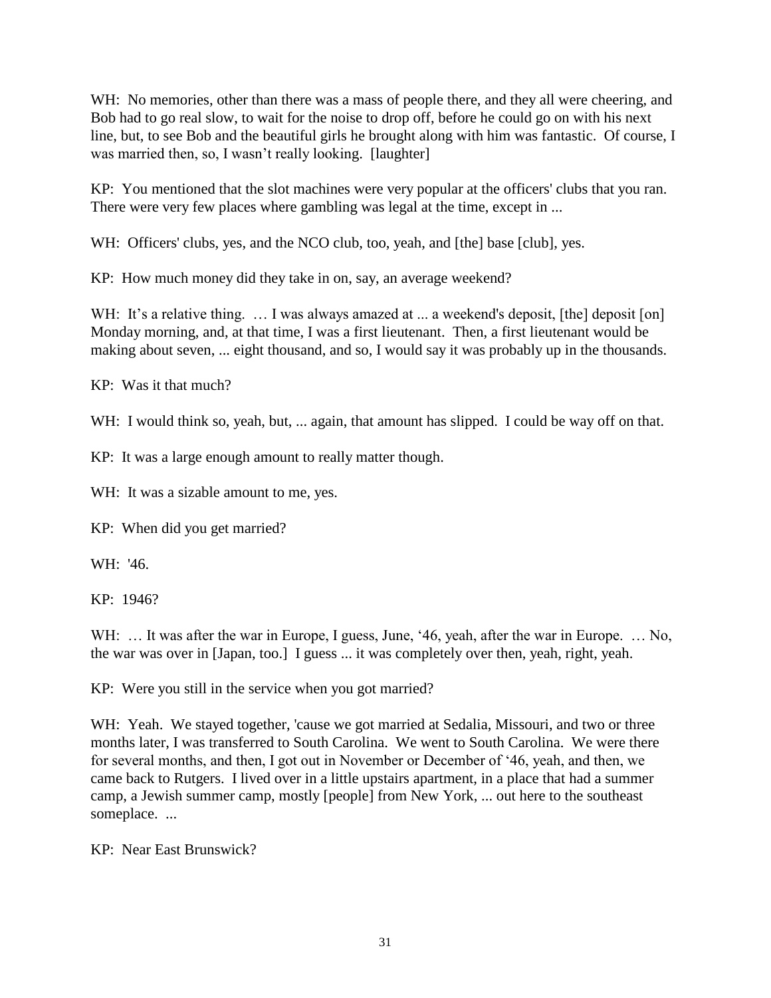WH: No memories, other than there was a mass of people there, and they all were cheering, and Bob had to go real slow, to wait for the noise to drop off, before he could go on with his next line, but, to see Bob and the beautiful girls he brought along with him was fantastic. Of course, I was married then, so, I wasn't really looking. [laughter]

KP: You mentioned that the slot machines were very popular at the officers' clubs that you ran. There were very few places where gambling was legal at the time, except in ...

WH: Officers' clubs, yes, and the NCO club, too, yeah, and [the] base [club], yes.

KP: How much money did they take in on, say, an average weekend?

WH: It's a relative thing. ... I was always amazed at ... a weekend's deposit, [the] deposit [on] Monday morning, and, at that time, I was a first lieutenant. Then, a first lieutenant would be making about seven, ... eight thousand, and so, I would say it was probably up in the thousands.

KP: Was it that much?

WH: I would think so, yeah, but, ... again, that amount has slipped. I could be way off on that.

KP: It was a large enough amount to really matter though.

WH: It was a sizable amount to me, yes.

KP: When did you get married?

WH: '46.

KP: 1946?

WH: ... It was after the war in Europe, I guess, June, '46, yeah, after the war in Europe. ... No, the war was over in [Japan, too.] I guess ... it was completely over then, yeah, right, yeah.

KP: Were you still in the service when you got married?

WH: Yeah. We stayed together, 'cause we got married at Sedalia, Missouri, and two or three months later, I was transferred to South Carolina. We went to South Carolina. We were there for several months, and then, I got out in November or December of '46, yeah, and then, we came back to Rutgers. I lived over in a little upstairs apartment, in a place that had a summer camp, a Jewish summer camp, mostly [people] from New York, ... out here to the southeast someplace. ...

KP: Near East Brunswick?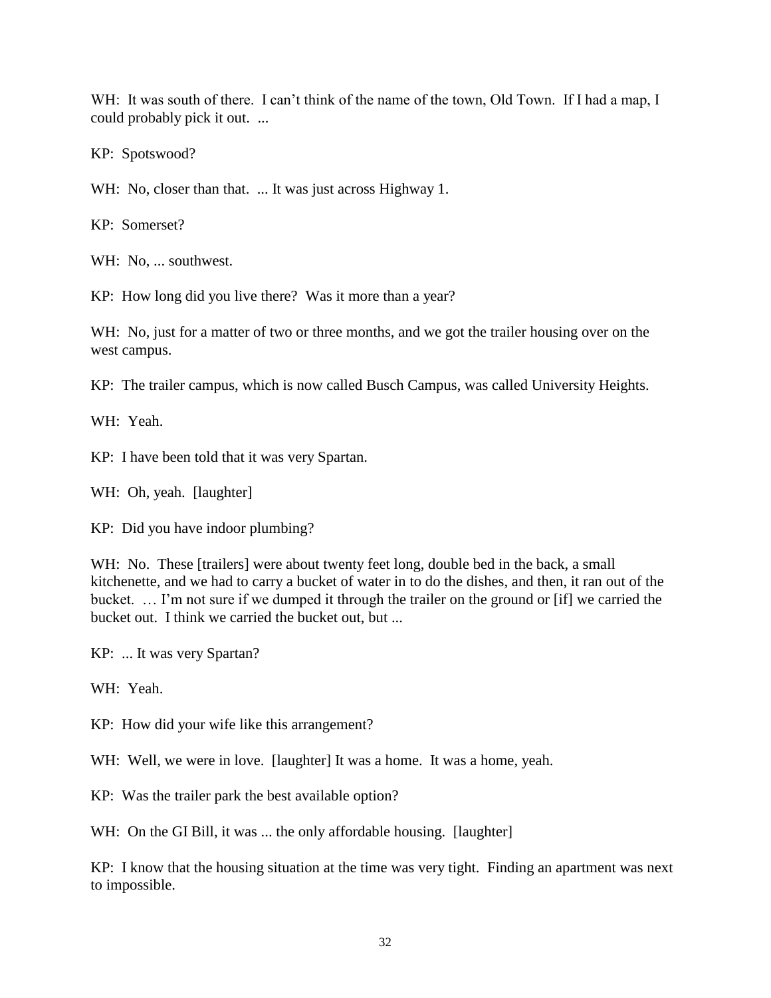WH: It was south of there. I can't think of the name of the town, Old Town. If I had a map, I could probably pick it out. ...

KP: Spotswood?

WH: No, closer than that. ... It was just across Highway 1.

KP: Somerset?

WH: No, ... southwest.

KP: How long did you live there? Was it more than a year?

WH: No, just for a matter of two or three months, and we got the trailer housing over on the west campus.

KP: The trailer campus, which is now called Busch Campus, was called University Heights.

WH: Yeah.

KP: I have been told that it was very Spartan.

WH: Oh, yeah. [laughter]

KP: Did you have indoor plumbing?

WH: No. These [trailers] were about twenty feet long, double bed in the back, a small kitchenette, and we had to carry a bucket of water in to do the dishes, and then, it ran out of the bucket. … I'm not sure if we dumped it through the trailer on the ground or [if] we carried the bucket out. I think we carried the bucket out, but ...

KP: ... It was very Spartan?

WH: Yeah.

KP: How did your wife like this arrangement?

WH: Well, we were in love. [laughter] It was a home. It was a home, yeah.

KP: Was the trailer park the best available option?

WH: On the GI Bill, it was ... the only affordable housing. [laughter]

KP: I know that the housing situation at the time was very tight. Finding an apartment was next to impossible.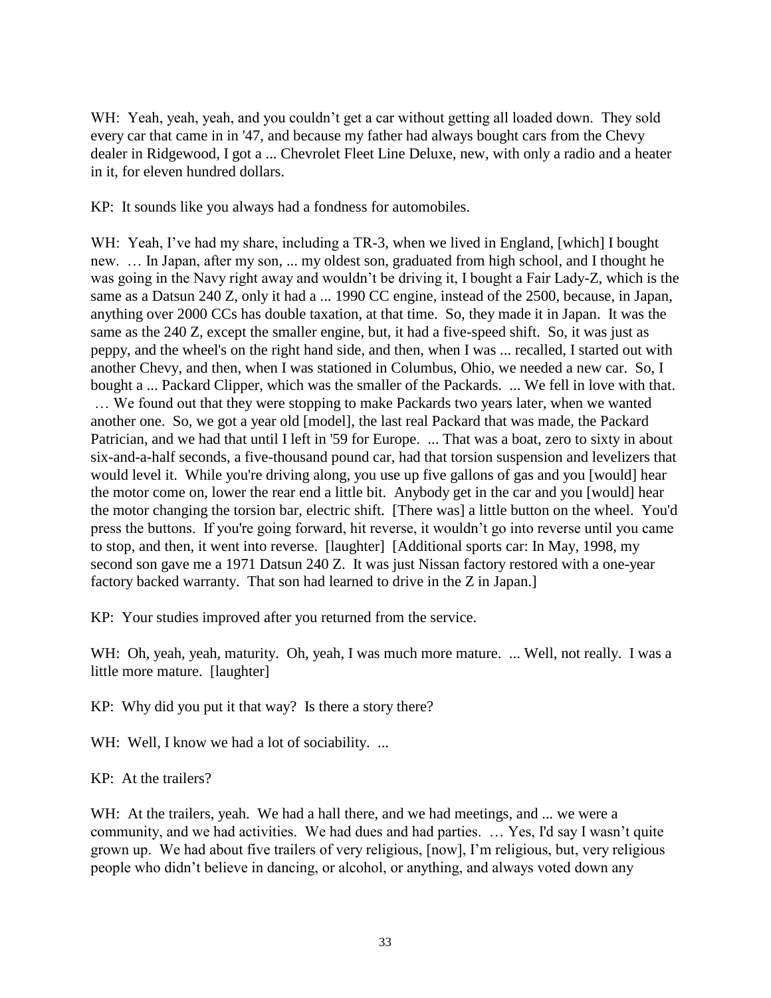WH: Yeah, yeah, yeah, and you couldn't get a car without getting all loaded down. They sold every car that came in in '47, and because my father had always bought cars from the Chevy dealer in Ridgewood, I got a ... Chevrolet Fleet Line Deluxe, new, with only a radio and a heater in it, for eleven hundred dollars.

KP: It sounds like you always had a fondness for automobiles.

WH: Yeah, I've had my share, including a TR-3, when we lived in England, [which] I bought new. … In Japan, after my son, ... my oldest son, graduated from high school, and I thought he was going in the Navy right away and wouldn't be driving it, I bought a Fair Lady-Z, which is the same as a Datsun 240 Z, only it had a ... 1990 CC engine, instead of the 2500, because, in Japan, anything over 2000 CCs has double taxation, at that time. So, they made it in Japan. It was the same as the 240 Z, except the smaller engine, but, it had a five-speed shift. So, it was just as peppy, and the wheel's on the right hand side, and then, when I was ... recalled, I started out with another Chevy, and then, when I was stationed in Columbus, Ohio, we needed a new car. So, I bought a ... Packard Clipper, which was the smaller of the Packards. ... We fell in love with that. … We found out that they were stopping to make Packards two years later, when we wanted another one. So, we got a year old [model], the last real Packard that was made, the Packard Patrician, and we had that until I left in '59 for Europe. ... That was a boat, zero to sixty in about six-and-a-half seconds, a five-thousand pound car, had that torsion suspension and levelizers that would level it. While you're driving along, you use up five gallons of gas and you [would] hear the motor come on, lower the rear end a little bit. Anybody get in the car and you [would] hear the motor changing the torsion bar, electric shift. [There was] a little button on the wheel. You'd press the buttons. If you're going forward, hit reverse, it wouldn't go into reverse until you came to stop, and then, it went into reverse. [laughter] [Additional sports car: In May, 1998, my second son gave me a 1971 Datsun 240 Z. It was just Nissan factory restored with a one-year factory backed warranty. That son had learned to drive in the Z in Japan.]

KP: Your studies improved after you returned from the service.

WH: Oh, yeah, yeah, maturity. Oh, yeah, I was much more mature. ... Well, not really. I was a little more mature. [laughter]

KP: Why did you put it that way? Is there a story there?

WH: Well, I know we had a lot of sociability. ...

KP: At the trailers?

WH: At the trailers, yeah. We had a hall there, and we had meetings, and ... we were a community, and we had activities. We had dues and had parties. … Yes, I'd say I wasn't quite grown up. We had about five trailers of very religious, [now], I'm religious, but, very religious people who didn't believe in dancing, or alcohol, or anything, and always voted down any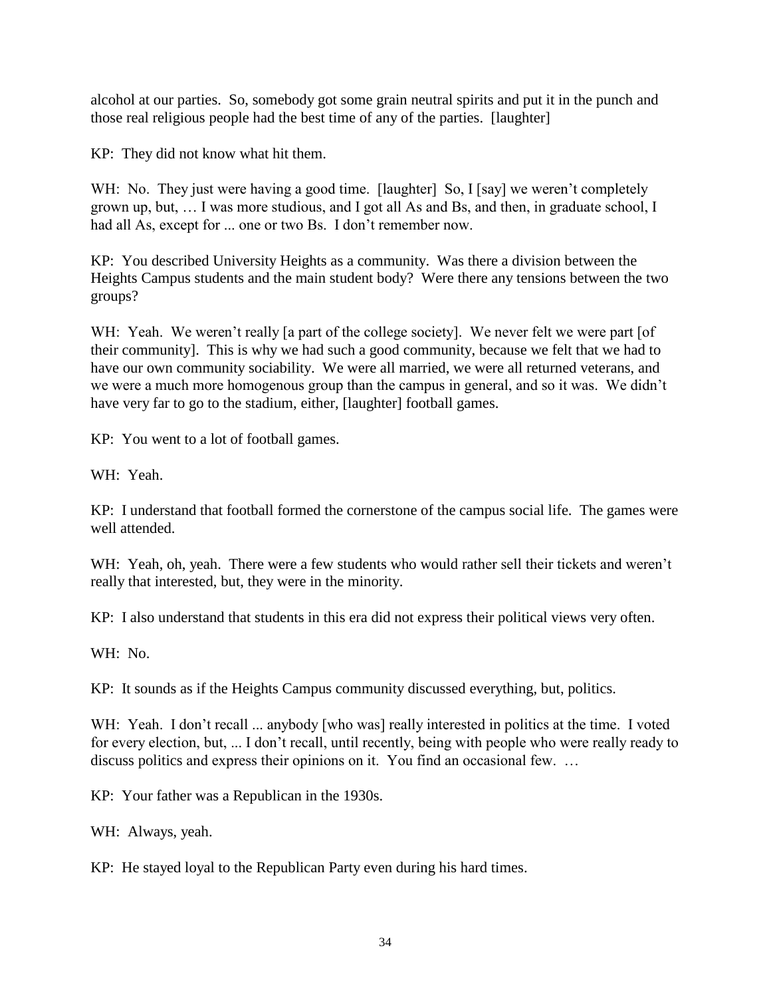alcohol at our parties. So, somebody got some grain neutral spirits and put it in the punch and those real religious people had the best time of any of the parties. [laughter]

KP: They did not know what hit them.

WH: No. They just were having a good time. [laughter] So, I [say] we weren't completely grown up, but, … I was more studious, and I got all As and Bs, and then, in graduate school, I had all As, except for ... one or two Bs. I don't remember now.

KP: You described University Heights as a community. Was there a division between the Heights Campus students and the main student body? Were there any tensions between the two groups?

WH: Yeah. We weren't really [a part of the college society]. We never felt we were part [of their community]. This is why we had such a good community, because we felt that we had to have our own community sociability. We were all married, we were all returned veterans, and we were a much more homogenous group than the campus in general, and so it was. We didn't have very far to go to the stadium, either, [laughter] football games.

KP: You went to a lot of football games.

WH: Yeah.

KP: I understand that football formed the cornerstone of the campus social life. The games were well attended.

WH: Yeah, oh, yeah. There were a few students who would rather sell their tickets and weren't really that interested, but, they were in the minority.

KP: I also understand that students in this era did not express their political views very often.

WH: No.

KP: It sounds as if the Heights Campus community discussed everything, but, politics.

WH: Yeah. I don't recall ... anybody [who was] really interested in politics at the time. I voted for every election, but, ... I don't recall, until recently, being with people who were really ready to discuss politics and express their opinions on it. You find an occasional few. …

KP: Your father was a Republican in the 1930s.

WH: Always, yeah.

KP: He stayed loyal to the Republican Party even during his hard times.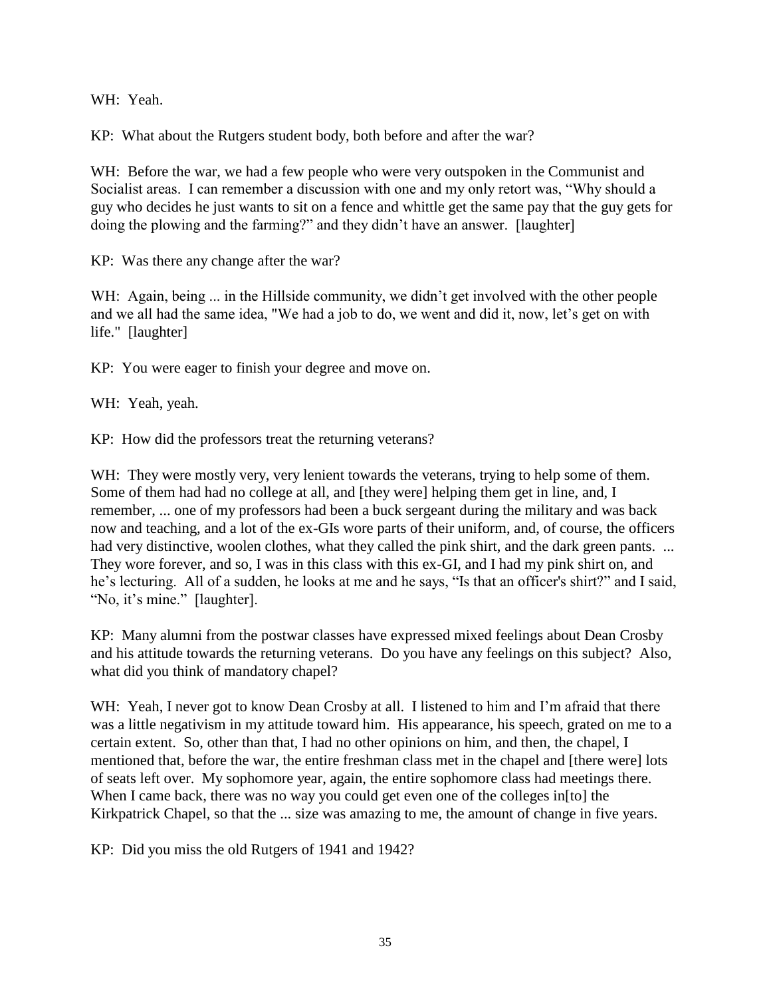WH: Yeah.

KP: What about the Rutgers student body, both before and after the war?

WH: Before the war, we had a few people who were very outspoken in the Communist and Socialist areas. I can remember a discussion with one and my only retort was, "Why should a guy who decides he just wants to sit on a fence and whittle get the same pay that the guy gets for doing the plowing and the farming?" and they didn't have an answer. [laughter]

KP: Was there any change after the war?

WH: Again, being ... in the Hillside community, we didn't get involved with the other people and we all had the same idea, "We had a job to do, we went and did it, now, let's get on with life." [laughter]

KP: You were eager to finish your degree and move on.

WH: Yeah, yeah.

KP: How did the professors treat the returning veterans?

WH: They were mostly very, very lenient towards the veterans, trying to help some of them. Some of them had had no college at all, and [they were] helping them get in line, and, I remember, ... one of my professors had been a buck sergeant during the military and was back now and teaching, and a lot of the ex-GIs wore parts of their uniform, and, of course, the officers had very distinctive, woolen clothes, what they called the pink shirt, and the dark green pants. ... They wore forever, and so, I was in this class with this ex-GI, and I had my pink shirt on, and he's lecturing. All of a sudden, he looks at me and he says, "Is that an officer's shirt?" and I said, "No, it's mine." [laughter].

KP: Many alumni from the postwar classes have expressed mixed feelings about Dean Crosby and his attitude towards the returning veterans. Do you have any feelings on this subject? Also, what did you think of mandatory chapel?

WH: Yeah, I never got to know Dean Crosby at all. I listened to him and I'm afraid that there was a little negativism in my attitude toward him. His appearance, his speech, grated on me to a certain extent. So, other than that, I had no other opinions on him, and then, the chapel, I mentioned that, before the war, the entire freshman class met in the chapel and [there were] lots of seats left over. My sophomore year, again, the entire sophomore class had meetings there. When I came back, there was no way you could get even one of the colleges in [to] the Kirkpatrick Chapel, so that the ... size was amazing to me, the amount of change in five years.

KP: Did you miss the old Rutgers of 1941 and 1942?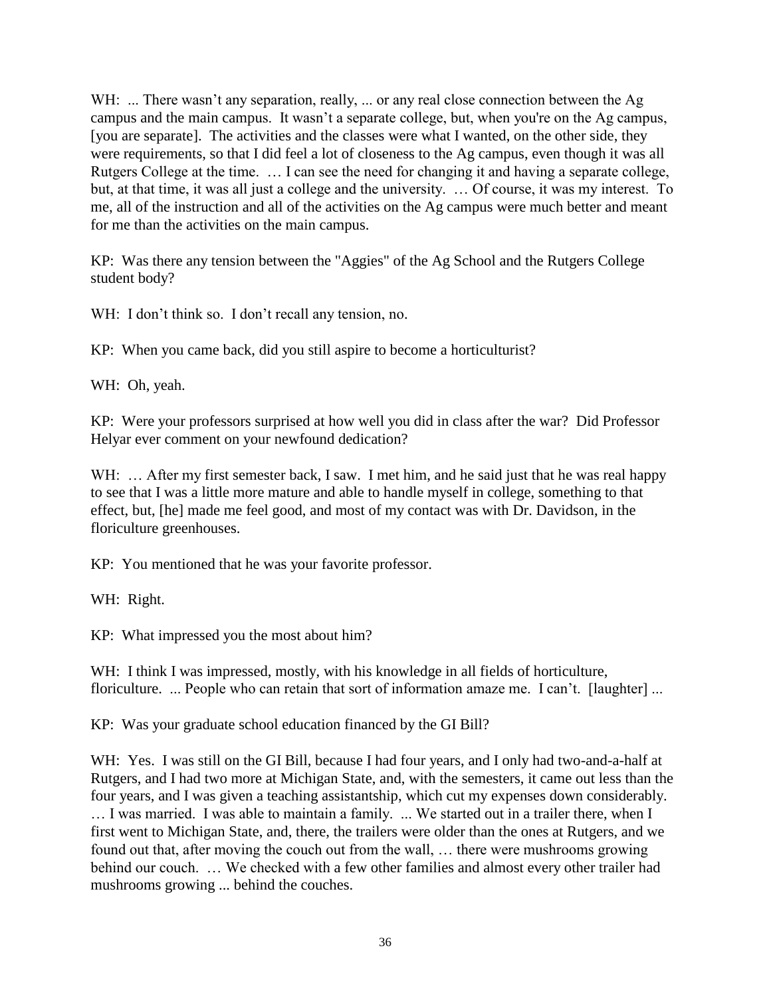WH: ... There wasn't any separation, really, ... or any real close connection between the Ag campus and the main campus. It wasn't a separate college, but, when you're on the Ag campus, [you are separate]. The activities and the classes were what I wanted, on the other side, they were requirements, so that I did feel a lot of closeness to the Ag campus, even though it was all Rutgers College at the time. … I can see the need for changing it and having a separate college, but, at that time, it was all just a college and the university. … Of course, it was my interest. To me, all of the instruction and all of the activities on the Ag campus were much better and meant for me than the activities on the main campus.

KP: Was there any tension between the "Aggies" of the Ag School and the Rutgers College student body?

WH: I don't think so. I don't recall any tension, no.

KP: When you came back, did you still aspire to become a horticulturist?

WH: Oh, yeah.

KP: Were your professors surprised at how well you did in class after the war? Did Professor Helyar ever comment on your newfound dedication?

WH: ... After my first semester back, I saw. I met him, and he said just that he was real happy to see that I was a little more mature and able to handle myself in college, something to that effect, but, [he] made me feel good, and most of my contact was with Dr. Davidson, in the floriculture greenhouses.

KP: You mentioned that he was your favorite professor.

WH: Right.

KP: What impressed you the most about him?

WH: I think I was impressed, mostly, with his knowledge in all fields of horticulture, floriculture. ... People who can retain that sort of information amaze me. I can't. [laughter] ...

KP: Was your graduate school education financed by the GI Bill?

WH: Yes. I was still on the GI Bill, because I had four years, and I only had two-and-a-half at Rutgers, and I had two more at Michigan State, and, with the semesters, it came out less than the four years, and I was given a teaching assistantship, which cut my expenses down considerably. … I was married. I was able to maintain a family. ... We started out in a trailer there, when I first went to Michigan State, and, there, the trailers were older than the ones at Rutgers, and we found out that, after moving the couch out from the wall, … there were mushrooms growing behind our couch. … We checked with a few other families and almost every other trailer had mushrooms growing ... behind the couches.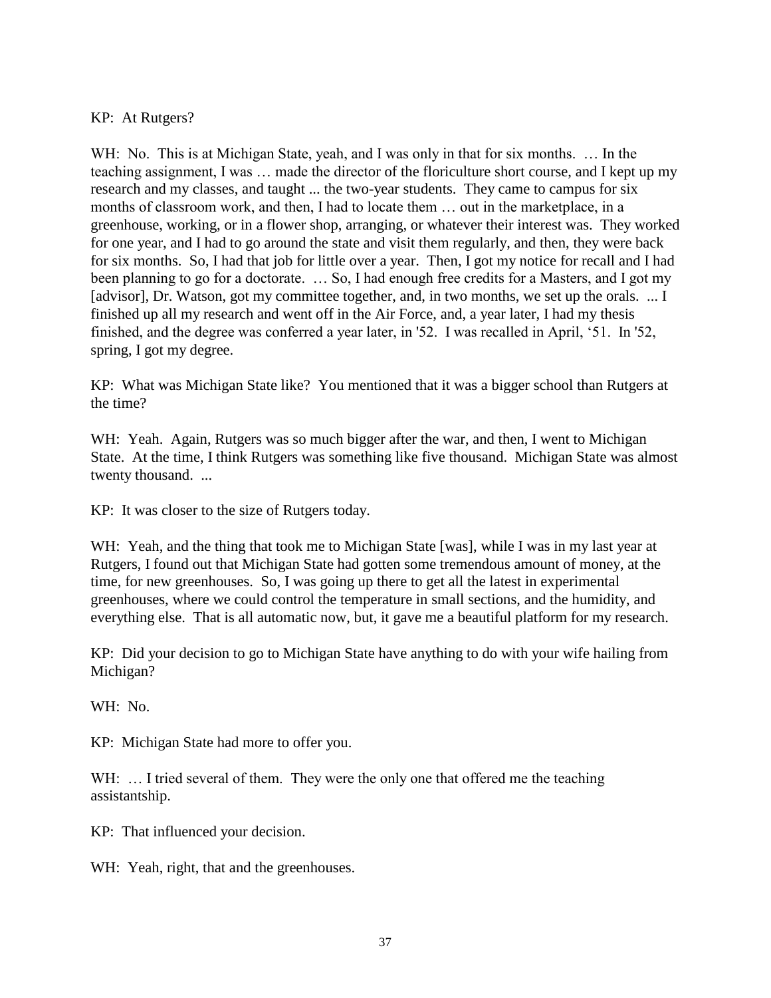# KP: At Rutgers?

WH: No. This is at Michigan State, yeah, and I was only in that for six months. ... In the teaching assignment, I was … made the director of the floriculture short course, and I kept up my research and my classes, and taught ... the two-year students. They came to campus for six months of classroom work, and then, I had to locate them … out in the marketplace, in a greenhouse, working, or in a flower shop, arranging, or whatever their interest was. They worked for one year, and I had to go around the state and visit them regularly, and then, they were back for six months. So, I had that job for little over a year. Then, I got my notice for recall and I had been planning to go for a doctorate. … So, I had enough free credits for a Masters, and I got my [advisor], Dr. Watson, got my committee together, and, in two months, we set up the orals. ... I finished up all my research and went off in the Air Force, and, a year later, I had my thesis finished, and the degree was conferred a year later, in '52. I was recalled in April, '51. In '52, spring, I got my degree.

KP: What was Michigan State like? You mentioned that it was a bigger school than Rutgers at the time?

WH: Yeah. Again, Rutgers was so much bigger after the war, and then, I went to Michigan State. At the time, I think Rutgers was something like five thousand. Michigan State was almost twenty thousand. ...

KP: It was closer to the size of Rutgers today.

WH: Yeah, and the thing that took me to Michigan State [was], while I was in my last year at Rutgers, I found out that Michigan State had gotten some tremendous amount of money, at the time, for new greenhouses. So, I was going up there to get all the latest in experimental greenhouses, where we could control the temperature in small sections, and the humidity, and everything else. That is all automatic now, but, it gave me a beautiful platform for my research.

KP: Did your decision to go to Michigan State have anything to do with your wife hailing from Michigan?

WH: No.

KP: Michigan State had more to offer you.

WH: ... I tried several of them. They were the only one that offered me the teaching assistantship.

KP: That influenced your decision.

WH: Yeah, right, that and the greenhouses.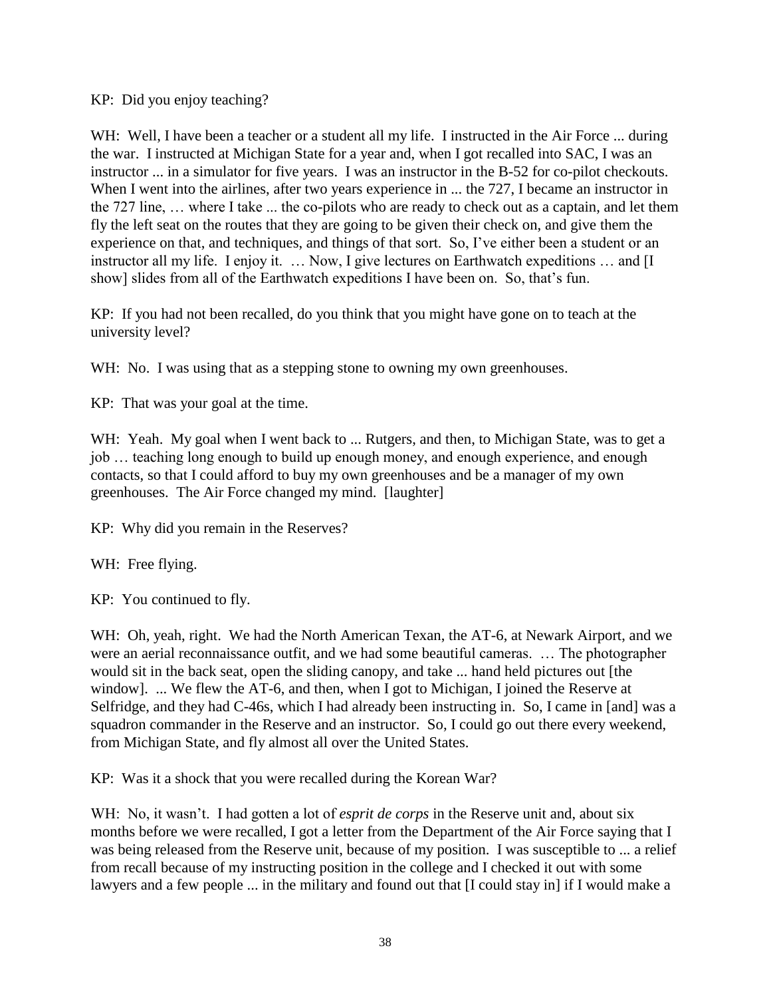KP: Did you enjoy teaching?

WH: Well, I have been a teacher or a student all my life. I instructed in the Air Force ... during the war. I instructed at Michigan State for a year and, when I got recalled into SAC, I was an instructor ... in a simulator for five years. I was an instructor in the B-52 for co-pilot checkouts. When I went into the airlines, after two years experience in ... the 727, I became an instructor in the 727 line, … where I take ... the co-pilots who are ready to check out as a captain, and let them fly the left seat on the routes that they are going to be given their check on, and give them the experience on that, and techniques, and things of that sort. So, I've either been a student or an instructor all my life. I enjoy it. ... Now, I give lectures on Earthwatch expeditions ... and [I] show] slides from all of the Earthwatch expeditions I have been on. So, that's fun.

KP: If you had not been recalled, do you think that you might have gone on to teach at the university level?

WH: No. I was using that as a stepping stone to owning my own greenhouses.

KP: That was your goal at the time.

WH: Yeah. My goal when I went back to ... Rutgers, and then, to Michigan State, was to get a job … teaching long enough to build up enough money, and enough experience, and enough contacts, so that I could afford to buy my own greenhouses and be a manager of my own greenhouses. The Air Force changed my mind. [laughter]

KP: Why did you remain in the Reserves?

WH: Free flying.

KP: You continued to fly.

WH: Oh, yeah, right. We had the North American Texan, the AT-6, at Newark Airport, and we were an aerial reconnaissance outfit, and we had some beautiful cameras. … The photographer would sit in the back seat, open the sliding canopy, and take ... hand held pictures out [the window]. ... We flew the AT-6, and then, when I got to Michigan, I joined the Reserve at Selfridge, and they had C-46s, which I had already been instructing in. So, I came in [and] was a squadron commander in the Reserve and an instructor. So, I could go out there every weekend, from Michigan State, and fly almost all over the United States.

KP: Was it a shock that you were recalled during the Korean War?

WH: No, it wasn't. I had gotten a lot of *esprit de corps* in the Reserve unit and, about six months before we were recalled, I got a letter from the Department of the Air Force saying that I was being released from the Reserve unit, because of my position. I was susceptible to ... a relief from recall because of my instructing position in the college and I checked it out with some lawyers and a few people ... in the military and found out that [I could stay in] if I would make a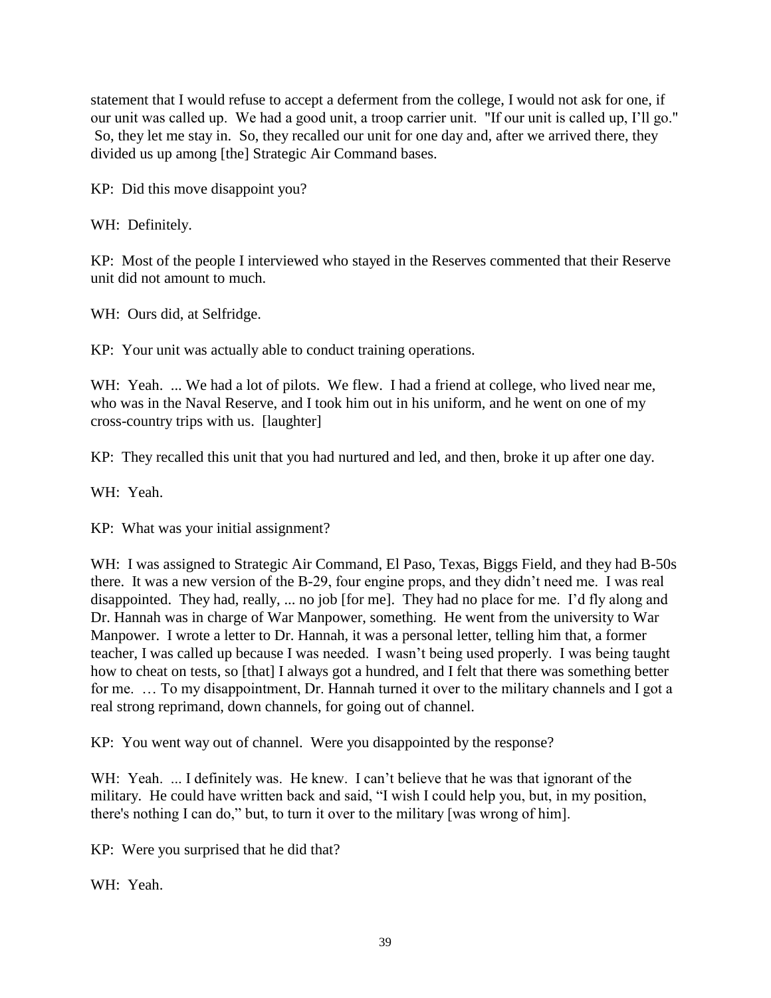statement that I would refuse to accept a deferment from the college, I would not ask for one, if our unit was called up. We had a good unit, a troop carrier unit. "If our unit is called up, I'll go." So, they let me stay in. So, they recalled our unit for one day and, after we arrived there, they divided us up among [the] Strategic Air Command bases.

KP: Did this move disappoint you?

WH: Definitely.

KP: Most of the people I interviewed who stayed in the Reserves commented that their Reserve unit did not amount to much.

WH: Ours did, at Selfridge.

KP: Your unit was actually able to conduct training operations.

WH: Yeah. ... We had a lot of pilots. We flew. I had a friend at college, who lived near me, who was in the Naval Reserve, and I took him out in his uniform, and he went on one of my cross-country trips with us. [laughter]

KP: They recalled this unit that you had nurtured and led, and then, broke it up after one day.

WH: Yeah.

KP: What was your initial assignment?

WH: I was assigned to Strategic Air Command, El Paso, Texas, Biggs Field, and they had B-50s there. It was a new version of the B-29, four engine props, and they didn't need me. I was real disappointed. They had, really, ... no job [for me]. They had no place for me. I'd fly along and Dr. Hannah was in charge of War Manpower, something. He went from the university to War Manpower. I wrote a letter to Dr. Hannah, it was a personal letter, telling him that, a former teacher, I was called up because I was needed. I wasn't being used properly. I was being taught how to cheat on tests, so [that] I always got a hundred, and I felt that there was something better for me. … To my disappointment, Dr. Hannah turned it over to the military channels and I got a real strong reprimand, down channels, for going out of channel.

KP: You went way out of channel. Were you disappointed by the response?

WH: Yeah. ... I definitely was. He knew. I can't believe that he was that ignorant of the military. He could have written back and said, "I wish I could help you, but, in my position, there's nothing I can do," but, to turn it over to the military [was wrong of him].

KP: Were you surprised that he did that?

WH: Yeah.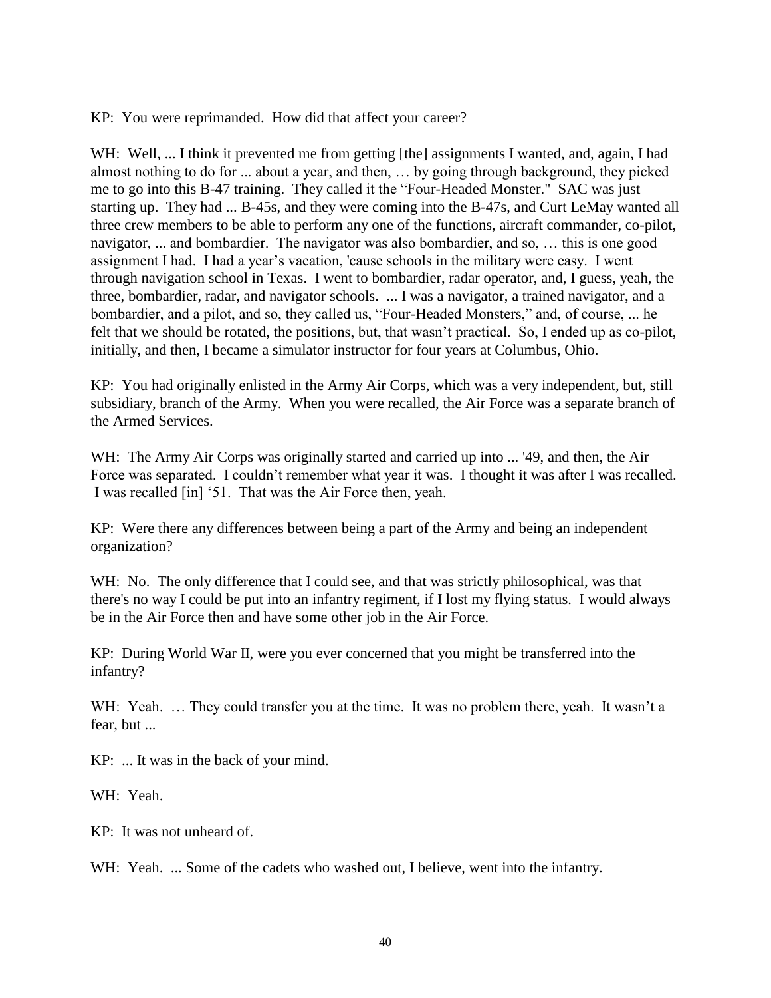KP: You were reprimanded. How did that affect your career?

WH: Well, ... I think it prevented me from getting [the] assignments I wanted, and, again, I had almost nothing to do for ... about a year, and then, … by going through background, they picked me to go into this B-47 training. They called it the "Four-Headed Monster." SAC was just starting up. They had ... B-45s, and they were coming into the B-47s, and Curt LeMay wanted all three crew members to be able to perform any one of the functions, aircraft commander, co-pilot, navigator, ... and bombardier. The navigator was also bombardier, and so, … this is one good assignment I had. I had a year's vacation, 'cause schools in the military were easy. I went through navigation school in Texas. I went to bombardier, radar operator, and, I guess, yeah, the three, bombardier, radar, and navigator schools. ... I was a navigator, a trained navigator, and a bombardier, and a pilot, and so, they called us, "Four-Headed Monsters," and, of course, ... he felt that we should be rotated, the positions, but, that wasn't practical. So, I ended up as co-pilot, initially, and then, I became a simulator instructor for four years at Columbus, Ohio.

KP: You had originally enlisted in the Army Air Corps, which was a very independent, but, still subsidiary, branch of the Army. When you were recalled, the Air Force was a separate branch of the Armed Services.

WH: The Army Air Corps was originally started and carried up into ... '49, and then, the Air Force was separated. I couldn't remember what year it was. I thought it was after I was recalled. I was recalled [in] '51. That was the Air Force then, yeah.

KP: Were there any differences between being a part of the Army and being an independent organization?

WH: No. The only difference that I could see, and that was strictly philosophical, was that there's no way I could be put into an infantry regiment, if I lost my flying status. I would always be in the Air Force then and have some other job in the Air Force.

KP: During World War II, were you ever concerned that you might be transferred into the infantry?

WH: Yeah. ... They could transfer you at the time. It was no problem there, yeah. It wasn't a fear, but ...

KP: ... It was in the back of your mind.

WH: Yeah.

KP: It was not unheard of.

WH: Yeah. ... Some of the cadets who washed out, I believe, went into the infantry.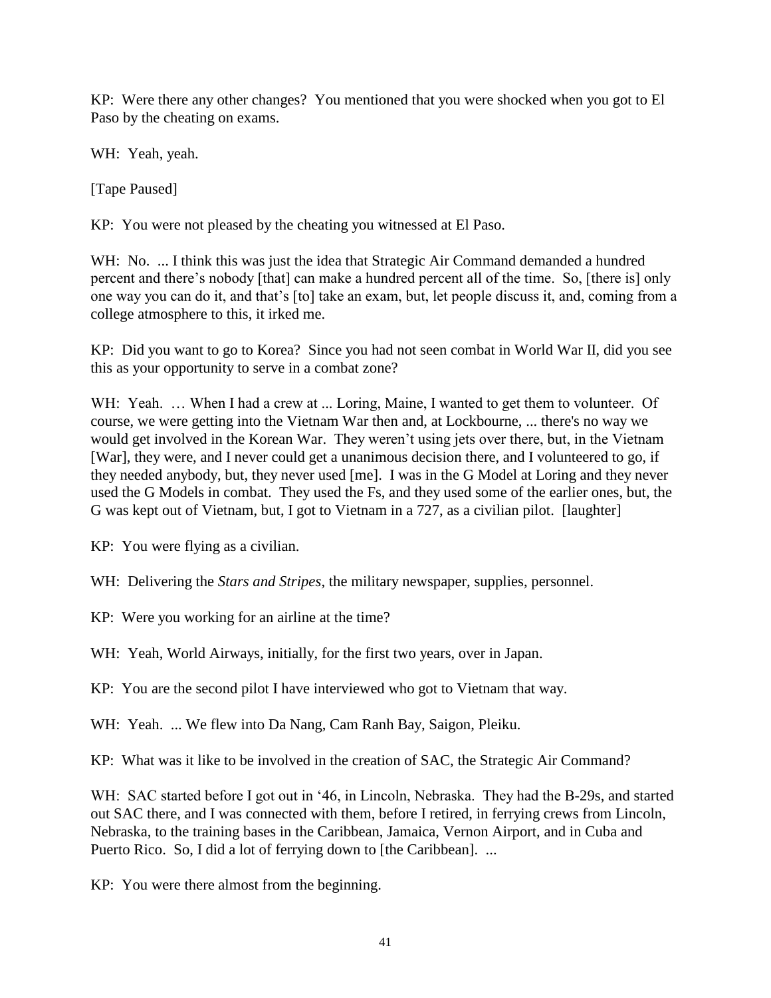KP: Were there any other changes? You mentioned that you were shocked when you got to El Paso by the cheating on exams.

WH: Yeah, yeah.

[Tape Paused]

KP: You were not pleased by the cheating you witnessed at El Paso.

WH: No. ... I think this was just the idea that Strategic Air Command demanded a hundred percent and there's nobody [that] can make a hundred percent all of the time. So, [there is] only one way you can do it, and that's [to] take an exam, but, let people discuss it, and, coming from a college atmosphere to this, it irked me.

KP: Did you want to go to Korea? Since you had not seen combat in World War II, did you see this as your opportunity to serve in a combat zone?

WH: Yeah. ... When I had a crew at ... Loring, Maine, I wanted to get them to volunteer. Of course, we were getting into the Vietnam War then and, at Lockbourne, ... there's no way we would get involved in the Korean War. They weren't using jets over there, but, in the Vietnam [War], they were, and I never could get a unanimous decision there, and I volunteered to go, if they needed anybody, but, they never used [me]. I was in the G Model at Loring and they never used the G Models in combat. They used the Fs, and they used some of the earlier ones, but, the G was kept out of Vietnam, but, I got to Vietnam in a 727, as a civilian pilot. [laughter]

KP: You were flying as a civilian.

WH: Delivering the *Stars and Stripes*, the military newspaper, supplies, personnel.

KP: Were you working for an airline at the time?

WH: Yeah, World Airways, initially, for the first two years, over in Japan.

KP: You are the second pilot I have interviewed who got to Vietnam that way.

WH: Yeah. ... We flew into Da Nang, Cam Ranh Bay, Saigon, Pleiku.

KP: What was it like to be involved in the creation of SAC, the Strategic Air Command?

WH: SAC started before I got out in '46, in Lincoln, Nebraska. They had the B-29s, and started out SAC there, and I was connected with them, before I retired, in ferrying crews from Lincoln, Nebraska, to the training bases in the Caribbean, Jamaica, Vernon Airport, and in Cuba and Puerto Rico. So, I did a lot of ferrying down to [the Caribbean]. ...

KP: You were there almost from the beginning.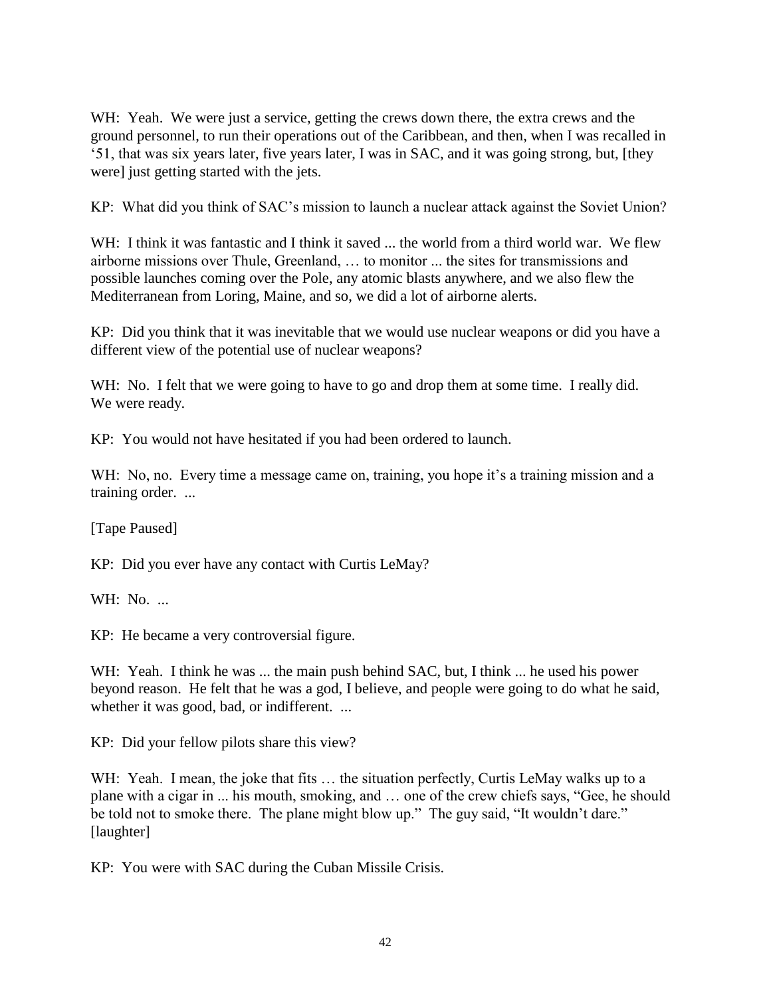WH: Yeah. We were just a service, getting the crews down there, the extra crews and the ground personnel, to run their operations out of the Caribbean, and then, when I was recalled in '51, that was six years later, five years later, I was in SAC, and it was going strong, but, [they were] just getting started with the jets.

KP: What did you think of SAC's mission to launch a nuclear attack against the Soviet Union?

WH: I think it was fantastic and I think it saved ... the world from a third world war. We flew airborne missions over Thule, Greenland, … to monitor ... the sites for transmissions and possible launches coming over the Pole, any atomic blasts anywhere, and we also flew the Mediterranean from Loring, Maine, and so, we did a lot of airborne alerts.

KP: Did you think that it was inevitable that we would use nuclear weapons or did you have a different view of the potential use of nuclear weapons?

WH: No. I felt that we were going to have to go and drop them at some time. I really did. We were ready.

KP: You would not have hesitated if you had been ordered to launch.

WH: No, no. Every time a message came on, training, you hope it's a training mission and a training order. ...

[Tape Paused]

KP: Did you ever have any contact with Curtis LeMay?

WH: No. ...

KP: He became a very controversial figure.

WH: Yeah. I think he was ... the main push behind SAC, but, I think ... he used his power beyond reason. He felt that he was a god, I believe, and people were going to do what he said, whether it was good, bad, or indifferent. ...

KP: Did your fellow pilots share this view?

WH: Yeah. I mean, the joke that fits ... the situation perfectly, Curtis LeMay walks up to a plane with a cigar in ... his mouth, smoking, and … one of the crew chiefs says, "Gee, he should be told not to smoke there. The plane might blow up." The guy said, "It wouldn't dare." [laughter]

KP: You were with SAC during the Cuban Missile Crisis.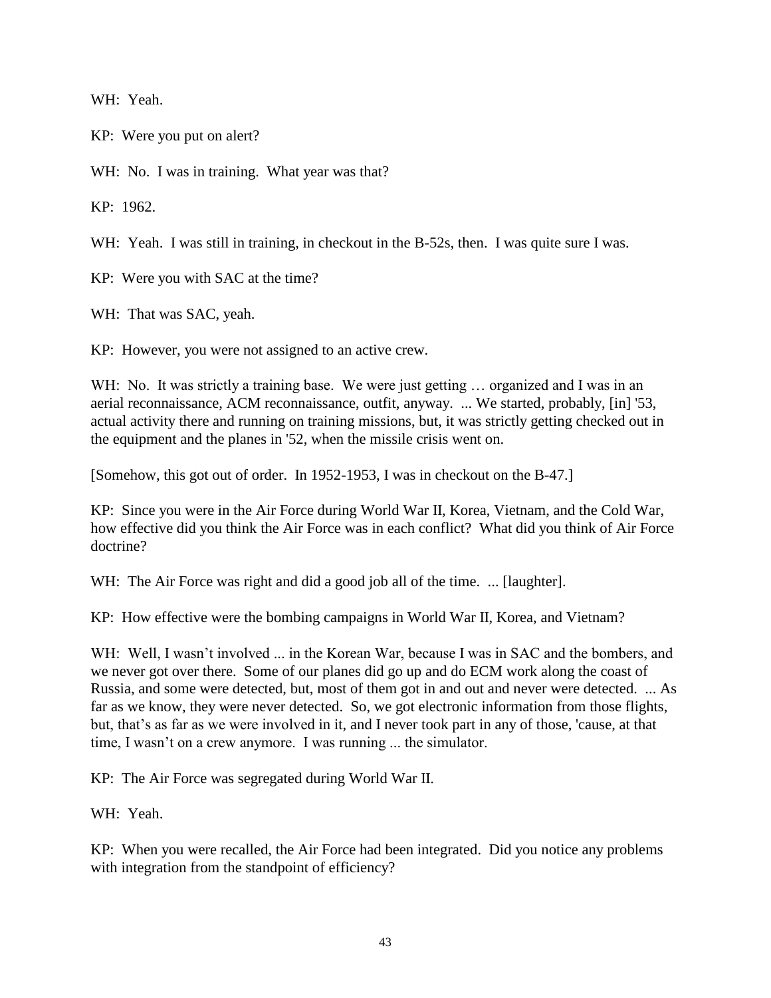WH: Yeah.

KP: Were you put on alert?

WH: No. I was in training. What year was that?

KP: 1962.

WH: Yeah. I was still in training, in checkout in the B-52s, then. I was quite sure I was.

KP: Were you with SAC at the time?

WH: That was SAC, yeah.

KP: However, you were not assigned to an active crew.

WH: No. It was strictly a training base. We were just getting ... organized and I was in an aerial reconnaissance, ACM reconnaissance, outfit, anyway. ... We started, probably, [in] '53, actual activity there and running on training missions, but, it was strictly getting checked out in the equipment and the planes in '52, when the missile crisis went on.

[Somehow, this got out of order. In 1952-1953, I was in checkout on the B-47.]

KP: Since you were in the Air Force during World War II, Korea, Vietnam, and the Cold War, how effective did you think the Air Force was in each conflict? What did you think of Air Force doctrine?

WH: The Air Force was right and did a good job all of the time. ... [laughter].

KP: How effective were the bombing campaigns in World War II, Korea, and Vietnam?

WH: Well, I wasn't involved ... in the Korean War, because I was in SAC and the bombers, and we never got over there. Some of our planes did go up and do ECM work along the coast of Russia, and some were detected, but, most of them got in and out and never were detected. ... As far as we know, they were never detected. So, we got electronic information from those flights, but, that's as far as we were involved in it, and I never took part in any of those, 'cause, at that time, I wasn't on a crew anymore. I was running ... the simulator.

KP: The Air Force was segregated during World War II.

WH: Yeah.

KP: When you were recalled, the Air Force had been integrated. Did you notice any problems with integration from the standpoint of efficiency?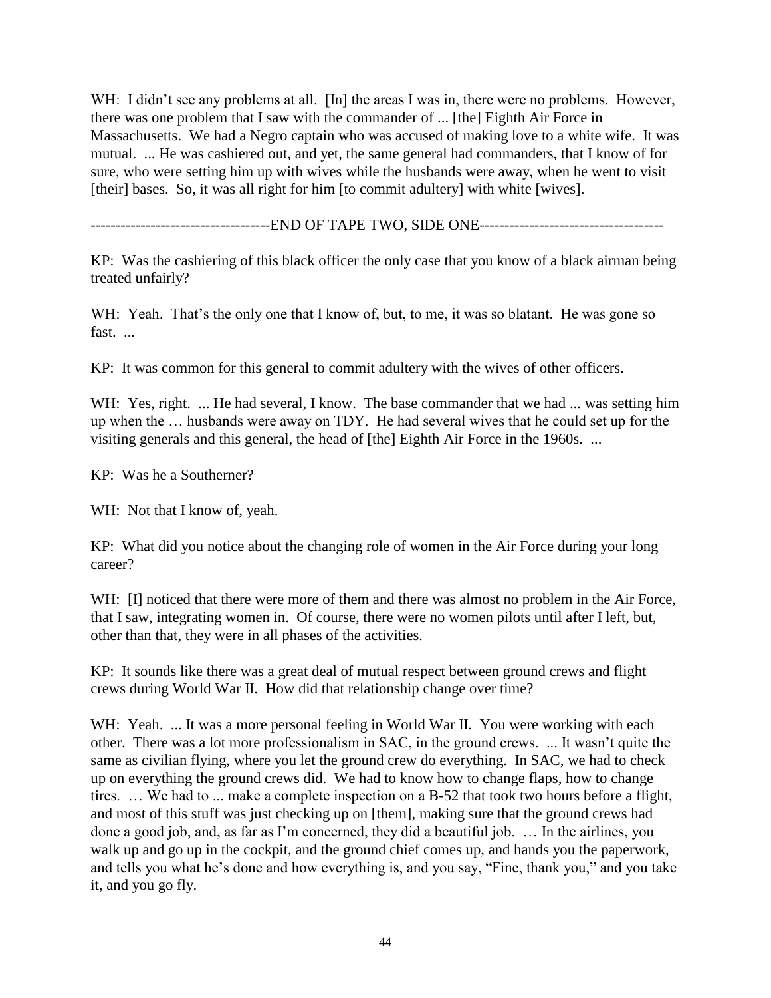WH: I didn't see any problems at all. [In] the areas I was in, there were no problems. However, there was one problem that I saw with the commander of ... [the] Eighth Air Force in Massachusetts. We had a Negro captain who was accused of making love to a white wife. It was mutual. ... He was cashiered out, and yet, the same general had commanders, that I know of for sure, who were setting him up with wives while the husbands were away, when he went to visit [their] bases. So, it was all right for him [to commit adultery] with white [wives].

------------------------------------END OF TAPE TWO, SIDE ONE-------------------------------------

KP: Was the cashiering of this black officer the only case that you know of a black airman being treated unfairly?

WH: Yeah. That's the only one that I know of, but, to me, it was so blatant. He was gone so fast. ...

KP: It was common for this general to commit adultery with the wives of other officers.

WH: Yes, right. ... He had several, I know. The base commander that we had ... was setting him up when the … husbands were away on TDY. He had several wives that he could set up for the visiting generals and this general, the head of [the] Eighth Air Force in the 1960s. ...

KP: Was he a Southerner?

WH: Not that I know of, yeah.

KP: What did you notice about the changing role of women in the Air Force during your long career?

WH: [I] noticed that there were more of them and there was almost no problem in the Air Force, that I saw, integrating women in. Of course, there were no women pilots until after I left, but, other than that, they were in all phases of the activities.

KP: It sounds like there was a great deal of mutual respect between ground crews and flight crews during World War II. How did that relationship change over time?

WH: Yeah. ... It was a more personal feeling in World War II. You were working with each other. There was a lot more professionalism in SAC, in the ground crews. ... It wasn't quite the same as civilian flying, where you let the ground crew do everything. In SAC, we had to check up on everything the ground crews did. We had to know how to change flaps, how to change tires. … We had to ... make a complete inspection on a B-52 that took two hours before a flight, and most of this stuff was just checking up on [them], making sure that the ground crews had done a good job, and, as far as I'm concerned, they did a beautiful job. … In the airlines, you walk up and go up in the cockpit, and the ground chief comes up, and hands you the paperwork, and tells you what he's done and how everything is, and you say, "Fine, thank you," and you take it, and you go fly.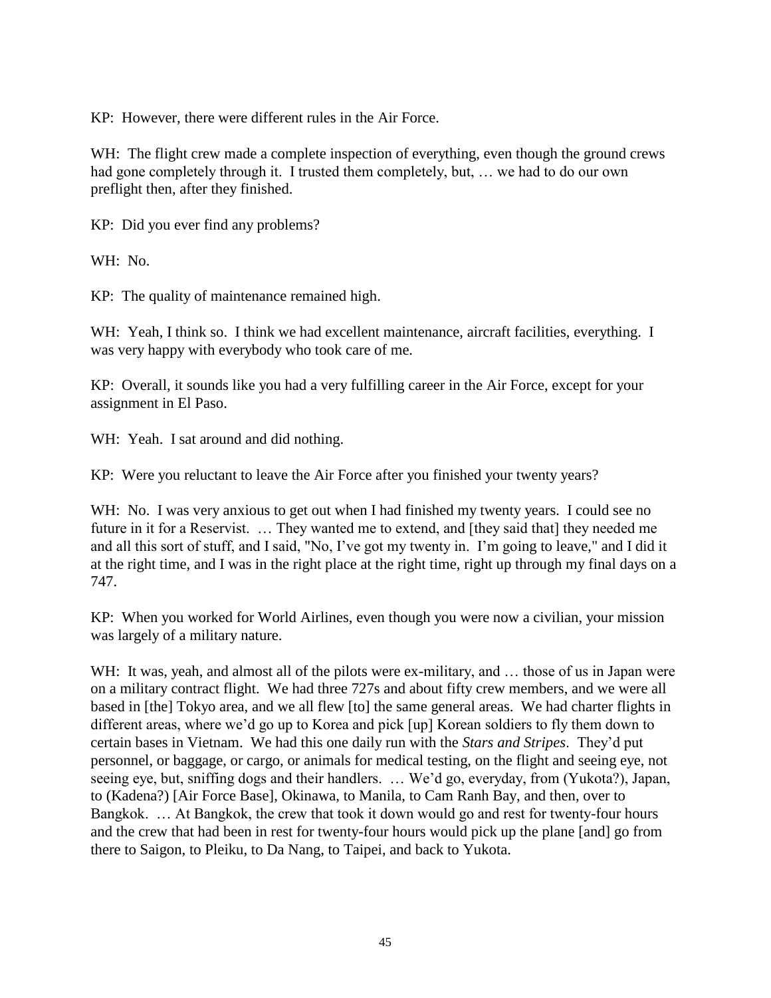KP: However, there were different rules in the Air Force.

WH: The flight crew made a complete inspection of everything, even though the ground crews had gone completely through it. I trusted them completely, but, … we had to do our own preflight then, after they finished.

KP: Did you ever find any problems?

WH: No.

KP: The quality of maintenance remained high.

WH: Yeah, I think so. I think we had excellent maintenance, aircraft facilities, everything. I was very happy with everybody who took care of me.

KP: Overall, it sounds like you had a very fulfilling career in the Air Force, except for your assignment in El Paso.

WH: Yeah. I sat around and did nothing.

KP: Were you reluctant to leave the Air Force after you finished your twenty years?

WH: No. I was very anxious to get out when I had finished my twenty years. I could see no future in it for a Reservist. … They wanted me to extend, and [they said that] they needed me and all this sort of stuff, and I said, "No, I've got my twenty in. I'm going to leave," and I did it at the right time, and I was in the right place at the right time, right up through my final days on a 747.

KP: When you worked for World Airlines, even though you were now a civilian, your mission was largely of a military nature.

WH: It was, yeah, and almost all of the pilots were ex-military, and ... those of us in Japan were on a military contract flight. We had three 727s and about fifty crew members, and we were all based in [the] Tokyo area, and we all flew [to] the same general areas. We had charter flights in different areas, where we'd go up to Korea and pick [up] Korean soldiers to fly them down to certain bases in Vietnam. We had this one daily run with the *Stars and Stripes*. They'd put personnel, or baggage, or cargo, or animals for medical testing, on the flight and seeing eye, not seeing eye, but, sniffing dogs and their handlers. … We'd go, everyday, from (Yukota?), Japan, to (Kadena?) [Air Force Base], Okinawa, to Manila, to Cam Ranh Bay, and then, over to Bangkok. … At Bangkok, the crew that took it down would go and rest for twenty-four hours and the crew that had been in rest for twenty-four hours would pick up the plane [and] go from there to Saigon, to Pleiku, to Da Nang, to Taipei, and back to Yukota.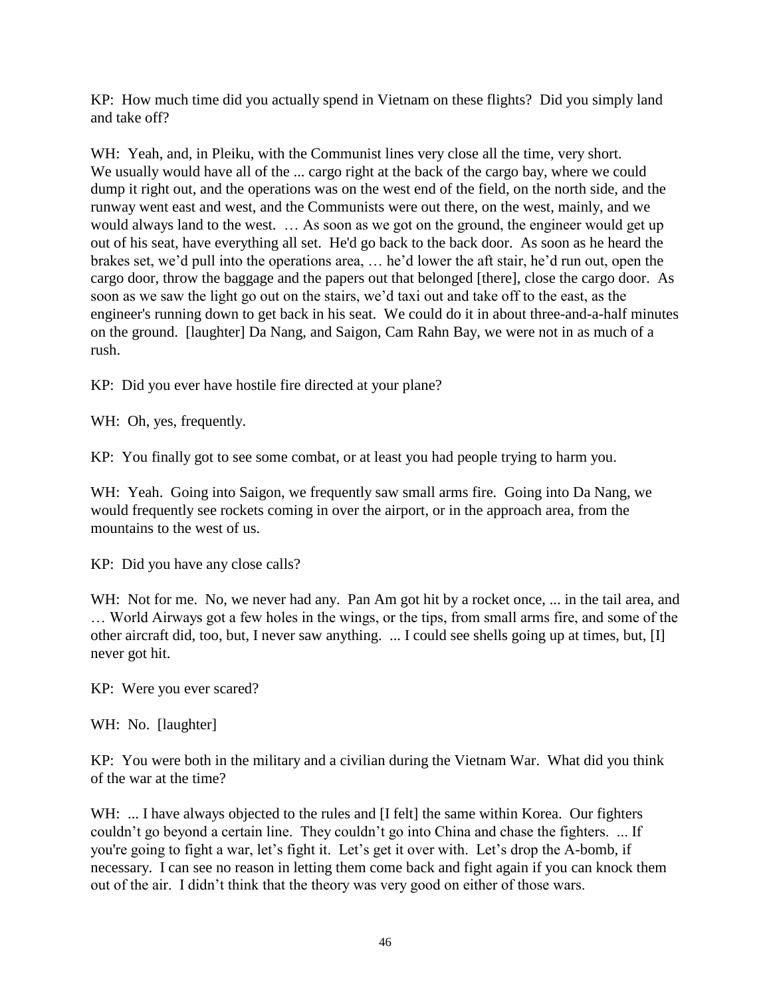KP: How much time did you actually spend in Vietnam on these flights? Did you simply land and take off?

WH: Yeah, and, in Pleiku, with the Communist lines very close all the time, very short. We usually would have all of the ... cargo right at the back of the cargo bay, where we could dump it right out, and the operations was on the west end of the field, on the north side, and the runway went east and west, and the Communists were out there, on the west, mainly, and we would always land to the west. … As soon as we got on the ground, the engineer would get up out of his seat, have everything all set. He'd go back to the back door. As soon as he heard the brakes set, we'd pull into the operations area, … he'd lower the aft stair, he'd run out, open the cargo door, throw the baggage and the papers out that belonged [there], close the cargo door. As soon as we saw the light go out on the stairs, we'd taxi out and take off to the east, as the engineer's running down to get back in his seat. We could do it in about three-and-a-half minutes on the ground. [laughter] Da Nang, and Saigon, Cam Rahn Bay, we were not in as much of a rush.

KP: Did you ever have hostile fire directed at your plane?

WH: Oh, yes, frequently.

KP: You finally got to see some combat, or at least you had people trying to harm you.

WH: Yeah. Going into Saigon, we frequently saw small arms fire. Going into Da Nang, we would frequently see rockets coming in over the airport, or in the approach area, from the mountains to the west of us.

KP: Did you have any close calls?

WH: Not for me. No, we never had any. Pan Am got hit by a rocket once, ... in the tail area, and … World Airways got a few holes in the wings, or the tips, from small arms fire, and some of the other aircraft did, too, but, I never saw anything. ... I could see shells going up at times, but, [I] never got hit.

KP: Were you ever scared?

WH: No. [laughter]

KP: You were both in the military and a civilian during the Vietnam War. What did you think of the war at the time?

WH: ... I have always objected to the rules and [I felt] the same within Korea. Our fighters couldn't go beyond a certain line. They couldn't go into China and chase the fighters. ... If you're going to fight a war, let's fight it. Let's get it over with. Let's drop the A-bomb, if necessary. I can see no reason in letting them come back and fight again if you can knock them out of the air. I didn't think that the theory was very good on either of those wars.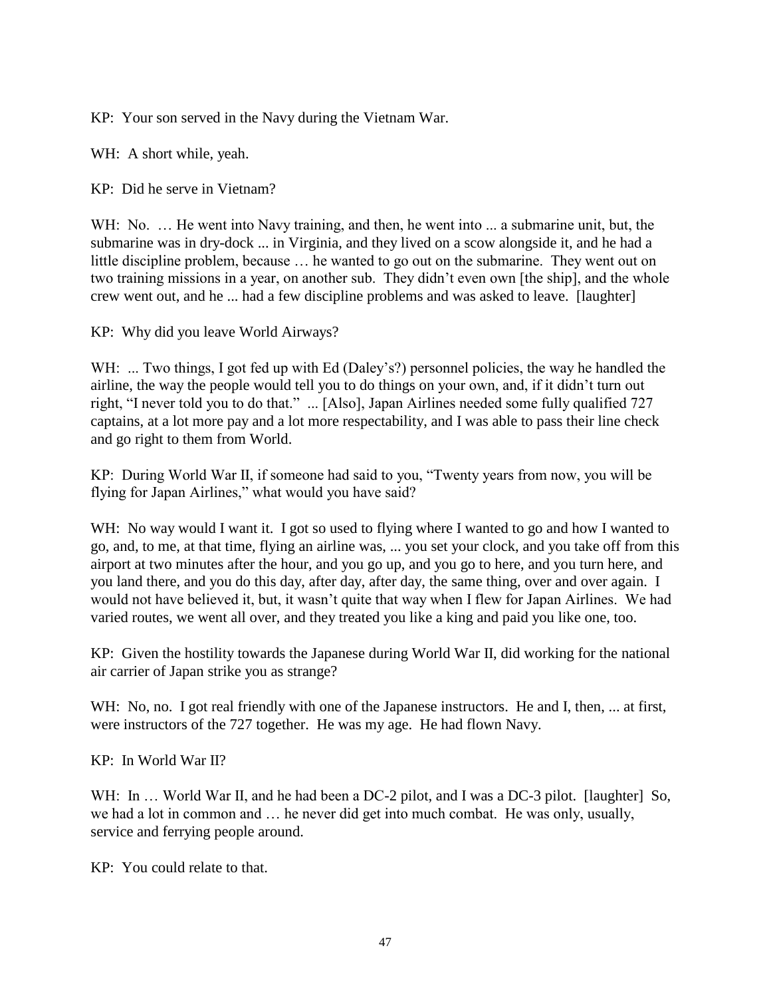KP: Your son served in the Navy during the Vietnam War.

WH: A short while, yeah.

KP: Did he serve in Vietnam?

WH: No. ... He went into Navy training, and then, he went into ... a submarine unit, but, the submarine was in dry-dock ... in Virginia, and they lived on a scow alongside it, and he had a little discipline problem, because … he wanted to go out on the submarine. They went out on two training missions in a year, on another sub. They didn't even own [the ship], and the whole crew went out, and he ... had a few discipline problems and was asked to leave. [laughter]

KP: Why did you leave World Airways?

WH: ... Two things, I got fed up with Ed (Daley's?) personnel policies, the way he handled the airline, the way the people would tell you to do things on your own, and, if it didn't turn out right, "I never told you to do that." ... [Also], Japan Airlines needed some fully qualified 727 captains, at a lot more pay and a lot more respectability, and I was able to pass their line check and go right to them from World.

KP: During World War II, if someone had said to you, "Twenty years from now, you will be flying for Japan Airlines," what would you have said?

WH: No way would I want it. I got so used to flying where I wanted to go and how I wanted to go, and, to me, at that time, flying an airline was, ... you set your clock, and you take off from this airport at two minutes after the hour, and you go up, and you go to here, and you turn here, and you land there, and you do this day, after day, after day, the same thing, over and over again. I would not have believed it, but, it wasn't quite that way when I flew for Japan Airlines. We had varied routes, we went all over, and they treated you like a king and paid you like one, too.

KP: Given the hostility towards the Japanese during World War II, did working for the national air carrier of Japan strike you as strange?

WH: No, no. I got real friendly with one of the Japanese instructors. He and I, then, ... at first, were instructors of the 727 together. He was my age. He had flown Navy.

KP: In World War II?

WH: In ... World War II, and he had been a DC-2 pilot, and I was a DC-3 pilot. [laughter] So, we had a lot in common and … he never did get into much combat. He was only, usually, service and ferrying people around.

KP: You could relate to that.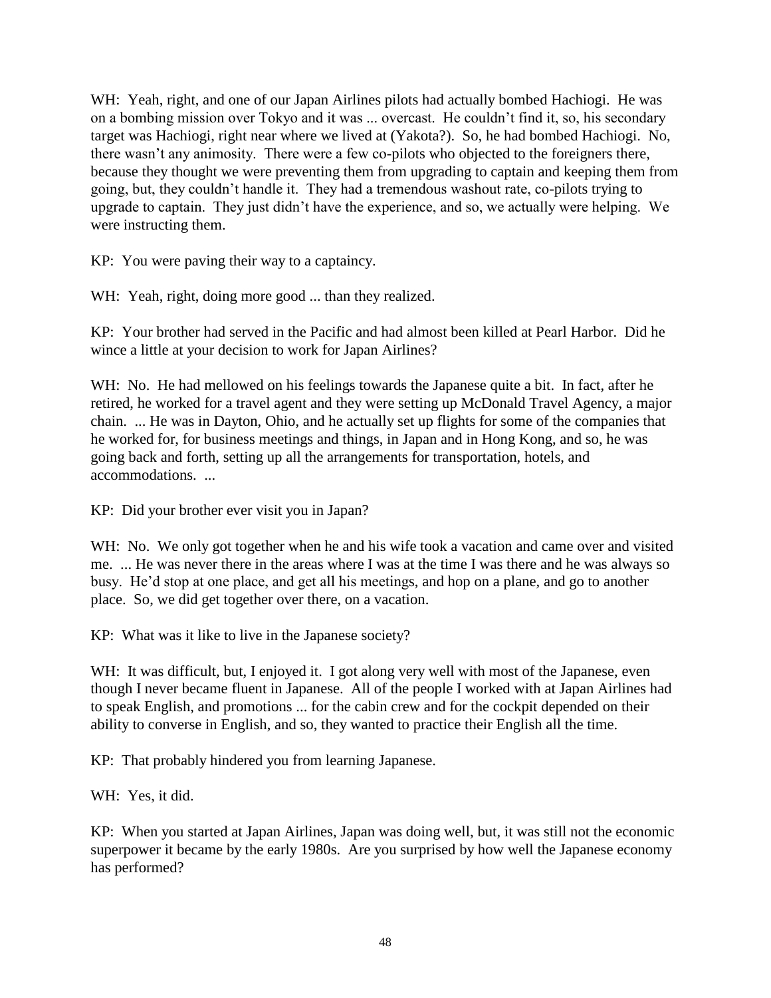WH: Yeah, right, and one of our Japan Airlines pilots had actually bombed Hachiogi. He was on a bombing mission over Tokyo and it was ... overcast. He couldn't find it, so, his secondary target was Hachiogi, right near where we lived at (Yakota?). So, he had bombed Hachiogi. No, there wasn't any animosity. There were a few co-pilots who objected to the foreigners there, because they thought we were preventing them from upgrading to captain and keeping them from going, but, they couldn't handle it. They had a tremendous washout rate, co-pilots trying to upgrade to captain. They just didn't have the experience, and so, we actually were helping. We were instructing them.

KP: You were paving their way to a captaincy.

WH: Yeah, right, doing more good ... than they realized.

KP: Your brother had served in the Pacific and had almost been killed at Pearl Harbor. Did he wince a little at your decision to work for Japan Airlines?

WH: No. He had mellowed on his feelings towards the Japanese quite a bit. In fact, after he retired, he worked for a travel agent and they were setting up McDonald Travel Agency, a major chain. ... He was in Dayton, Ohio, and he actually set up flights for some of the companies that he worked for, for business meetings and things, in Japan and in Hong Kong, and so, he was going back and forth, setting up all the arrangements for transportation, hotels, and accommodations. ...

KP: Did your brother ever visit you in Japan?

WH: No. We only got together when he and his wife took a vacation and came over and visited me. ... He was never there in the areas where I was at the time I was there and he was always so busy. He'd stop at one place, and get all his meetings, and hop on a plane, and go to another place. So, we did get together over there, on a vacation.

KP: What was it like to live in the Japanese society?

WH: It was difficult, but, I enjoyed it. I got along very well with most of the Japanese, even though I never became fluent in Japanese. All of the people I worked with at Japan Airlines had to speak English, and promotions ... for the cabin crew and for the cockpit depended on their ability to converse in English, and so, they wanted to practice their English all the time.

KP: That probably hindered you from learning Japanese.

WH: Yes, it did.

KP: When you started at Japan Airlines, Japan was doing well, but, it was still not the economic superpower it became by the early 1980s. Are you surprised by how well the Japanese economy has performed?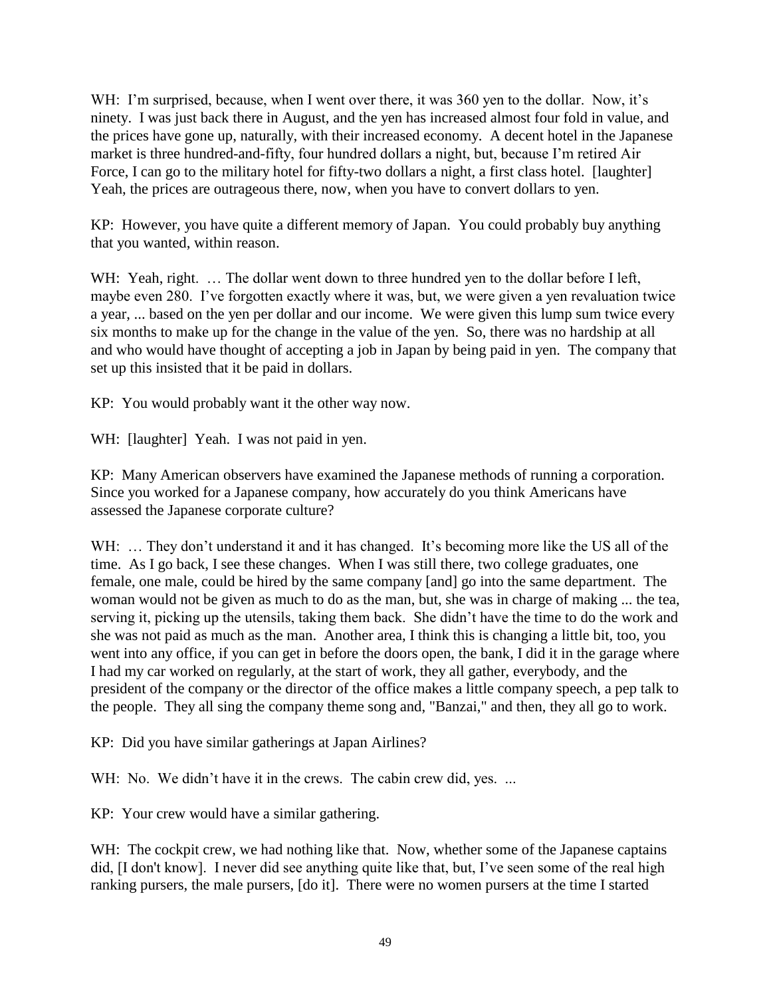WH: I'm surprised, because, when I went over there, it was 360 yen to the dollar. Now, it's ninety. I was just back there in August, and the yen has increased almost four fold in value, and the prices have gone up, naturally, with their increased economy. A decent hotel in the Japanese market is three hundred-and-fifty, four hundred dollars a night, but, because I'm retired Air Force, I can go to the military hotel for fifty-two dollars a night, a first class hotel. [laughter] Yeah, the prices are outrageous there, now, when you have to convert dollars to yen.

KP: However, you have quite a different memory of Japan. You could probably buy anything that you wanted, within reason.

WH: Yeah, right. ... The dollar went down to three hundred yen to the dollar before I left, maybe even 280. I've forgotten exactly where it was, but, we were given a yen revaluation twice a year, ... based on the yen per dollar and our income. We were given this lump sum twice every six months to make up for the change in the value of the yen. So, there was no hardship at all and who would have thought of accepting a job in Japan by being paid in yen. The company that set up this insisted that it be paid in dollars.

KP: You would probably want it the other way now.

WH: [laughter] Yeah. I was not paid in yen.

KP: Many American observers have examined the Japanese methods of running a corporation. Since you worked for a Japanese company, how accurately do you think Americans have assessed the Japanese corporate culture?

WH: ... They don't understand it and it has changed. It's becoming more like the US all of the time. As I go back, I see these changes. When I was still there, two college graduates, one female, one male, could be hired by the same company [and] go into the same department. The woman would not be given as much to do as the man, but, she was in charge of making ... the tea, serving it, picking up the utensils, taking them back. She didn't have the time to do the work and she was not paid as much as the man. Another area, I think this is changing a little bit, too, you went into any office, if you can get in before the doors open, the bank, I did it in the garage where I had my car worked on regularly, at the start of work, they all gather, everybody, and the president of the company or the director of the office makes a little company speech, a pep talk to the people. They all sing the company theme song and, "Banzai," and then, they all go to work.

KP: Did you have similar gatherings at Japan Airlines?

WH: No. We didn't have it in the crews. The cabin crew did, yes. ...

KP: Your crew would have a similar gathering.

WH: The cockpit crew, we had nothing like that. Now, whether some of the Japanese captains did, [I don't know]. I never did see anything quite like that, but, I've seen some of the real high ranking pursers, the male pursers, [do it]. There were no women pursers at the time I started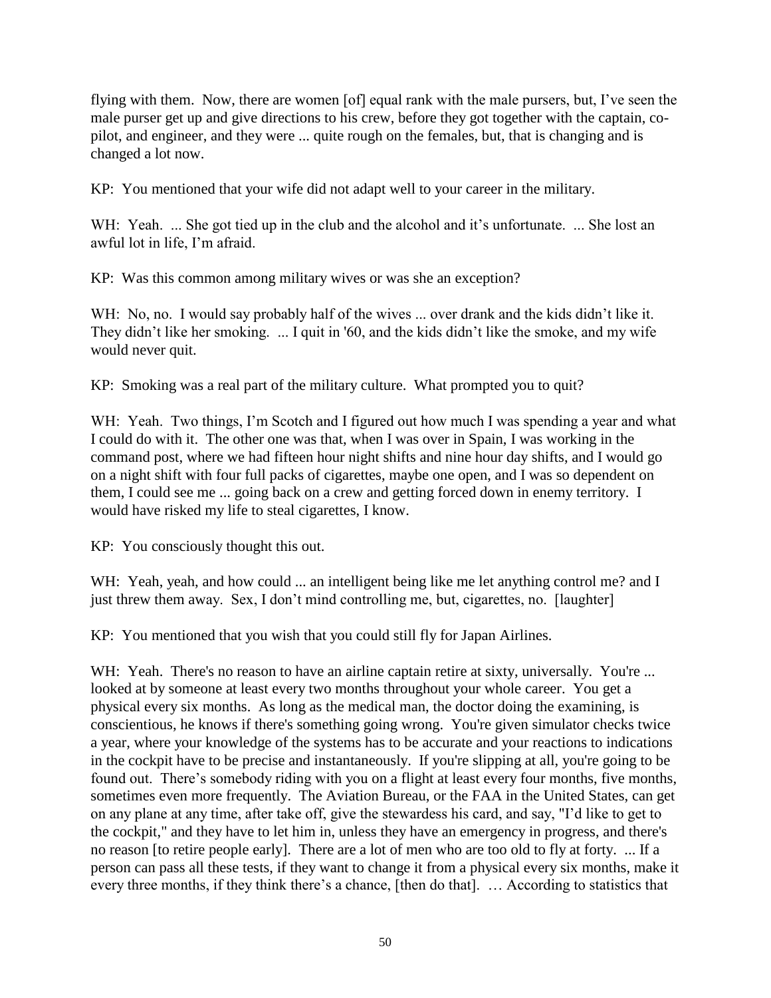flying with them. Now, there are women [of] equal rank with the male pursers, but, I've seen the male purser get up and give directions to his crew, before they got together with the captain, copilot, and engineer, and they were ... quite rough on the females, but, that is changing and is changed a lot now.

KP: You mentioned that your wife did not adapt well to your career in the military.

WH: Yeah. ... She got tied up in the club and the alcohol and it's unfortunate. ... She lost an awful lot in life, I'm afraid.

KP: Was this common among military wives or was she an exception?

WH: No, no. I would say probably half of the wives ... over drank and the kids didn't like it. They didn't like her smoking. ... I quit in '60, and the kids didn't like the smoke, and my wife would never quit.

KP: Smoking was a real part of the military culture. What prompted you to quit?

WH: Yeah. Two things, I'm Scotch and I figured out how much I was spending a year and what I could do with it. The other one was that, when I was over in Spain, I was working in the command post, where we had fifteen hour night shifts and nine hour day shifts, and I would go on a night shift with four full packs of cigarettes, maybe one open, and I was so dependent on them, I could see me ... going back on a crew and getting forced down in enemy territory. I would have risked my life to steal cigarettes, I know.

KP: You consciously thought this out.

WH: Yeah, yeah, and how could ... an intelligent being like me let anything control me? and I just threw them away. Sex, I don't mind controlling me, but, cigarettes, no. [laughter]

KP: You mentioned that you wish that you could still fly for Japan Airlines.

WH: Yeah. There's no reason to have an airline captain retire at sixty, universally. You're ... looked at by someone at least every two months throughout your whole career. You get a physical every six months. As long as the medical man, the doctor doing the examining, is conscientious, he knows if there's something going wrong. You're given simulator checks twice a year, where your knowledge of the systems has to be accurate and your reactions to indications in the cockpit have to be precise and instantaneously. If you're slipping at all, you're going to be found out. There's somebody riding with you on a flight at least every four months, five months, sometimes even more frequently. The Aviation Bureau, or the FAA in the United States, can get on any plane at any time, after take off, give the stewardess his card, and say, "I'd like to get to the cockpit," and they have to let him in, unless they have an emergency in progress, and there's no reason [to retire people early]. There are a lot of men who are too old to fly at forty. ... If a person can pass all these tests, if they want to change it from a physical every six months, make it every three months, if they think there's a chance, [then do that]. … According to statistics that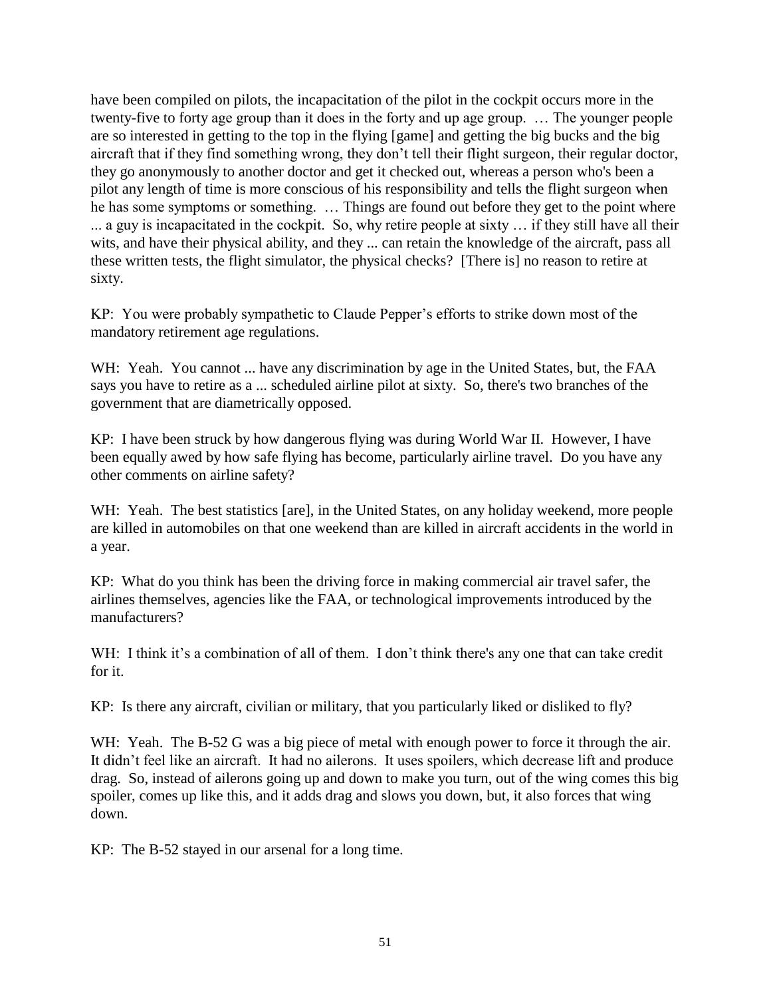have been compiled on pilots, the incapacitation of the pilot in the cockpit occurs more in the twenty-five to forty age group than it does in the forty and up age group. … The younger people are so interested in getting to the top in the flying [game] and getting the big bucks and the big aircraft that if they find something wrong, they don't tell their flight surgeon, their regular doctor, they go anonymously to another doctor and get it checked out, whereas a person who's been a pilot any length of time is more conscious of his responsibility and tells the flight surgeon when he has some symptoms or something. … Things are found out before they get to the point where ... a guy is incapacitated in the cockpit. So, why retire people at sixty … if they still have all their wits, and have their physical ability, and they ... can retain the knowledge of the aircraft, pass all these written tests, the flight simulator, the physical checks? [There is] no reason to retire at sixty.

KP: You were probably sympathetic to Claude Pepper's efforts to strike down most of the mandatory retirement age regulations.

WH: Yeah. You cannot ... have any discrimination by age in the United States, but, the FAA says you have to retire as a ... scheduled airline pilot at sixty. So, there's two branches of the government that are diametrically opposed.

KP: I have been struck by how dangerous flying was during World War II. However, I have been equally awed by how safe flying has become, particularly airline travel. Do you have any other comments on airline safety?

WH: Yeah. The best statistics [are], in the United States, on any holiday weekend, more people are killed in automobiles on that one weekend than are killed in aircraft accidents in the world in a year.

KP: What do you think has been the driving force in making commercial air travel safer, the airlines themselves, agencies like the FAA, or technological improvements introduced by the manufacturers?

WH: I think it's a combination of all of them. I don't think there's any one that can take credit for it.

KP: Is there any aircraft, civilian or military, that you particularly liked or disliked to fly?

WH: Yeah. The B-52 G was a big piece of metal with enough power to force it through the air. It didn't feel like an aircraft. It had no ailerons. It uses spoilers, which decrease lift and produce drag. So, instead of ailerons going up and down to make you turn, out of the wing comes this big spoiler, comes up like this, and it adds drag and slows you down, but, it also forces that wing down.

KP: The B-52 stayed in our arsenal for a long time.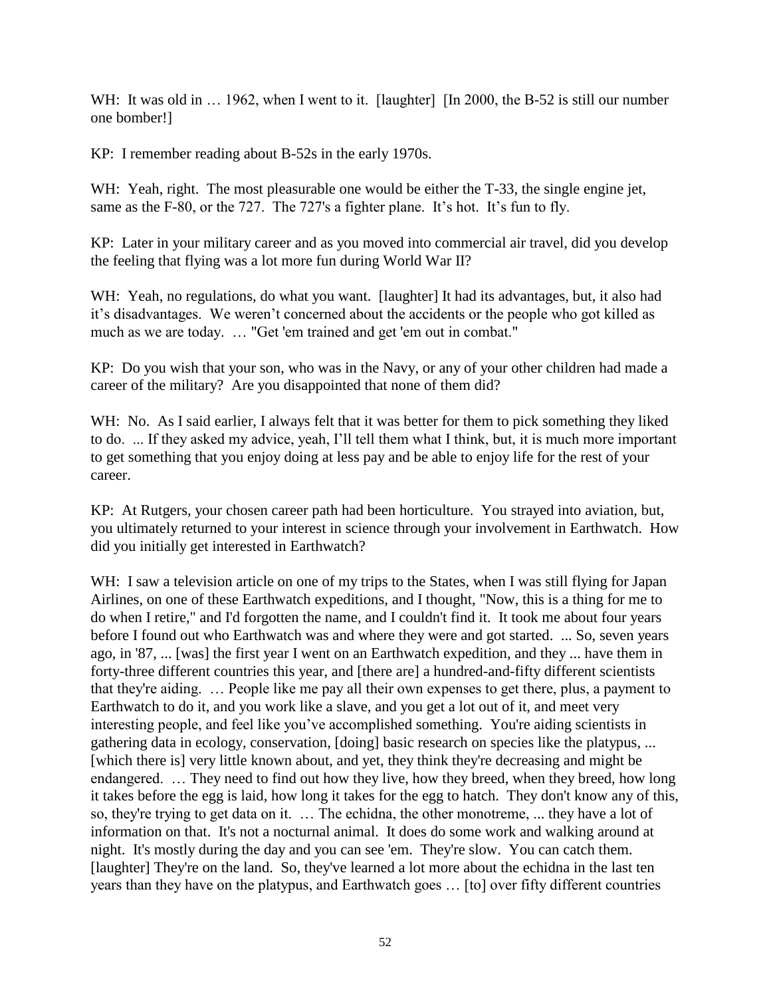WH: It was old in ... 1962, when I went to it. [laughter] [In 2000, the B-52 is still our number one bomber!]

KP: I remember reading about B-52s in the early 1970s.

WH: Yeah, right. The most pleasurable one would be either the T-33, the single engine jet, same as the F-80, or the 727. The 727's a fighter plane. It's hot. It's fun to fly.

KP: Later in your military career and as you moved into commercial air travel, did you develop the feeling that flying was a lot more fun during World War II?

WH: Yeah, no regulations, do what you want. [laughter] It had its advantages, but, it also had it's disadvantages. We weren't concerned about the accidents or the people who got killed as much as we are today. … "Get 'em trained and get 'em out in combat."

KP: Do you wish that your son, who was in the Navy, or any of your other children had made a career of the military? Are you disappointed that none of them did?

WH: No. As I said earlier, I always felt that it was better for them to pick something they liked to do. ... If they asked my advice, yeah, I'll tell them what I think, but, it is much more important to get something that you enjoy doing at less pay and be able to enjoy life for the rest of your career.

KP: At Rutgers, your chosen career path had been horticulture. You strayed into aviation, but, you ultimately returned to your interest in science through your involvement in Earthwatch. How did you initially get interested in Earthwatch?

WH: I saw a television article on one of my trips to the States, when I was still flying for Japan Airlines, on one of these Earthwatch expeditions, and I thought, "Now, this is a thing for me to do when I retire," and I'd forgotten the name, and I couldn't find it. It took me about four years before I found out who Earthwatch was and where they were and got started. ... So, seven years ago, in '87, ... [was] the first year I went on an Earthwatch expedition, and they ... have them in forty-three different countries this year, and [there are] a hundred-and-fifty different scientists that they're aiding. … People like me pay all their own expenses to get there, plus, a payment to Earthwatch to do it, and you work like a slave, and you get a lot out of it, and meet very interesting people, and feel like you've accomplished something. You're aiding scientists in gathering data in ecology, conservation, [doing] basic research on species like the platypus, ... [which there is] very little known about, and yet, they think they're decreasing and might be endangered. … They need to find out how they live, how they breed, when they breed, how long it takes before the egg is laid, how long it takes for the egg to hatch. They don't know any of this, so, they're trying to get data on it. … The echidna, the other monotreme, ... they have a lot of information on that. It's not a nocturnal animal. It does do some work and walking around at night. It's mostly during the day and you can see 'em. They're slow. You can catch them. [laughter] They're on the land. So, they've learned a lot more about the echidna in the last ten years than they have on the platypus, and Earthwatch goes … [to] over fifty different countries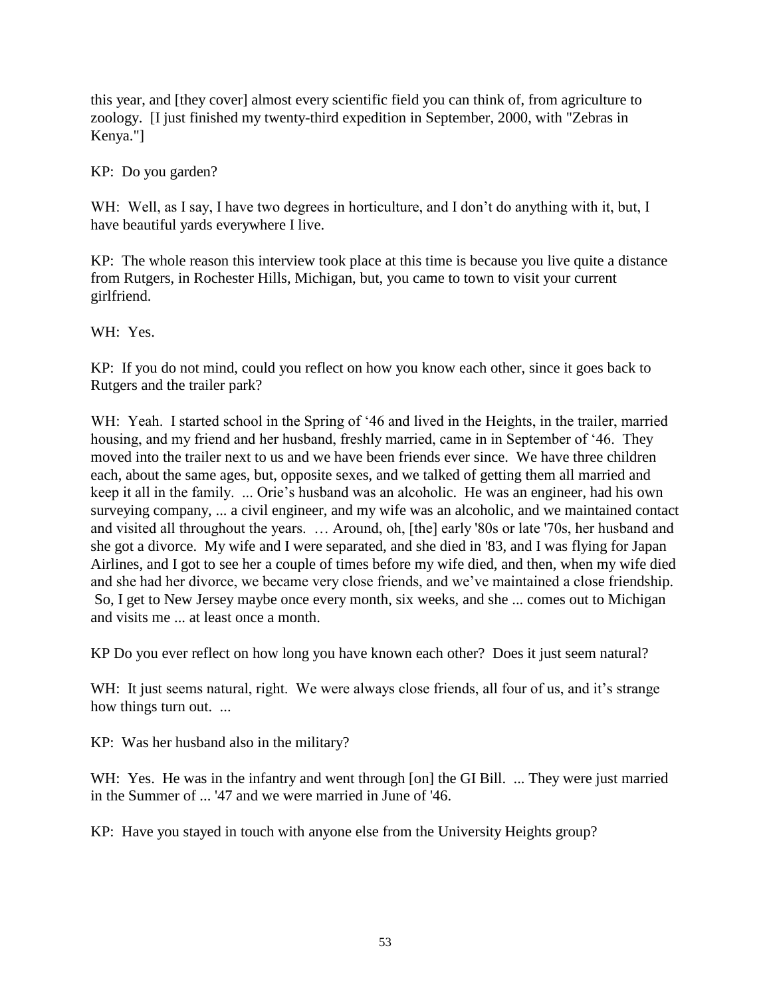this year, and [they cover] almost every scientific field you can think of, from agriculture to zoology. [I just finished my twenty-third expedition in September, 2000, with "Zebras in Kenya."]

KP: Do you garden?

WH: Well, as I say, I have two degrees in horticulture, and I don't do anything with it, but, I have beautiful yards everywhere I live.

KP: The whole reason this interview took place at this time is because you live quite a distance from Rutgers, in Rochester Hills, Michigan, but, you came to town to visit your current girlfriend.

WH: Yes.

KP: If you do not mind, could you reflect on how you know each other, since it goes back to Rutgers and the trailer park?

WH: Yeah. I started school in the Spring of '46 and lived in the Heights, in the trailer, married housing, and my friend and her husband, freshly married, came in in September of '46. They moved into the trailer next to us and we have been friends ever since. We have three children each, about the same ages, but, opposite sexes, and we talked of getting them all married and keep it all in the family. ... Orie's husband was an alcoholic. He was an engineer, had his own surveying company, ... a civil engineer, and my wife was an alcoholic, and we maintained contact and visited all throughout the years. … Around, oh, [the] early '80s or late '70s, her husband and she got a divorce. My wife and I were separated, and she died in '83, and I was flying for Japan Airlines, and I got to see her a couple of times before my wife died, and then, when my wife died and she had her divorce, we became very close friends, and we've maintained a close friendship. So, I get to New Jersey maybe once every month, six weeks, and she ... comes out to Michigan and visits me ... at least once a month.

KP Do you ever reflect on how long you have known each other? Does it just seem natural?

WH: It just seems natural, right. We were always close friends, all four of us, and it's strange how things turn out. ...

KP: Was her husband also in the military?

WH: Yes. He was in the infantry and went through [on] the GI Bill. ... They were just married in the Summer of ... '47 and we were married in June of '46.

KP: Have you stayed in touch with anyone else from the University Heights group?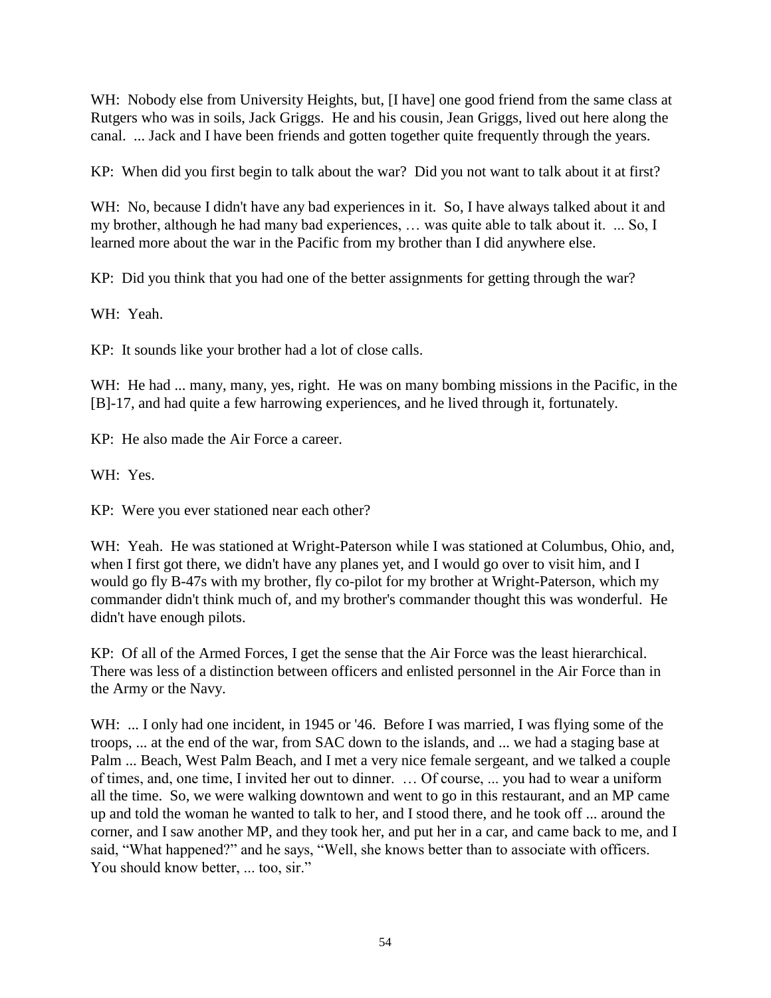WH: Nobody else from University Heights, but, [I have] one good friend from the same class at Rutgers who was in soils, Jack Griggs. He and his cousin, Jean Griggs, lived out here along the canal. ... Jack and I have been friends and gotten together quite frequently through the years.

KP: When did you first begin to talk about the war? Did you not want to talk about it at first?

WH: No, because I didn't have any bad experiences in it. So, I have always talked about it and my brother, although he had many bad experiences, … was quite able to talk about it. ... So, I learned more about the war in the Pacific from my brother than I did anywhere else.

KP: Did you think that you had one of the better assignments for getting through the war?

WH: Yeah.

KP: It sounds like your brother had a lot of close calls.

WH: He had ... many, many, yes, right. He was on many bombing missions in the Pacific, in the [B]-17, and had quite a few harrowing experiences, and he lived through it, fortunately.

KP: He also made the Air Force a career.

WH: Yes.

KP: Were you ever stationed near each other?

WH: Yeah. He was stationed at Wright-Paterson while I was stationed at Columbus, Ohio, and, when I first got there, we didn't have any planes yet, and I would go over to visit him, and I would go fly B-47s with my brother, fly co-pilot for my brother at Wright-Paterson, which my commander didn't think much of, and my brother's commander thought this was wonderful. He didn't have enough pilots.

KP: Of all of the Armed Forces, I get the sense that the Air Force was the least hierarchical. There was less of a distinction between officers and enlisted personnel in the Air Force than in the Army or the Navy.

WH: ... I only had one incident, in 1945 or '46. Before I was married, I was flying some of the troops, ... at the end of the war, from SAC down to the islands, and ... we had a staging base at Palm ... Beach, West Palm Beach, and I met a very nice female sergeant, and we talked a couple of times, and, one time, I invited her out to dinner. … Of course, ... you had to wear a uniform all the time. So, we were walking downtown and went to go in this restaurant, and an MP came up and told the woman he wanted to talk to her, and I stood there, and he took off ... around the corner, and I saw another MP, and they took her, and put her in a car, and came back to me, and I said, "What happened?" and he says, "Well, she knows better than to associate with officers. You should know better, ... too, sir."